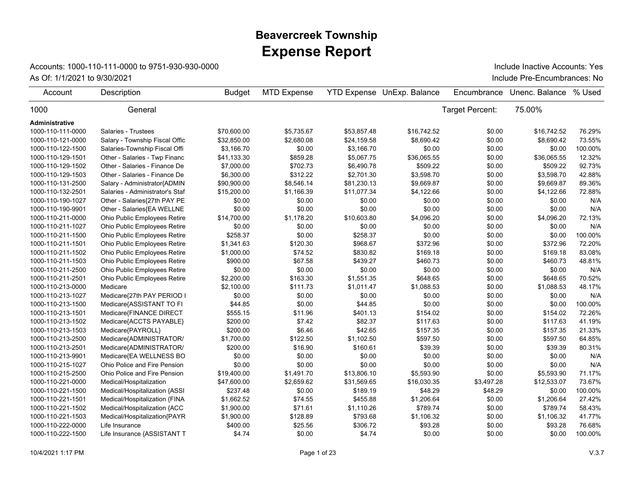## **Expense Report Beavercreek Township**

## Accounts: 1000-110-111-0000 to 9751-930-930-0000

As Of: 1/1/2021 to 9/30/2021 **Include Pre-Encumbrances:** No Include Inactive Accounts: Yes

| Account           | Description                         | <b>Budget</b> | <b>MTD Expense</b> |             | <b>YTD Expense UnExp. Balance</b> | Encumbrance     | Unenc. Balance | % Used  |
|-------------------|-------------------------------------|---------------|--------------------|-------------|-----------------------------------|-----------------|----------------|---------|
| 1000              | General                             |               |                    |             |                                   | Target Percent: | 75.00%         |         |
| Administrative    |                                     |               |                    |             |                                   |                 |                |         |
| 1000-110-111-0000 | Salaries - Trustees                 | \$70,600.00   | \$5.735.67         | \$53,857.48 | \$16.742.52                       | \$0.00          | \$16.742.52    | 76.29%  |
| 1000-110-121-0000 | Salary - Township Fiscal Offic      | \$32,850.00   | \$2,680.08         | \$24,159.58 | \$8,690.42                        | \$0.00          | \$8,690.42     | 73.55%  |
| 1000-110-122-1500 | Salaries-Township Fiscal Offi       | \$3,166.70    | \$0.00             | \$3,166.70  | \$0.00                            | \$0.00          | \$0.00         | 100.00% |
| 1000-110-129-1501 | Other - Salaries - Twp Financ       | \$41,133.30   | \$859.28           | \$5,067.75  | \$36,065.55                       | \$0.00          | \$36,065.55    | 12.32%  |
| 1000-110-129-1502 | Other - Salaries - Finance De       | \$7,000.00    | \$702.73           | \$6,490.78  | \$509.22                          | \$0.00          | \$509.22       | 92.73%  |
| 1000-110-129-1503 | Other - Salaries - Finance De       | \$6,300.00    | \$312.22           | \$2,701.30  | \$3,598.70                        | \$0.00          | \$3,598.70     | 42.88%  |
| 1000-110-131-2500 | Salary - Administrator{ADMIN        | \$90,900.00   | \$8,546.14         | \$81,230.13 | \$9,669.87                        | \$0.00          | \$9,669.87     | 89.36%  |
| 1000-110-132-2501 | Salaries - Administrator's Staf     | \$15,200.00   | \$1,166.39         | \$11,077.34 | \$4,122.66                        | \$0.00          | \$4,122.66     | 72.88%  |
| 1000-110-190-1027 | Other - Salaries{27th PAY PE        | \$0.00        | \$0.00             | \$0.00      | \$0.00                            | \$0.00          | \$0.00         | N/A     |
| 1000-110-190-9901 | Other - Salaries{EA WELLNE          | \$0.00        | \$0.00             | \$0.00      | \$0.00                            | \$0.00          | \$0.00         | N/A     |
| 1000-110-211-0000 | Ohio Public Employees Retire        | \$14,700.00   | \$1,178.20         | \$10,603.80 | \$4,096.20                        | \$0.00          | \$4,096.20     | 72.13%  |
| 1000-110-211-1027 | Ohio Public Employees Retire        | \$0.00        | \$0.00             | \$0.00      | \$0.00                            | \$0.00          | \$0.00         | N/A     |
| 1000-110-211-1500 | <b>Ohio Public Employees Retire</b> | \$258.37      | \$0.00             | \$258.37    | \$0.00                            | \$0.00          | \$0.00         | 100.00% |
| 1000-110-211-1501 | Ohio Public Employees Retire        | \$1,341.63    | \$120.30           | \$968.67    | \$372.96                          | \$0.00          | \$372.96       | 72.20%  |
| 1000-110-211-1502 | Ohio Public Employees Retire        | \$1,000.00    | \$74.52            | \$830.82    | \$169.18                          | \$0.00          | \$169.18       | 83.08%  |
| 1000-110-211-1503 | Ohio Public Employees Retire        | \$900.00      | \$67.58            | \$439.27    | \$460.73                          | \$0.00          | \$460.73       | 48.81%  |
| 1000-110-211-2500 | Ohio Public Employees Retire        | \$0.00        | \$0.00             | \$0.00      | \$0.00                            | \$0.00          | \$0.00         | N/A     |
| 1000-110-211-2501 | Ohio Public Employees Retire        | \$2,200.00    | \$163.30           | \$1,551.35  | \$648.65                          | \$0.00          | \$648.65       | 70.52%  |
| 1000-110-213-0000 | Medicare                            | \$2,100.00    | \$111.73           | \$1,011.47  | \$1,088.53                        | \$0.00          | \$1,088.53     | 48.17%  |
| 1000-110-213-1027 | Medicare{27th PAY PERIOD I          | \$0.00        | \$0.00             | \$0.00      | \$0.00                            | \$0.00          | \$0.00         | N/A     |
| 1000-110-213-1500 | Medicare{ASSISTANT TO FI            | \$44.85       | \$0.00             | \$44.85     | \$0.00                            | \$0.00          | \$0.00         | 100.00% |
| 1000-110-213-1501 | Medicare{FINANCE DIRECT             | \$555.15      | \$11.96            | \$401.13    | \$154.02                          | \$0.00          | \$154.02       | 72.26%  |
| 1000-110-213-1502 | Medicare{ACCTS PAYABLE}             | \$200.00      | \$7.42             | \$82.37     | \$117.63                          | \$0.00          | \$117.63       | 41.19%  |
| 1000-110-213-1503 | Medicare{PAYROLL}                   | \$200.00      | \$6.46             | \$42.65     | \$157.35                          | \$0.00          | \$157.35       | 21.33%  |
| 1000-110-213-2500 | Medicare{ADMINISTRATOR/             | \$1,700.00    | \$122.50           | \$1,102.50  | \$597.50                          | \$0.00          | \$597.50       | 64.85%  |
| 1000-110-213-2501 | Medicare{ADMINISTRATOR/             | \$200.00      | \$16.90            | \$160.61    | \$39.39                           | \$0.00          | \$39.39        | 80.31%  |
| 1000-110-213-9901 | Medicare{EA WELLNESS BO             | \$0.00        | \$0.00             | \$0.00      | \$0.00                            | \$0.00          | \$0.00         | N/A     |
| 1000-110-215-1027 | Ohio Police and Fire Pension        | \$0.00        | \$0.00             | \$0.00      | \$0.00                            | \$0.00          | \$0.00         | N/A     |
| 1000-110-215-2500 | Ohio Police and Fire Pension        | \$19,400.00   | \$1,491.70         | \$13,806.10 | \$5,593.90                        | \$0.00          | \$5,593.90     | 71.17%  |
| 1000-110-221-0000 | Medical/Hospitalization             | \$47,600.00   | \$2,659.62         | \$31,569.65 | \$16,030.35                       | \$3,497.28      | \$12,533.07    | 73.67%  |
| 1000-110-221-1500 | Medical/Hospitalization {ASSI       | \$237.48      | \$0.00             | \$189.19    | \$48.29                           | \$48.29         | \$0.00         | 100.00% |
| 1000-110-221-1501 | Medical/Hospitalization {FINA       | \$1,662.52    | \$74.55            | \$455.88    | \$1,206.64                        | \$0.00          | \$1,206.64     | 27.42%  |
| 1000-110-221-1502 | Medical/Hospitalization {ACC        | \$1,900.00    | \$71.61            | \$1,110.26  | \$789.74                          | \$0.00          | \$789.74       | 58.43%  |
| 1000-110-221-1503 | Medical/Hospitalization{PAYR        | \$1,900.00    | \$128.89           | \$793.68    | \$1,106.32                        | \$0.00          | \$1,106.32     | 41.77%  |
| 1000-110-222-0000 | Life Insurance                      | \$400.00      | \$25.56            | \$306.72    | \$93.28                           | \$0.00          | \$93.28        | 76.68%  |
| 1000-110-222-1500 | Life Insurance {ASSISTANT T         | \$4.74        | \$0.00             | \$4.74      | \$0.00                            | \$0.00          | \$0.00         | 100.00% |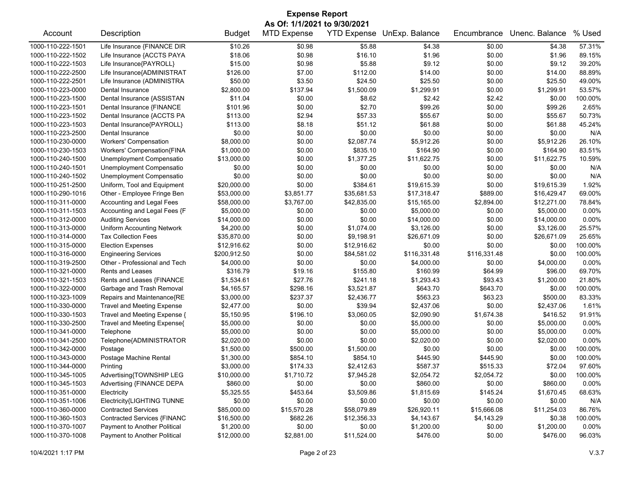| <b>Expense Report</b>        |                                   |               |                    |                    |                |              |                |         |  |
|------------------------------|-----------------------------------|---------------|--------------------|--------------------|----------------|--------------|----------------|---------|--|
| As Of: 1/1/2021 to 9/30/2021 |                                   |               |                    |                    |                |              |                |         |  |
| Account                      | Description                       | <b>Budget</b> | <b>MTD Expense</b> | <b>YTD Expense</b> | UnExp. Balance | Encumbrance  | Unenc. Balance | % Used  |  |
| 1000-110-222-1501            | Life Insurance {FINANCE DIR       | \$10.26       | \$0.98             | \$5.88             | \$4.38         | \$0.00       | \$4.38         | 57.31%  |  |
| 1000-110-222-1502            | Life Insurance {ACCTS PAYA        | \$18.06       | \$0.98             | \$16.10            | \$1.96         | \$0.00       | \$1.96         | 89.15%  |  |
| 1000-110-222-1503            | Life Insurance{PAYROLL}           | \$15.00       | \$0.98             | \$5.88             | \$9.12         | \$0.00       | \$9.12         | 39.20%  |  |
| 1000-110-222-2500            | Life Insurance{ADMINISTRAT        | \$126.00      | \$7.00             | \$112.00           | \$14.00        | \$0.00       | \$14.00        | 88.89%  |  |
| 1000-110-222-2501            | Life Insurance (ADMINISTRA        | \$50.00       | \$3.50             | \$24.50            | \$25.50        | \$0.00       | \$25.50        | 49.00%  |  |
| 1000-110-223-0000            | Dental Insurance                  | \$2,800.00    | \$137.94           | \$1,500.09         | \$1,299.91     | \$0.00       | \$1,299.91     | 53.57%  |  |
| 1000-110-223-1500            | Dental Insurance {ASSISTAN        | \$11.04       | \$0.00             | \$8.62             | \$2.42         | \$2.42       | \$0.00         | 100.00% |  |
| 1000-110-223-1501            | Dental Insurance {FINANCE         | \$101.96      | \$0.00             | \$2.70             | \$99.26        | \$0.00       | \$99.26        | 2.65%   |  |
| 1000-110-223-1502            | Dental Insurance {ACCTS PA        | \$113.00      | \$2.94             | \$57.33            | \$55.67        | \$0.00       | \$55.67        | 50.73%  |  |
| 1000-110-223-1503            | Dental Insurance{PAYROLL}         | \$113.00      | \$8.18             | \$51.12            | \$61.88        | \$0.00       | \$61.88        | 45.24%  |  |
| 1000-110-223-2500            | Dental Insurance                  | \$0.00        | \$0.00             | \$0.00             | \$0.00         | \$0.00       | \$0.00         | N/A     |  |
| 1000-110-230-0000            | <b>Workers' Compensation</b>      | \$8,000.00    | \$0.00             | \$2,087.74         | \$5,912.26     | \$0.00       | \$5,912.26     | 26.10%  |  |
| 1000-110-230-1503            | Workers' Compensation{FINA        | \$1,000.00    | \$0.00             | \$835.10           | \$164.90       | \$0.00       | \$164.90       | 83.51%  |  |
| 1000-110-240-1500            | Unemployment Compensatio          | \$13,000.00   | \$0.00             | \$1,377.25         | \$11,622.75    | \$0.00       | \$11,622.75    | 10.59%  |  |
| 1000-110-240-1501            | Unemployment Compensatio          | \$0.00        | \$0.00             | \$0.00             | \$0.00         | \$0.00       | \$0.00         | N/A     |  |
| 1000-110-240-1502            | Unemployment Compensatio          | \$0.00        | \$0.00             | \$0.00             | \$0.00         | \$0.00       | \$0.00         | N/A     |  |
| 1000-110-251-2500            | Uniform, Tool and Equipment       | \$20,000.00   | \$0.00             | \$384.61           | \$19,615.39    | \$0.00       | \$19,615.39    | 1.92%   |  |
| 1000-110-290-1016            | Other - Employee Fringe Ben       | \$53,000.00   | \$3,851.77         | \$35,681.53        | \$17,318.47    | \$889.00     | \$16,429.47    | 69.00%  |  |
| 1000-110-311-0000            | Accounting and Legal Fees         | \$58,000.00   | \$3,767.00         | \$42,835.00        | \$15,165.00    | \$2,894.00   | \$12,271.00    | 78.84%  |  |
| 1000-110-311-1503            | Accounting and Legal Fees {F      | \$5,000.00    | \$0.00             | \$0.00             | \$5,000.00     | \$0.00       | \$5,000.00     | 0.00%   |  |
| 1000-110-312-0000            | <b>Auditing Services</b>          | \$14,000.00   | \$0.00             | \$0.00             | \$14,000.00    | \$0.00       | \$14,000.00    | 0.00%   |  |
| 1000-110-313-0000            | Uniform Accounting Network        | \$4,200.00    | \$0.00             | \$1,074.00         | \$3,126.00     | \$0.00       | \$3,126.00     | 25.57%  |  |
| 1000-110-314-0000            | <b>Tax Collection Fees</b>        | \$35,870.00   | \$0.00             | \$9,198.91         | \$26,671.09    | \$0.00       | \$26,671.09    | 25.65%  |  |
| 1000-110-315-0000            | <b>Election Expenses</b>          | \$12,916.62   | \$0.00             | \$12,916.62        | \$0.00         | \$0.00       | \$0.00         | 100.00% |  |
| 1000-110-316-0000            | <b>Engineering Services</b>       | \$200,912.50  | \$0.00             | \$84,581.02        | \$116,331.48   | \$116,331.48 | \$0.00         | 100.00% |  |
| 1000-110-319-2500            | Other - Professional and Tech     | \$4,000.00    | \$0.00             | \$0.00             | \$4,000.00     | \$0.00       | \$4,000.00     | 0.00%   |  |
| 1000-110-321-0000            | <b>Rents and Leases</b>           | \$316.79      | \$19.16            | \$155.80           | \$160.99       | \$64.99      | \$96.00        | 69.70%  |  |
| 1000-110-321-1503            | Rents and Leases {FINANCE         | \$1,534.61    | \$27.76            | \$241.18           | \$1,293.43     | \$93.43      | \$1,200.00     | 21.80%  |  |
| 1000-110-322-0000            | Garbage and Trash Removal         | \$4,165.57    | \$298.16           | \$3,521.87         | \$643.70       | \$643.70     | \$0.00         | 100.00% |  |
| 1000-110-323-1009            | Repairs and Maintenance{RE        | \$3,000.00    | \$237.37           | \$2,436.77         | \$563.23       | \$63.23      | \$500.00       | 83.33%  |  |
| 1000-110-330-0000            | <b>Travel and Meeting Expense</b> | \$2,477.00    | \$0.00             | \$39.94            | \$2,437.06     | \$0.00       | \$2,437.06     | 1.61%   |  |
| 1000-110-330-1503            | Travel and Meeting Expense {      | \$5,150.95    | \$196.10           | \$3,060.05         | \$2,090.90     | \$1,674.38   | \$416.52       | 91.91%  |  |
| 1000-110-330-2500            | Travel and Meeting Expense{       | \$5,000.00    | \$0.00             | \$0.00             | \$5,000.00     | \$0.00       | \$5,000.00     | 0.00%   |  |
| 1000-110-341-0000            | Telephone                         | \$5,000.00    | \$0.00             | \$0.00             | \$5,000.00     | \$0.00       | \$5,000.00     | 0.00%   |  |
| 1000-110-341-2500            | Telephone{ADMINISTRATOR           | \$2,020.00    | \$0.00             | \$0.00             | \$2,020.00     | \$0.00       | \$2,020.00     | 0.00%   |  |
| 1000-110-342-0000            | Postage                           | \$1,500.00    | \$500.00           | \$1,500.00         | \$0.00         | \$0.00       | \$0.00         | 100.00% |  |
| 1000-110-343-0000            | Postage Machine Rental            | \$1,300.00    | \$854.10           | \$854.10           | \$445.90       | \$445.90     | \$0.00         | 100.00% |  |
| 1000-110-344-0000            | Printing                          | \$3,000.00    | \$174.33           | \$2,412.63         | \$587.37       | \$515.33     | \$72.04        | 97.60%  |  |
| 1000-110-345-1005            | Advertising{TOWNSHIP LEG          | \$10,000.00   | \$1,710.72         | \$7,945.28         | \$2,054.72     | \$2,054.72   | \$0.00         | 100.00% |  |
| 1000-110-345-1503            | Advertising {FINANCE DEPA         | \$860.00      | \$0.00             | \$0.00             | \$860.00       | \$0.00       | \$860.00       | 0.00%   |  |
| 1000-110-351-0000            | Electricity                       | \$5,325.55    | \$453.64           | \$3,509.86         | \$1,815.69     | \$145.24     | \$1,670.45     | 68.63%  |  |
| 1000-110-351-1006            | Electricity{LIGHTING TUNNE        | \$0.00        | \$0.00             | \$0.00             | \$0.00         | \$0.00       | \$0.00         | N/A     |  |
| 1000-110-360-0000            | <b>Contracted Services</b>        | \$85,000.00   | \$15,570.28        | \$58,079.89        | \$26,920.11    | \$15,666.08  | \$11,254.03    | 86.76%  |  |
| 1000-110-360-1503            | Contracted Services {FINANC       | \$16,500.00   | \$682.26           | \$12,356.33        | \$4,143.67     | \$4,143.29   | \$0.38         | 100.00% |  |
| 1000-110-370-1007            | Payment to Another Political      | \$1,200.00    | \$0.00             | \$0.00             | \$1,200.00     | \$0.00       | \$1,200.00     | 0.00%   |  |
| 1000-110-370-1008            | Payment to Another Political      | \$12,000.00   | \$2,881.00         | \$11,524.00        | \$476.00       | \$0.00       | \$476.00       | 96.03%  |  |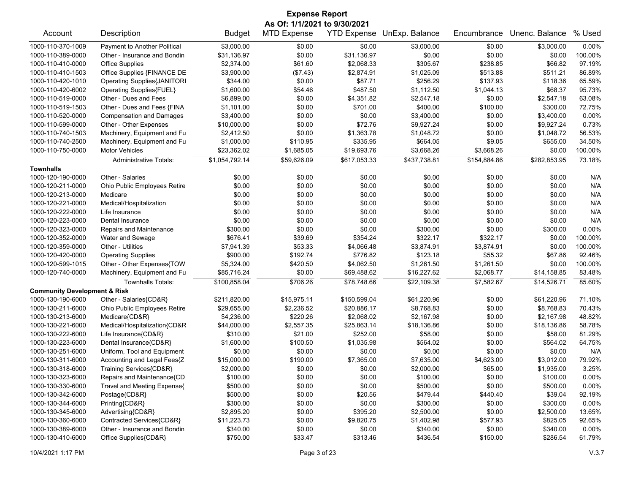| <b>Expense Report</b>                   |                                    |                        |                    |                    |                            |                  |                |                  |  |
|-----------------------------------------|------------------------------------|------------------------|--------------------|--------------------|----------------------------|------------------|----------------|------------------|--|
| As Of: 1/1/2021 to 9/30/2021            |                                    |                        |                    |                    |                            |                  |                |                  |  |
| Account                                 | Description                        | <b>Budget</b>          | <b>MTD Expense</b> |                    | YTD Expense UnExp. Balance | Encumbrance      | Unenc. Balance | % Used           |  |
| 1000-110-370-1009                       | Payment to Another Political       | \$3,000.00             | \$0.00             | \$0.00             | \$3,000.00                 | \$0.00           | \$3,000.00     | 0.00%            |  |
| 1000-110-389-0000                       | Other - Insurance and Bondin       | \$31,136.97            | \$0.00             | \$31,136.97        | \$0.00                     | \$0.00           | \$0.00         | 100.00%          |  |
| 1000-110-410-0000                       | <b>Office Supplies</b>             | \$2,374.00             | \$61.60            | \$2,068.33         | \$305.67                   | \$238.85         | \$66.82        | 97.19%           |  |
| 1000-110-410-1503                       | Office Supplies {FINANCE DE        | \$3,900.00             | (\$7.43)           | \$2,874.91         | \$1,025.09                 | \$513.88         | \$511.21       | 86.89%           |  |
| 1000-110-420-1010                       | <b>Operating Supplies{JANITORI</b> | \$344.00               | \$0.00             | \$87.71            | \$256.29                   | \$137.93         | \$118.36       | 65.59%           |  |
| 1000-110-420-6002                       | Operating Supplies{FUEL}           | \$1,600.00             | \$54.46            | \$487.50           | \$1,112.50                 | \$1,044.13       | \$68.37        | 95.73%           |  |
| 1000-110-519-0000                       | Other - Dues and Fees              | \$6,899.00             | \$0.00             | \$4,351.82         | \$2,547.18                 | \$0.00           | \$2,547.18     | 63.08%           |  |
| 1000-110-519-1503                       | Other - Dues and Fees {FINA        | \$1,101.00             | \$0.00             | \$701.00           | \$400.00                   | \$100.00         | \$300.00       | 72.75%           |  |
| 1000-110-520-0000                       | <b>Compensation and Damages</b>    | \$3,400.00             | \$0.00             | \$0.00             | \$3,400.00                 | \$0.00           | \$3,400.00     | 0.00%            |  |
| 1000-110-599-0000                       | Other - Other Expenses             | \$10,000.00            | \$0.00             | \$72.76            | \$9,927.24                 | \$0.00           | \$9,927.24     | 0.73%            |  |
| 1000-110-740-1503                       | Machinery, Equipment and Fu        | \$2,412.50             | \$0.00             | \$1,363.78         | \$1,048.72                 | \$0.00           | \$1,048.72     | 56.53%           |  |
| 1000-110-740-2500                       | Machinery, Equipment and Fu        | \$1,000.00             | \$110.95           | \$335.95           | \$664.05                   | \$9.05           | \$655.00       | 34.50%           |  |
| 1000-110-750-0000                       | <b>Motor Vehicles</b>              | \$23,362.02            | \$1,685.05         | \$19,693.76        | \$3,668.26                 | \$3,668.26       | \$0.00         | 100.00%          |  |
|                                         | <b>Administrative Totals:</b>      | \$1,054,792.14         | \$59,626.09        | \$617,053.33       | \$437,738.81               | \$154,884.86     | \$282,853.95   | 73.18%           |  |
| <b>Townhalls</b>                        |                                    |                        |                    |                    |                            |                  |                |                  |  |
| 1000-120-190-0000                       | Other - Salaries                   | \$0.00                 | \$0.00             | \$0.00             | \$0.00                     | \$0.00           | \$0.00         | N/A              |  |
| 1000-120-211-0000                       | Ohio Public Employees Retire       | \$0.00                 | \$0.00             | \$0.00             | \$0.00                     | \$0.00           | \$0.00         | N/A              |  |
| 1000-120-213-0000                       | Medicare                           | \$0.00                 | \$0.00             | \$0.00             | \$0.00                     | \$0.00           | \$0.00         | N/A              |  |
| 1000-120-221-0000                       | Medical/Hospitalization            | \$0.00                 | \$0.00             | \$0.00             | \$0.00                     | \$0.00           | \$0.00         | N/A              |  |
| 1000-120-222-0000                       | Life Insurance                     | \$0.00                 | \$0.00             | \$0.00             | \$0.00                     | \$0.00           | \$0.00         | N/A              |  |
| 1000-120-223-0000                       | Dental Insurance                   | \$0.00                 | \$0.00             | \$0.00             | \$0.00                     | \$0.00           | \$0.00         | N/A              |  |
| 1000-120-323-0000                       | Repairs and Maintenance            | \$300.00               | \$0.00             | \$0.00             | \$300.00                   | \$0.00           | \$300.00       | 0.00%            |  |
| 1000-120-352-0000                       | Water and Sewage                   | \$676.41               | \$39.69            | \$354.24           | \$322.17                   | \$322.17         | \$0.00         | 100.00%          |  |
| 1000-120-359-0000                       | Other - Utilities                  | \$7,941.39             | \$53.33            | \$4,066.48         | \$3,874.91                 | \$3,874.91       | \$0.00         | 100.00%          |  |
| 1000-120-420-0000                       | <b>Operating Supplies</b>          | \$900.00               | \$192.74           | \$776.82           | \$123.18                   | \$55.32          | \$67.86        | 92.46%           |  |
| 1000-120-599-1015                       | Other - Other Expenses{TOW         | \$5,324.00             | \$420.50           | \$4,062.50         | \$1,261.50                 | \$1,261.50       | \$0.00         | 100.00%          |  |
| 1000-120-740-0000                       | Machinery, Equipment and Fu        | \$85,716.24            | \$0.00             | \$69,488.62        | \$16,227.62                | \$2,068.77       | \$14,158.85    | 83.48%           |  |
|                                         | <b>Townhalls Totals:</b>           | \$100,858.04           | \$706.26           | \$78,748.66        | \$22,109.38                | \$7,582.67       | \$14,526.71    | 85.60%           |  |
| <b>Community Development &amp; Risk</b> |                                    |                        |                    |                    |                            |                  |                |                  |  |
| 1000-130-190-6000                       | Other - Salaries{CD&R}             | \$211,820.00           | \$15,975.11        | \$150,599.04       | \$61,220.96                | \$0.00           | \$61,220.96    | 71.10%           |  |
| 1000-130-211-6000                       | Ohio Public Employees Retire       | \$29,655.00            | \$2,236.52         | \$20,886.17        | \$8,768.83                 | \$0.00           | \$8,768.83     | 70.43%           |  |
| 1000-130-213-6000                       | Medicare{CD&R}                     | \$4,236.00             | \$220.26           | \$2,068.02         | \$2,167.98                 | \$0.00           | \$2,167.98     | 48.82%           |  |
| 1000-130-221-6000                       | Medical/Hospitalization{CD&R       | \$44,000.00            | \$2,557.35         | \$25,863.14        | \$18,136.86                | \$0.00           | \$18,136.86    | 58.78%           |  |
| 1000-130-222-6000                       | Life Insurance{CD&R}               | \$310.00               | \$21.00            | \$252.00           | \$58.00                    | \$0.00           | \$58.00        | 81.29%           |  |
| 1000-130-223-6000                       | Dental Insurance{CD&R}             | \$1,600.00             | \$100.50           | \$1,035.98         | \$564.02                   | \$0.00           | \$564.02       | 64.75%           |  |
| 1000-130-251-6000                       | Uniform, Tool and Equipment        | \$0.00                 | \$0.00             | \$0.00             | \$0.00                     | \$0.00           | \$0.00         | N/A              |  |
| 1000-130-311-6000                       | Accounting and Legal Fees{Z        | \$15,000.00            | \$190.00           | \$7,365.00         | \$7,635.00                 | \$4,623.00       | \$3,012.00     | 79.92%           |  |
| 1000-130-318-6000                       | Training Services{CD&R}            | \$2,000.00             | \$0.00             | \$0.00             | \$2,000.00                 | \$65.00          | \$1,935.00     | 3.25%            |  |
| 1000-130-323-6000                       | Repairs and Maintenance{CD         | \$100.00               | \$0.00             | \$0.00             | \$100.00                   | \$0.00           | \$100.00       | $0.00\%$         |  |
| 1000-130-330-6000                       | Travel and Meeting Expense{        | \$500.00               | \$0.00             | \$0.00             | \$500.00                   | \$0.00           | \$500.00       | $0.00\%$         |  |
| 1000-130-342-6000                       | Postage{CD&R}                      | \$500.00               | \$0.00             | \$20.56            | \$479.44                   | \$440.40         | \$39.04        | 92.19%           |  |
| 1000-130-344-6000                       | Printing{CD&R}                     |                        | \$0.00             |                    | \$300.00                   |                  | \$300.00       | 0.00%            |  |
| 1000-130-345-6000                       | Advertising{CD&R}                  | \$300.00<br>\$2,895.20 | \$0.00             | \$0.00<br>\$395.20 | \$2,500.00                 | \$0.00<br>\$0.00 | \$2,500.00     |                  |  |
| 1000-130-360-6000                       | Contracted Services{CD&R}          | \$11,223.73            | \$0.00             | \$9,820.75         | \$1,402.98                 | \$577.93         | \$825.05       | 13.65%<br>92.65% |  |
| 1000-130-389-6000                       | Other - Insurance and Bondin       | \$340.00               | \$0.00             | \$0.00             | \$340.00                   | \$0.00           | \$340.00       | 0.00%            |  |
| 1000-130-410-6000                       | Office Supplies{CD&R}              | \$750.00               | \$33.47            | \$313.46           | \$436.54                   |                  | \$286.54       | 61.79%           |  |
|                                         |                                    |                        |                    |                    |                            | \$150.00         |                |                  |  |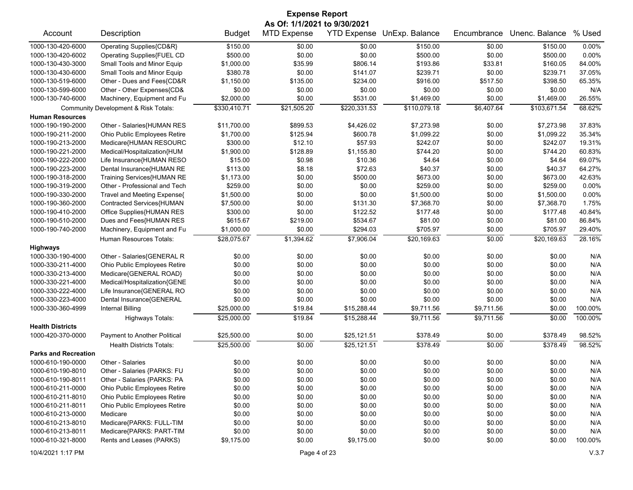| <b>Expense Report</b>                  |                                                         |                        |                                                    |                        |                            |                  |                          |                  |  |
|----------------------------------------|---------------------------------------------------------|------------------------|----------------------------------------------------|------------------------|----------------------------|------------------|--------------------------|------------------|--|
| Account                                | Description                                             | <b>Budget</b>          | As Of: 1/1/2021 to 9/30/2021<br><b>MTD Expense</b> |                        | YTD Expense UnExp. Balance | Encumbrance      | Unenc. Balance           | % Used           |  |
| 1000-130-420-6000                      | Operating Supplies{CD&R}                                | \$150.00               | \$0.00                                             | \$0.00                 | \$150.00                   | \$0.00           | \$150.00                 | 0.00%            |  |
| 1000-130-420-6002                      | Operating Supplies{FUEL CD                              | \$500.00               | \$0.00                                             | \$0.00                 | \$500.00                   | \$0.00           | \$500.00                 | 0.00%            |  |
| 1000-130-430-3000                      | Small Tools and Minor Equip                             | \$1,000.00             | \$35.99                                            | \$806.14               | \$193.86                   | \$33.81          | \$160.05                 | 84.00%           |  |
| 1000-130-430-6000                      | Small Tools and Minor Equip                             | \$380.78               | \$0.00                                             | \$141.07               | \$239.71                   | \$0.00           | \$239.71                 | 37.05%           |  |
| 1000-130-519-6000                      | Other - Dues and Fees{CD&R                              | \$1,150.00             | \$135.00                                           | \$234.00               | \$916.00                   | \$517.50         | \$398.50                 | 65.35%           |  |
| 1000-130-599-6000                      | Other - Other Expenses{CD&                              | \$0.00                 | \$0.00                                             | \$0.00                 | \$0.00                     | \$0.00           | \$0.00                   | N/A              |  |
| 1000-130-740-6000                      | Machinery, Equipment and Fu                             | \$2,000.00             | \$0.00                                             | \$531.00               | \$1,469.00                 | \$0.00           | \$1,469.00               | 26.55%           |  |
|                                        | Community Development & Risk Totals:                    | \$330,410.71           | \$21,505.20                                        | \$220,331.53           | \$110,079.18               | \$6,407.64       | \$103,671.54             | 68.62%           |  |
| <b>Human Resources</b>                 |                                                         |                        |                                                    |                        |                            |                  |                          | 37.83%           |  |
| 1000-190-190-2000                      | Other - Salaries{HUMAN RES                              | \$11,700.00            | \$899.53                                           | \$4,426.02<br>\$600.78 | \$7,273.98<br>\$1,099.22   | \$0.00<br>\$0.00 | \$7,273.98<br>\$1,099.22 | 35.34%           |  |
| 1000-190-211-2000                      | Ohio Public Employees Retire                            | \$1,700.00             | \$125.94                                           | \$57.93                |                            |                  |                          |                  |  |
| 1000-190-213-2000                      | Medicare{HUMAN RESOURC                                  | \$300.00               | \$12.10                                            |                        | \$242.07                   | \$0.00           | \$242.07<br>\$744.20     | 19.31%<br>60.83% |  |
| 1000-190-221-2000                      | Medical/Hospitalization{HUM                             | \$1,900.00             | \$128.89                                           | \$1,155.80<br>\$10.36  | \$744.20                   | \$0.00           | \$4.64                   | 69.07%           |  |
| 1000-190-222-2000<br>1000-190-223-2000 | Life Insurance{HUMAN RESO                               | \$15.00<br>\$113.00    | \$0.98<br>\$8.18                                   | \$72.63                | \$4.64<br>\$40.37          | \$0.00<br>\$0.00 | \$40.37                  | 64.27%           |  |
| 1000-190-318-2000                      | Dental Insurance{HUMAN RE<br>Training Services{HUMAN RE | \$1,173.00             | \$0.00                                             | \$500.00               | \$673.00                   | \$0.00           | \$673.00                 | 42.63%           |  |
| 1000-190-319-2000                      | Other - Professional and Tech                           | \$259.00               | \$0.00                                             | \$0.00                 | \$259.00                   | \$0.00           | \$259.00                 | 0.00%            |  |
| 1000-190-330-2000                      | Travel and Meeting Expense{                             | \$1,500.00             | \$0.00                                             | \$0.00                 | \$1,500.00                 | \$0.00           | \$1,500.00               | 0.00%            |  |
| 1000-190-360-2000                      |                                                         |                        |                                                    |                        |                            |                  |                          | 1.75%            |  |
|                                        | Contracted Services{HUMAN                               | \$7,500.00<br>\$300.00 | \$0.00<br>\$0.00                                   | \$131.30<br>\$122.52   | \$7,368.70<br>\$177.48     | \$0.00<br>\$0.00 | \$7,368.70<br>\$177.48   | 40.84%           |  |
| 1000-190-410-2000<br>1000-190-510-2000 | Office Supplies{HUMAN RES                               | \$615.67               | \$219.00                                           | \$534.67               | \$81.00                    | \$0.00           | \$81.00                  | 86.84%           |  |
| 1000-190-740-2000                      | Dues and Fees{HUMAN RES<br>Machinery, Equipment and Fu  | \$1,000.00             | \$0.00                                             | \$294.03               | \$705.97                   | \$0.00           | \$705.97                 | 29.40%           |  |
|                                        |                                                         |                        |                                                    |                        |                            |                  |                          |                  |  |
| <b>Highways</b>                        | Human Resources Totals:                                 | \$28,075.67            | \$1,394.62                                         | \$7,906.04             | \$20,169.63                | \$0.00           | \$20,169.63              | 28.16%           |  |
| 1000-330-190-4000                      | Other - Salaries{GENERAL R                              | \$0.00                 | \$0.00                                             | \$0.00                 | \$0.00                     | \$0.00           | \$0.00                   | N/A              |  |
| 1000-330-211-4000                      | Ohio Public Employees Retire                            | \$0.00                 | \$0.00                                             | \$0.00                 | \$0.00                     | \$0.00           | \$0.00                   | N/A              |  |
| 1000-330-213-4000                      | Medicare{GENERAL ROAD}                                  | \$0.00                 | \$0.00                                             | \$0.00                 | \$0.00                     | \$0.00           | \$0.00                   | N/A              |  |
| 1000-330-221-4000                      | Medical/Hospitalization{GENE                            | \$0.00                 | \$0.00                                             | \$0.00                 | \$0.00                     | \$0.00           | \$0.00                   | N/A              |  |
| 1000-330-222-4000                      | Life Insurance{GENERAL RO                               | \$0.00                 | \$0.00                                             | \$0.00                 | \$0.00                     | \$0.00           | \$0.00                   | N/A              |  |
| 1000-330-223-4000                      | Dental Insurance{GENERAL                                | \$0.00                 | \$0.00                                             | \$0.00                 | \$0.00                     | \$0.00           | \$0.00                   | N/A              |  |
| 1000-330-360-4999                      | Internal Billing                                        | \$25,000.00            | \$19.84                                            | \$15,288.44            | \$9,711.56                 | \$9,711.56       | \$0.00                   | 100.00%          |  |
|                                        | <b>Highways Totals:</b>                                 | \$25,000.00            | \$19.84                                            | \$15.288.44            | \$9,711.56                 | \$9,711.56       | \$0.00                   | 100.00%          |  |
| <b>Health Districts</b>                |                                                         |                        |                                                    |                        |                            |                  |                          |                  |  |
| 1000-420-370-0000                      | Payment to Another Political                            | \$25,500.00            | \$0.00                                             | \$25,121.51            | \$378.49                   | \$0.00           | \$378.49                 | 98.52%           |  |
|                                        | <b>Health Districts Totals:</b>                         | \$25,500.00            | \$0.00                                             | \$25,121.51            | \$378.49                   | \$0.00           | \$378.49                 | 98.52%           |  |
| <b>Parks and Recreation</b>            |                                                         |                        |                                                    |                        |                            |                  |                          |                  |  |
| 1000-610-190-0000                      | Other - Salaries                                        | \$0.00                 | \$0.00                                             | \$0.00                 | \$0.00                     | \$0.00           | \$0.00                   | N/A              |  |
| 1000-610-190-8010                      | Other - Salaries {PARKS: FU                             | \$0.00                 | \$0.00                                             | \$0.00                 | \$0.00                     | \$0.00           | \$0.00                   | N/A              |  |
| 1000-610-190-8011                      | Other - Salaries {PARKS: PA                             | \$0.00                 | \$0.00                                             | \$0.00                 | \$0.00                     | \$0.00           | \$0.00                   | N/A              |  |
| 1000-610-211-0000                      | Ohio Public Employees Retire                            | \$0.00                 | \$0.00                                             | \$0.00                 | \$0.00                     | \$0.00           | \$0.00                   | N/A              |  |
| 1000-610-211-8010                      | Ohio Public Employees Retire                            | \$0.00                 | \$0.00                                             | \$0.00                 | \$0.00                     | \$0.00           | \$0.00                   | N/A              |  |
| 1000-610-211-8011                      | Ohio Public Employees Retire                            | \$0.00                 | \$0.00                                             | \$0.00                 | \$0.00                     | \$0.00           | \$0.00                   | N/A              |  |
| 1000-610-213-0000                      | Medicare                                                | \$0.00                 | \$0.00                                             | \$0.00                 | \$0.00                     | \$0.00           | \$0.00                   | N/A              |  |
| 1000-610-213-8010                      | Medicare{PARKS: FULL-TIM                                | \$0.00                 | \$0.00                                             | \$0.00                 | \$0.00                     | \$0.00           | \$0.00                   | N/A              |  |
| 1000-610-213-8011                      | Medicare{PARKS: PART-TIM                                | \$0.00                 | \$0.00                                             | \$0.00                 | \$0.00                     | \$0.00           | \$0.00                   | N/A              |  |
| 1000-610-321-8000                      | Rents and Leases (PARKS)                                | \$9,175.00             | \$0.00                                             | \$9,175.00             | \$0.00                     | \$0.00           | \$0.00                   | 100.00%          |  |
|                                        |                                                         |                        |                                                    |                        |                            |                  |                          |                  |  |

10/4/2021 1:17 PM Page 4 of 23 V.3.7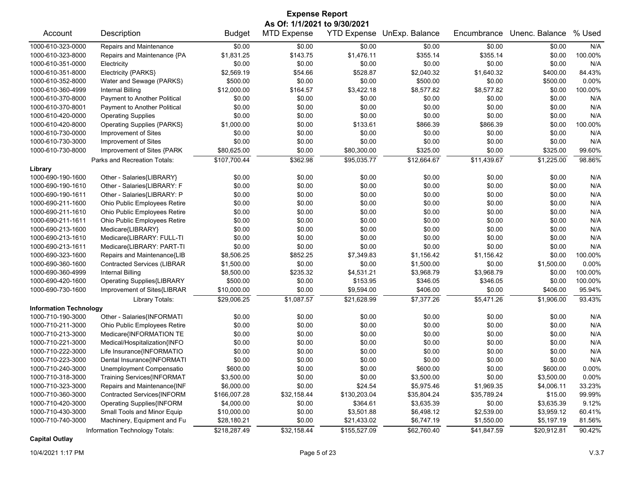| As Of: 1/1/2021 to 9/30/2021<br>YTD Expense UnExp. Balance<br>Unenc. Balance<br>% Used<br>Account<br>Description<br><b>MTD Expense</b><br>Encumbrance<br><b>Budget</b><br>1000-610-323-0000<br>Repairs and Maintenance<br>\$0.00<br>\$0.00<br>\$0.00<br>\$0.00<br>\$0.00<br>\$0.00<br>N/A<br>\$355.14<br>100.00%<br>1000-610-323-8000<br>Repairs and Maintenance {PA<br>\$1,831.25<br>\$143.75<br>\$1,476.11<br>\$355.14<br>\$0.00<br>\$0.00<br>\$0.00<br>\$0.00<br>N/A<br>1000-610-351-0000<br>\$0.00<br>\$0.00<br>\$0.00<br>Electricity<br>\$2,569.19<br>\$54.66<br>\$528.87<br>\$2,040.32<br>\$1,640.32<br>\$400.00<br>84.43%<br>1000-610-351-8000<br>Electricity {PARKS}<br>\$500.00<br>\$0.00<br>\$0.00<br>\$500.00<br>0.00%<br>1000-610-352-8000<br>Water and Sewage (PARKS)<br>\$0.00<br>\$500.00<br>\$8,577.82<br>\$8,577.82<br>100.00%<br>Internal Billing<br>\$12,000.00<br>\$164.57<br>\$3,422.18<br>\$0.00<br>1000-610-360-4999<br>Payment to Another Political<br>\$0.00<br>\$0.00<br>\$0.00<br>\$0.00<br>\$0.00<br>\$0.00<br>N/A<br>1000-610-370-8000<br>\$0.00<br>\$0.00<br>\$0.00<br>N/A<br>1000-610-370-8001<br>Payment to Another Political<br>\$0.00<br>\$0.00<br>\$0.00<br>\$0.00<br>\$0.00<br>\$0.00<br>\$0.00<br>\$0.00<br>\$0.00<br>N/A<br>1000-610-420-0000<br><b>Operating Supplies</b><br>\$0.00<br>\$866.39<br>100.00%<br><b>Operating Supplies {PARKS}</b><br>\$1,000.00<br>\$133.61<br>\$866.39<br>\$0.00<br>1000-610-420-8000<br>\$0.00<br>\$0.00<br>\$0.00<br>\$0.00<br>Improvement of Sites<br>\$0.00<br>\$0.00<br>N/A<br>1000-610-730-0000<br>1000-610-730-3000<br>Improvement of Sites<br>\$0.00<br>\$0.00<br>\$0.00<br>\$0.00<br>\$0.00<br>\$0.00<br>N/A<br>\$0.00<br>99.60%<br>1000-610-730-8000<br>Improvement of Sites {PARK<br>\$80,625.00<br>\$80,300.00<br>\$325.00<br>\$0.00<br>\$325.00<br>\$362.98<br>\$95,035.77<br>\$12,664.67<br>\$11,439.67<br>\$1,225.00<br>98.86%<br>Parks and Recreation Totals:<br>\$107,700.44<br>Library<br>N/A<br>1000-690-190-1600<br>\$0.00<br>\$0.00<br>\$0.00<br>\$0.00<br>\$0.00<br>\$0.00<br>Other - Salaries{LIBRARY}<br>\$0.00<br>\$0.00<br>\$0.00<br>N/A<br>1000-690-190-1610<br>Other - Salaries{LIBRARY: F<br>\$0.00<br>\$0.00<br>\$0.00<br>Other - Salaries{LIBRARY: P<br>\$0.00<br>N/A<br>1000-690-190-1611<br>\$0.00<br>\$0.00<br>\$0.00<br>\$0.00<br>\$0.00<br>Ohio Public Employees Retire<br>\$0.00<br>\$0.00<br>\$0.00<br>N/A<br>\$0.00<br>\$0.00<br>\$0.00<br>1000-690-211-1600<br>\$0.00<br>\$0.00<br>\$0.00<br>\$0.00<br>\$0.00<br>N/A<br>1000-690-211-1610<br>Ohio Public Employees Retire<br>\$0.00<br>N/A<br>Ohio Public Employees Retire<br>\$0.00<br>\$0.00<br>\$0.00<br>\$0.00<br>\$0.00<br>\$0.00<br>1000-690-211-1611<br>\$0.00<br>\$0.00<br>N/A<br>1000-690-213-1600<br>Medicare{LIBRARY}<br>\$0.00<br>\$0.00<br>\$0.00<br>\$0.00<br>Medicare{LIBRARY: FULL-TI<br>\$0.00<br>\$0.00<br>\$0.00<br>N/A<br>1000-690-213-1610<br>\$0.00<br>\$0.00<br>\$0.00<br>Medicare{LIBRARY: PART-TI<br>\$0.00<br>\$0.00<br>\$0.00<br>N/A<br>1000-690-213-1611<br>\$0.00<br>\$0.00<br>\$0.00<br>\$8,506.25<br>\$852.25<br>\$7,349.83<br>\$1,156.42<br>\$1,156.42<br>\$0.00<br>1000-690-323-1600<br>Repairs and Maintenance{LIB<br>100.00%<br>\$0.00<br>\$0.00<br>\$1,500.00<br>0.00%<br><b>Contracted Services (LIBRAR</b><br>\$1,500.00<br>\$0.00<br>\$1,500.00<br>1000-690-360-1600<br>\$235.32<br>\$4,531.21<br>\$0.00<br>100.00%<br>1000-690-360-4999<br>Internal Billing<br>\$8,500.00<br>\$3,968.79<br>\$3,968.79<br><b>Operating Supplies{LIBRARY</b><br>100.00%<br>1000-690-420-1600<br>\$500.00<br>\$0.00<br>\$153.95<br>\$346.05<br>\$346.05<br>\$0.00<br>Improvement of Sites{LIBRAR<br>\$10,000.00<br>\$0.00<br>\$9,594.00<br>\$406.00<br>95.94%<br>1000-690-730-1600<br>\$0.00<br>\$406.00<br>\$1,087.57<br>\$7,377.26<br>\$5,471.26<br>93.43%<br>\$29,006.25<br>\$21,628.99<br>\$1,906.00<br>Library Totals:<br><b>Information Technology</b><br>Other - Salaries{INFORMATI<br>1000-710-190-3000<br>\$0.00<br>\$0.00<br>\$0.00<br>\$0.00<br>\$0.00<br>\$0.00<br>N/A<br>Ohio Public Employees Retire<br>\$0.00<br>\$0.00<br>\$0.00<br>\$0.00<br>N/A<br>1000-710-211-3000<br>\$0.00<br>\$0.00<br>Medicare{INFORMATION TE<br>\$0.00<br>\$0.00<br>\$0.00<br>\$0.00<br>\$0.00<br>\$0.00<br>N/A<br>1000-710-213-3000<br>\$0.00<br>N/A<br>Medical/Hospitalization{INFO<br>\$0.00<br>\$0.00<br>\$0.00<br>\$0.00<br>\$0.00<br>1000-710-221-3000<br>\$0.00<br>N/A<br>1000-710-222-3000<br>Life Insurance{INFORMATIO<br>\$0.00<br>\$0.00<br>\$0.00<br>\$0.00<br>\$0.00<br>\$0.00<br>1000-710-223-3000<br>Dental Insurance{INFORMATI<br>\$0.00<br>\$0.00<br>\$0.00<br>\$0.00<br>\$0.00<br>N/A<br>\$600.00<br>\$0.00<br>\$0.00<br>\$600.00<br>\$0.00<br>\$600.00<br>$0.00\%$<br>1000-710-240-3000<br>Unemployment Compensatio<br>Training Services{INFORMAT<br>\$0.00<br>\$0.00<br>0.00%<br>1000-710-318-3000<br>\$3,500.00<br>\$0.00<br>\$3,500.00<br>\$3,500.00<br>\$0.00<br>Repairs and Maintenance{INF<br>\$6,000.00<br>\$24.54<br>\$1,969.35<br>1000-710-323-3000<br>\$5,975.46<br>\$4,006.11<br>33.23%<br>Contracted Services{INFORM<br>1000-710-360-3000<br>\$166,007.28<br>\$32,158.44<br>\$130,203.04<br>\$35,804.24<br>\$35,789.24<br>\$15.00<br>99.99%<br>1000-710-420-3000<br>Operating Supplies{INFORM<br>\$4,000.00<br>\$0.00<br>\$364.61<br>\$3,635.39<br>\$0.00<br>\$3,635.39<br>9.12%<br>1000-710-430-3000<br>Small Tools and Minor Equip<br>\$10,000.00<br>\$0.00<br>\$3,501.88<br>\$2,539.00<br>\$3,959.12<br>60.41%<br>\$6,498.12<br>1000-710-740-3000<br>Machinery, Equipment and Fu<br>\$28,180.21<br>\$0.00<br>\$6,747.19<br>\$1,550.00<br>\$5,197.19<br>81.56%<br>\$21,433.02<br>Information Technology Totals: |  |  |              | <b>Expense Report</b> |              |             |             |             |        |  |
|------------------------------------------------------------------------------------------------------------------------------------------------------------------------------------------------------------------------------------------------------------------------------------------------------------------------------------------------------------------------------------------------------------------------------------------------------------------------------------------------------------------------------------------------------------------------------------------------------------------------------------------------------------------------------------------------------------------------------------------------------------------------------------------------------------------------------------------------------------------------------------------------------------------------------------------------------------------------------------------------------------------------------------------------------------------------------------------------------------------------------------------------------------------------------------------------------------------------------------------------------------------------------------------------------------------------------------------------------------------------------------------------------------------------------------------------------------------------------------------------------------------------------------------------------------------------------------------------------------------------------------------------------------------------------------------------------------------------------------------------------------------------------------------------------------------------------------------------------------------------------------------------------------------------------------------------------------------------------------------------------------------------------------------------------------------------------------------------------------------------------------------------------------------------------------------------------------------------------------------------------------------------------------------------------------------------------------------------------------------------------------------------------------------------------------------------------------------------------------------------------------------------------------------------------------------------------------------------------------------------------------------------------------------------------------------------------------------------------------------------------------------------------------------------------------------------------------------------------------------------------------------------------------------------------------------------------------------------------------------------------------------------------------------------------------------------------------------------------------------------------------------------------------------------------------------------------------------------------------------------------------------------------------------------------------------------------------------------------------------------------------------------------------------------------------------------------------------------------------------------------------------------------------------------------------------------------------------------------------------------------------------------------------------------------------------------------------------------------------------------------------------------------------------------------------------------------------------------------------------------------------------------------------------------------------------------------------------------------------------------------------------------------------------------------------------------------------------------------------------------------------------------------------------------------------------------------------------------------------------------------------------------------------------------------------------------------------------------------------------------------------------------------------------------------------------------------------------------------------------------------------------------------------------------------------------------------------------------------------------------------------------------------------------------------------------------------------------------------------------------------------------------------------------------------------------------------------------------------------------------------------------------------------------------------------------------------------------------------------------------------------------------------------------------------------------------------------------------------------------------------------------------------------------------------------------------------------------------------------------------------------------------------------------------------------------------------------------------------------------------------------------------------------------------------------------------------------------------------------------------------------------------------------------------------------------------------------------------------------------------------------------------------------------------------------------------------------------------------|--|--|--------------|-----------------------|--------------|-------------|-------------|-------------|--------|--|
|                                                                                                                                                                                                                                                                                                                                                                                                                                                                                                                                                                                                                                                                                                                                                                                                                                                                                                                                                                                                                                                                                                                                                                                                                                                                                                                                                                                                                                                                                                                                                                                                                                                                                                                                                                                                                                                                                                                                                                                                                                                                                                                                                                                                                                                                                                                                                                                                                                                                                                                                                                                                                                                                                                                                                                                                                                                                                                                                                                                                                                                                                                                                                                                                                                                                                                                                                                                                                                                                                                                                                                                                                                                                                                                                                                                                                                                                                                                                                                                                                                                                                                                                                                                                                                                                                                                                                                                                                                                                                                                                                                                                                                                                                                                                                                                                                                                                                                                                                                                                                                                                                                                                                                                                                                                                                                                                                                                                                                                                                                                                                                                                                                                                                                                              |  |  |              |                       |              |             |             |             |        |  |
|                                                                                                                                                                                                                                                                                                                                                                                                                                                                                                                                                                                                                                                                                                                                                                                                                                                                                                                                                                                                                                                                                                                                                                                                                                                                                                                                                                                                                                                                                                                                                                                                                                                                                                                                                                                                                                                                                                                                                                                                                                                                                                                                                                                                                                                                                                                                                                                                                                                                                                                                                                                                                                                                                                                                                                                                                                                                                                                                                                                                                                                                                                                                                                                                                                                                                                                                                                                                                                                                                                                                                                                                                                                                                                                                                                                                                                                                                                                                                                                                                                                                                                                                                                                                                                                                                                                                                                                                                                                                                                                                                                                                                                                                                                                                                                                                                                                                                                                                                                                                                                                                                                                                                                                                                                                                                                                                                                                                                                                                                                                                                                                                                                                                                                                              |  |  |              |                       |              |             |             |             |        |  |
|                                                                                                                                                                                                                                                                                                                                                                                                                                                                                                                                                                                                                                                                                                                                                                                                                                                                                                                                                                                                                                                                                                                                                                                                                                                                                                                                                                                                                                                                                                                                                                                                                                                                                                                                                                                                                                                                                                                                                                                                                                                                                                                                                                                                                                                                                                                                                                                                                                                                                                                                                                                                                                                                                                                                                                                                                                                                                                                                                                                                                                                                                                                                                                                                                                                                                                                                                                                                                                                                                                                                                                                                                                                                                                                                                                                                                                                                                                                                                                                                                                                                                                                                                                                                                                                                                                                                                                                                                                                                                                                                                                                                                                                                                                                                                                                                                                                                                                                                                                                                                                                                                                                                                                                                                                                                                                                                                                                                                                                                                                                                                                                                                                                                                                                              |  |  |              |                       |              |             |             |             |        |  |
|                                                                                                                                                                                                                                                                                                                                                                                                                                                                                                                                                                                                                                                                                                                                                                                                                                                                                                                                                                                                                                                                                                                                                                                                                                                                                                                                                                                                                                                                                                                                                                                                                                                                                                                                                                                                                                                                                                                                                                                                                                                                                                                                                                                                                                                                                                                                                                                                                                                                                                                                                                                                                                                                                                                                                                                                                                                                                                                                                                                                                                                                                                                                                                                                                                                                                                                                                                                                                                                                                                                                                                                                                                                                                                                                                                                                                                                                                                                                                                                                                                                                                                                                                                                                                                                                                                                                                                                                                                                                                                                                                                                                                                                                                                                                                                                                                                                                                                                                                                                                                                                                                                                                                                                                                                                                                                                                                                                                                                                                                                                                                                                                                                                                                                                              |  |  |              |                       |              |             |             |             |        |  |
|                                                                                                                                                                                                                                                                                                                                                                                                                                                                                                                                                                                                                                                                                                                                                                                                                                                                                                                                                                                                                                                                                                                                                                                                                                                                                                                                                                                                                                                                                                                                                                                                                                                                                                                                                                                                                                                                                                                                                                                                                                                                                                                                                                                                                                                                                                                                                                                                                                                                                                                                                                                                                                                                                                                                                                                                                                                                                                                                                                                                                                                                                                                                                                                                                                                                                                                                                                                                                                                                                                                                                                                                                                                                                                                                                                                                                                                                                                                                                                                                                                                                                                                                                                                                                                                                                                                                                                                                                                                                                                                                                                                                                                                                                                                                                                                                                                                                                                                                                                                                                                                                                                                                                                                                                                                                                                                                                                                                                                                                                                                                                                                                                                                                                                                              |  |  |              |                       |              |             |             |             |        |  |
|                                                                                                                                                                                                                                                                                                                                                                                                                                                                                                                                                                                                                                                                                                                                                                                                                                                                                                                                                                                                                                                                                                                                                                                                                                                                                                                                                                                                                                                                                                                                                                                                                                                                                                                                                                                                                                                                                                                                                                                                                                                                                                                                                                                                                                                                                                                                                                                                                                                                                                                                                                                                                                                                                                                                                                                                                                                                                                                                                                                                                                                                                                                                                                                                                                                                                                                                                                                                                                                                                                                                                                                                                                                                                                                                                                                                                                                                                                                                                                                                                                                                                                                                                                                                                                                                                                                                                                                                                                                                                                                                                                                                                                                                                                                                                                                                                                                                                                                                                                                                                                                                                                                                                                                                                                                                                                                                                                                                                                                                                                                                                                                                                                                                                                                              |  |  |              |                       |              |             |             |             |        |  |
|                                                                                                                                                                                                                                                                                                                                                                                                                                                                                                                                                                                                                                                                                                                                                                                                                                                                                                                                                                                                                                                                                                                                                                                                                                                                                                                                                                                                                                                                                                                                                                                                                                                                                                                                                                                                                                                                                                                                                                                                                                                                                                                                                                                                                                                                                                                                                                                                                                                                                                                                                                                                                                                                                                                                                                                                                                                                                                                                                                                                                                                                                                                                                                                                                                                                                                                                                                                                                                                                                                                                                                                                                                                                                                                                                                                                                                                                                                                                                                                                                                                                                                                                                                                                                                                                                                                                                                                                                                                                                                                                                                                                                                                                                                                                                                                                                                                                                                                                                                                                                                                                                                                                                                                                                                                                                                                                                                                                                                                                                                                                                                                                                                                                                                                              |  |  |              |                       |              |             |             |             |        |  |
|                                                                                                                                                                                                                                                                                                                                                                                                                                                                                                                                                                                                                                                                                                                                                                                                                                                                                                                                                                                                                                                                                                                                                                                                                                                                                                                                                                                                                                                                                                                                                                                                                                                                                                                                                                                                                                                                                                                                                                                                                                                                                                                                                                                                                                                                                                                                                                                                                                                                                                                                                                                                                                                                                                                                                                                                                                                                                                                                                                                                                                                                                                                                                                                                                                                                                                                                                                                                                                                                                                                                                                                                                                                                                                                                                                                                                                                                                                                                                                                                                                                                                                                                                                                                                                                                                                                                                                                                                                                                                                                                                                                                                                                                                                                                                                                                                                                                                                                                                                                                                                                                                                                                                                                                                                                                                                                                                                                                                                                                                                                                                                                                                                                                                                                              |  |  |              |                       |              |             |             |             |        |  |
|                                                                                                                                                                                                                                                                                                                                                                                                                                                                                                                                                                                                                                                                                                                                                                                                                                                                                                                                                                                                                                                                                                                                                                                                                                                                                                                                                                                                                                                                                                                                                                                                                                                                                                                                                                                                                                                                                                                                                                                                                                                                                                                                                                                                                                                                                                                                                                                                                                                                                                                                                                                                                                                                                                                                                                                                                                                                                                                                                                                                                                                                                                                                                                                                                                                                                                                                                                                                                                                                                                                                                                                                                                                                                                                                                                                                                                                                                                                                                                                                                                                                                                                                                                                                                                                                                                                                                                                                                                                                                                                                                                                                                                                                                                                                                                                                                                                                                                                                                                                                                                                                                                                                                                                                                                                                                                                                                                                                                                                                                                                                                                                                                                                                                                                              |  |  |              |                       |              |             |             |             |        |  |
|                                                                                                                                                                                                                                                                                                                                                                                                                                                                                                                                                                                                                                                                                                                                                                                                                                                                                                                                                                                                                                                                                                                                                                                                                                                                                                                                                                                                                                                                                                                                                                                                                                                                                                                                                                                                                                                                                                                                                                                                                                                                                                                                                                                                                                                                                                                                                                                                                                                                                                                                                                                                                                                                                                                                                                                                                                                                                                                                                                                                                                                                                                                                                                                                                                                                                                                                                                                                                                                                                                                                                                                                                                                                                                                                                                                                                                                                                                                                                                                                                                                                                                                                                                                                                                                                                                                                                                                                                                                                                                                                                                                                                                                                                                                                                                                                                                                                                                                                                                                                                                                                                                                                                                                                                                                                                                                                                                                                                                                                                                                                                                                                                                                                                                                              |  |  |              |                       |              |             |             |             |        |  |
|                                                                                                                                                                                                                                                                                                                                                                                                                                                                                                                                                                                                                                                                                                                                                                                                                                                                                                                                                                                                                                                                                                                                                                                                                                                                                                                                                                                                                                                                                                                                                                                                                                                                                                                                                                                                                                                                                                                                                                                                                                                                                                                                                                                                                                                                                                                                                                                                                                                                                                                                                                                                                                                                                                                                                                                                                                                                                                                                                                                                                                                                                                                                                                                                                                                                                                                                                                                                                                                                                                                                                                                                                                                                                                                                                                                                                                                                                                                                                                                                                                                                                                                                                                                                                                                                                                                                                                                                                                                                                                                                                                                                                                                                                                                                                                                                                                                                                                                                                                                                                                                                                                                                                                                                                                                                                                                                                                                                                                                                                                                                                                                                                                                                                                                              |  |  |              |                       |              |             |             |             |        |  |
|                                                                                                                                                                                                                                                                                                                                                                                                                                                                                                                                                                                                                                                                                                                                                                                                                                                                                                                                                                                                                                                                                                                                                                                                                                                                                                                                                                                                                                                                                                                                                                                                                                                                                                                                                                                                                                                                                                                                                                                                                                                                                                                                                                                                                                                                                                                                                                                                                                                                                                                                                                                                                                                                                                                                                                                                                                                                                                                                                                                                                                                                                                                                                                                                                                                                                                                                                                                                                                                                                                                                                                                                                                                                                                                                                                                                                                                                                                                                                                                                                                                                                                                                                                                                                                                                                                                                                                                                                                                                                                                                                                                                                                                                                                                                                                                                                                                                                                                                                                                                                                                                                                                                                                                                                                                                                                                                                                                                                                                                                                                                                                                                                                                                                                                              |  |  |              |                       |              |             |             |             |        |  |
|                                                                                                                                                                                                                                                                                                                                                                                                                                                                                                                                                                                                                                                                                                                                                                                                                                                                                                                                                                                                                                                                                                                                                                                                                                                                                                                                                                                                                                                                                                                                                                                                                                                                                                                                                                                                                                                                                                                                                                                                                                                                                                                                                                                                                                                                                                                                                                                                                                                                                                                                                                                                                                                                                                                                                                                                                                                                                                                                                                                                                                                                                                                                                                                                                                                                                                                                                                                                                                                                                                                                                                                                                                                                                                                                                                                                                                                                                                                                                                                                                                                                                                                                                                                                                                                                                                                                                                                                                                                                                                                                                                                                                                                                                                                                                                                                                                                                                                                                                                                                                                                                                                                                                                                                                                                                                                                                                                                                                                                                                                                                                                                                                                                                                                                              |  |  |              |                       |              |             |             |             |        |  |
|                                                                                                                                                                                                                                                                                                                                                                                                                                                                                                                                                                                                                                                                                                                                                                                                                                                                                                                                                                                                                                                                                                                                                                                                                                                                                                                                                                                                                                                                                                                                                                                                                                                                                                                                                                                                                                                                                                                                                                                                                                                                                                                                                                                                                                                                                                                                                                                                                                                                                                                                                                                                                                                                                                                                                                                                                                                                                                                                                                                                                                                                                                                                                                                                                                                                                                                                                                                                                                                                                                                                                                                                                                                                                                                                                                                                                                                                                                                                                                                                                                                                                                                                                                                                                                                                                                                                                                                                                                                                                                                                                                                                                                                                                                                                                                                                                                                                                                                                                                                                                                                                                                                                                                                                                                                                                                                                                                                                                                                                                                                                                                                                                                                                                                                              |  |  |              |                       |              |             |             |             |        |  |
|                                                                                                                                                                                                                                                                                                                                                                                                                                                                                                                                                                                                                                                                                                                                                                                                                                                                                                                                                                                                                                                                                                                                                                                                                                                                                                                                                                                                                                                                                                                                                                                                                                                                                                                                                                                                                                                                                                                                                                                                                                                                                                                                                                                                                                                                                                                                                                                                                                                                                                                                                                                                                                                                                                                                                                                                                                                                                                                                                                                                                                                                                                                                                                                                                                                                                                                                                                                                                                                                                                                                                                                                                                                                                                                                                                                                                                                                                                                                                                                                                                                                                                                                                                                                                                                                                                                                                                                                                                                                                                                                                                                                                                                                                                                                                                                                                                                                                                                                                                                                                                                                                                                                                                                                                                                                                                                                                                                                                                                                                                                                                                                                                                                                                                                              |  |  |              |                       |              |             |             |             |        |  |
|                                                                                                                                                                                                                                                                                                                                                                                                                                                                                                                                                                                                                                                                                                                                                                                                                                                                                                                                                                                                                                                                                                                                                                                                                                                                                                                                                                                                                                                                                                                                                                                                                                                                                                                                                                                                                                                                                                                                                                                                                                                                                                                                                                                                                                                                                                                                                                                                                                                                                                                                                                                                                                                                                                                                                                                                                                                                                                                                                                                                                                                                                                                                                                                                                                                                                                                                                                                                                                                                                                                                                                                                                                                                                                                                                                                                                                                                                                                                                                                                                                                                                                                                                                                                                                                                                                                                                                                                                                                                                                                                                                                                                                                                                                                                                                                                                                                                                                                                                                                                                                                                                                                                                                                                                                                                                                                                                                                                                                                                                                                                                                                                                                                                                                                              |  |  |              |                       |              |             |             |             |        |  |
|                                                                                                                                                                                                                                                                                                                                                                                                                                                                                                                                                                                                                                                                                                                                                                                                                                                                                                                                                                                                                                                                                                                                                                                                                                                                                                                                                                                                                                                                                                                                                                                                                                                                                                                                                                                                                                                                                                                                                                                                                                                                                                                                                                                                                                                                                                                                                                                                                                                                                                                                                                                                                                                                                                                                                                                                                                                                                                                                                                                                                                                                                                                                                                                                                                                                                                                                                                                                                                                                                                                                                                                                                                                                                                                                                                                                                                                                                                                                                                                                                                                                                                                                                                                                                                                                                                                                                                                                                                                                                                                                                                                                                                                                                                                                                                                                                                                                                                                                                                                                                                                                                                                                                                                                                                                                                                                                                                                                                                                                                                                                                                                                                                                                                                                              |  |  |              |                       |              |             |             |             |        |  |
|                                                                                                                                                                                                                                                                                                                                                                                                                                                                                                                                                                                                                                                                                                                                                                                                                                                                                                                                                                                                                                                                                                                                                                                                                                                                                                                                                                                                                                                                                                                                                                                                                                                                                                                                                                                                                                                                                                                                                                                                                                                                                                                                                                                                                                                                                                                                                                                                                                                                                                                                                                                                                                                                                                                                                                                                                                                                                                                                                                                                                                                                                                                                                                                                                                                                                                                                                                                                                                                                                                                                                                                                                                                                                                                                                                                                                                                                                                                                                                                                                                                                                                                                                                                                                                                                                                                                                                                                                                                                                                                                                                                                                                                                                                                                                                                                                                                                                                                                                                                                                                                                                                                                                                                                                                                                                                                                                                                                                                                                                                                                                                                                                                                                                                                              |  |  |              |                       |              |             |             |             |        |  |
|                                                                                                                                                                                                                                                                                                                                                                                                                                                                                                                                                                                                                                                                                                                                                                                                                                                                                                                                                                                                                                                                                                                                                                                                                                                                                                                                                                                                                                                                                                                                                                                                                                                                                                                                                                                                                                                                                                                                                                                                                                                                                                                                                                                                                                                                                                                                                                                                                                                                                                                                                                                                                                                                                                                                                                                                                                                                                                                                                                                                                                                                                                                                                                                                                                                                                                                                                                                                                                                                                                                                                                                                                                                                                                                                                                                                                                                                                                                                                                                                                                                                                                                                                                                                                                                                                                                                                                                                                                                                                                                                                                                                                                                                                                                                                                                                                                                                                                                                                                                                                                                                                                                                                                                                                                                                                                                                                                                                                                                                                                                                                                                                                                                                                                                              |  |  |              |                       |              |             |             |             |        |  |
|                                                                                                                                                                                                                                                                                                                                                                                                                                                                                                                                                                                                                                                                                                                                                                                                                                                                                                                                                                                                                                                                                                                                                                                                                                                                                                                                                                                                                                                                                                                                                                                                                                                                                                                                                                                                                                                                                                                                                                                                                                                                                                                                                                                                                                                                                                                                                                                                                                                                                                                                                                                                                                                                                                                                                                                                                                                                                                                                                                                                                                                                                                                                                                                                                                                                                                                                                                                                                                                                                                                                                                                                                                                                                                                                                                                                                                                                                                                                                                                                                                                                                                                                                                                                                                                                                                                                                                                                                                                                                                                                                                                                                                                                                                                                                                                                                                                                                                                                                                                                                                                                                                                                                                                                                                                                                                                                                                                                                                                                                                                                                                                                                                                                                                                              |  |  |              |                       |              |             |             |             |        |  |
|                                                                                                                                                                                                                                                                                                                                                                                                                                                                                                                                                                                                                                                                                                                                                                                                                                                                                                                                                                                                                                                                                                                                                                                                                                                                                                                                                                                                                                                                                                                                                                                                                                                                                                                                                                                                                                                                                                                                                                                                                                                                                                                                                                                                                                                                                                                                                                                                                                                                                                                                                                                                                                                                                                                                                                                                                                                                                                                                                                                                                                                                                                                                                                                                                                                                                                                                                                                                                                                                                                                                                                                                                                                                                                                                                                                                                                                                                                                                                                                                                                                                                                                                                                                                                                                                                                                                                                                                                                                                                                                                                                                                                                                                                                                                                                                                                                                                                                                                                                                                                                                                                                                                                                                                                                                                                                                                                                                                                                                                                                                                                                                                                                                                                                                              |  |  |              |                       |              |             |             |             |        |  |
|                                                                                                                                                                                                                                                                                                                                                                                                                                                                                                                                                                                                                                                                                                                                                                                                                                                                                                                                                                                                                                                                                                                                                                                                                                                                                                                                                                                                                                                                                                                                                                                                                                                                                                                                                                                                                                                                                                                                                                                                                                                                                                                                                                                                                                                                                                                                                                                                                                                                                                                                                                                                                                                                                                                                                                                                                                                                                                                                                                                                                                                                                                                                                                                                                                                                                                                                                                                                                                                                                                                                                                                                                                                                                                                                                                                                                                                                                                                                                                                                                                                                                                                                                                                                                                                                                                                                                                                                                                                                                                                                                                                                                                                                                                                                                                                                                                                                                                                                                                                                                                                                                                                                                                                                                                                                                                                                                                                                                                                                                                                                                                                                                                                                                                                              |  |  |              |                       |              |             |             |             |        |  |
|                                                                                                                                                                                                                                                                                                                                                                                                                                                                                                                                                                                                                                                                                                                                                                                                                                                                                                                                                                                                                                                                                                                                                                                                                                                                                                                                                                                                                                                                                                                                                                                                                                                                                                                                                                                                                                                                                                                                                                                                                                                                                                                                                                                                                                                                                                                                                                                                                                                                                                                                                                                                                                                                                                                                                                                                                                                                                                                                                                                                                                                                                                                                                                                                                                                                                                                                                                                                                                                                                                                                                                                                                                                                                                                                                                                                                                                                                                                                                                                                                                                                                                                                                                                                                                                                                                                                                                                                                                                                                                                                                                                                                                                                                                                                                                                                                                                                                                                                                                                                                                                                                                                                                                                                                                                                                                                                                                                                                                                                                                                                                                                                                                                                                                                              |  |  |              |                       |              |             |             |             |        |  |
|                                                                                                                                                                                                                                                                                                                                                                                                                                                                                                                                                                                                                                                                                                                                                                                                                                                                                                                                                                                                                                                                                                                                                                                                                                                                                                                                                                                                                                                                                                                                                                                                                                                                                                                                                                                                                                                                                                                                                                                                                                                                                                                                                                                                                                                                                                                                                                                                                                                                                                                                                                                                                                                                                                                                                                                                                                                                                                                                                                                                                                                                                                                                                                                                                                                                                                                                                                                                                                                                                                                                                                                                                                                                                                                                                                                                                                                                                                                                                                                                                                                                                                                                                                                                                                                                                                                                                                                                                                                                                                                                                                                                                                                                                                                                                                                                                                                                                                                                                                                                                                                                                                                                                                                                                                                                                                                                                                                                                                                                                                                                                                                                                                                                                                                              |  |  |              |                       |              |             |             |             |        |  |
|                                                                                                                                                                                                                                                                                                                                                                                                                                                                                                                                                                                                                                                                                                                                                                                                                                                                                                                                                                                                                                                                                                                                                                                                                                                                                                                                                                                                                                                                                                                                                                                                                                                                                                                                                                                                                                                                                                                                                                                                                                                                                                                                                                                                                                                                                                                                                                                                                                                                                                                                                                                                                                                                                                                                                                                                                                                                                                                                                                                                                                                                                                                                                                                                                                                                                                                                                                                                                                                                                                                                                                                                                                                                                                                                                                                                                                                                                                                                                                                                                                                                                                                                                                                                                                                                                                                                                                                                                                                                                                                                                                                                                                                                                                                                                                                                                                                                                                                                                                                                                                                                                                                                                                                                                                                                                                                                                                                                                                                                                                                                                                                                                                                                                                                              |  |  |              |                       |              |             |             |             |        |  |
|                                                                                                                                                                                                                                                                                                                                                                                                                                                                                                                                                                                                                                                                                                                                                                                                                                                                                                                                                                                                                                                                                                                                                                                                                                                                                                                                                                                                                                                                                                                                                                                                                                                                                                                                                                                                                                                                                                                                                                                                                                                                                                                                                                                                                                                                                                                                                                                                                                                                                                                                                                                                                                                                                                                                                                                                                                                                                                                                                                                                                                                                                                                                                                                                                                                                                                                                                                                                                                                                                                                                                                                                                                                                                                                                                                                                                                                                                                                                                                                                                                                                                                                                                                                                                                                                                                                                                                                                                                                                                                                                                                                                                                                                                                                                                                                                                                                                                                                                                                                                                                                                                                                                                                                                                                                                                                                                                                                                                                                                                                                                                                                                                                                                                                                              |  |  |              |                       |              |             |             |             |        |  |
|                                                                                                                                                                                                                                                                                                                                                                                                                                                                                                                                                                                                                                                                                                                                                                                                                                                                                                                                                                                                                                                                                                                                                                                                                                                                                                                                                                                                                                                                                                                                                                                                                                                                                                                                                                                                                                                                                                                                                                                                                                                                                                                                                                                                                                                                                                                                                                                                                                                                                                                                                                                                                                                                                                                                                                                                                                                                                                                                                                                                                                                                                                                                                                                                                                                                                                                                                                                                                                                                                                                                                                                                                                                                                                                                                                                                                                                                                                                                                                                                                                                                                                                                                                                                                                                                                                                                                                                                                                                                                                                                                                                                                                                                                                                                                                                                                                                                                                                                                                                                                                                                                                                                                                                                                                                                                                                                                                                                                                                                                                                                                                                                                                                                                                                              |  |  |              |                       |              |             |             |             |        |  |
|                                                                                                                                                                                                                                                                                                                                                                                                                                                                                                                                                                                                                                                                                                                                                                                                                                                                                                                                                                                                                                                                                                                                                                                                                                                                                                                                                                                                                                                                                                                                                                                                                                                                                                                                                                                                                                                                                                                                                                                                                                                                                                                                                                                                                                                                                                                                                                                                                                                                                                                                                                                                                                                                                                                                                                                                                                                                                                                                                                                                                                                                                                                                                                                                                                                                                                                                                                                                                                                                                                                                                                                                                                                                                                                                                                                                                                                                                                                                                                                                                                                                                                                                                                                                                                                                                                                                                                                                                                                                                                                                                                                                                                                                                                                                                                                                                                                                                                                                                                                                                                                                                                                                                                                                                                                                                                                                                                                                                                                                                                                                                                                                                                                                                                                              |  |  |              |                       |              |             |             |             |        |  |
|                                                                                                                                                                                                                                                                                                                                                                                                                                                                                                                                                                                                                                                                                                                                                                                                                                                                                                                                                                                                                                                                                                                                                                                                                                                                                                                                                                                                                                                                                                                                                                                                                                                                                                                                                                                                                                                                                                                                                                                                                                                                                                                                                                                                                                                                                                                                                                                                                                                                                                                                                                                                                                                                                                                                                                                                                                                                                                                                                                                                                                                                                                                                                                                                                                                                                                                                                                                                                                                                                                                                                                                                                                                                                                                                                                                                                                                                                                                                                                                                                                                                                                                                                                                                                                                                                                                                                                                                                                                                                                                                                                                                                                                                                                                                                                                                                                                                                                                                                                                                                                                                                                                                                                                                                                                                                                                                                                                                                                                                                                                                                                                                                                                                                                                              |  |  |              |                       |              |             |             |             |        |  |
|                                                                                                                                                                                                                                                                                                                                                                                                                                                                                                                                                                                                                                                                                                                                                                                                                                                                                                                                                                                                                                                                                                                                                                                                                                                                                                                                                                                                                                                                                                                                                                                                                                                                                                                                                                                                                                                                                                                                                                                                                                                                                                                                                                                                                                                                                                                                                                                                                                                                                                                                                                                                                                                                                                                                                                                                                                                                                                                                                                                                                                                                                                                                                                                                                                                                                                                                                                                                                                                                                                                                                                                                                                                                                                                                                                                                                                                                                                                                                                                                                                                                                                                                                                                                                                                                                                                                                                                                                                                                                                                                                                                                                                                                                                                                                                                                                                                                                                                                                                                                                                                                                                                                                                                                                                                                                                                                                                                                                                                                                                                                                                                                                                                                                                                              |  |  |              |                       |              |             |             |             |        |  |
|                                                                                                                                                                                                                                                                                                                                                                                                                                                                                                                                                                                                                                                                                                                                                                                                                                                                                                                                                                                                                                                                                                                                                                                                                                                                                                                                                                                                                                                                                                                                                                                                                                                                                                                                                                                                                                                                                                                                                                                                                                                                                                                                                                                                                                                                                                                                                                                                                                                                                                                                                                                                                                                                                                                                                                                                                                                                                                                                                                                                                                                                                                                                                                                                                                                                                                                                                                                                                                                                                                                                                                                                                                                                                                                                                                                                                                                                                                                                                                                                                                                                                                                                                                                                                                                                                                                                                                                                                                                                                                                                                                                                                                                                                                                                                                                                                                                                                                                                                                                                                                                                                                                                                                                                                                                                                                                                                                                                                                                                                                                                                                                                                                                                                                                              |  |  |              |                       |              |             |             |             |        |  |
|                                                                                                                                                                                                                                                                                                                                                                                                                                                                                                                                                                                                                                                                                                                                                                                                                                                                                                                                                                                                                                                                                                                                                                                                                                                                                                                                                                                                                                                                                                                                                                                                                                                                                                                                                                                                                                                                                                                                                                                                                                                                                                                                                                                                                                                                                                                                                                                                                                                                                                                                                                                                                                                                                                                                                                                                                                                                                                                                                                                                                                                                                                                                                                                                                                                                                                                                                                                                                                                                                                                                                                                                                                                                                                                                                                                                                                                                                                                                                                                                                                                                                                                                                                                                                                                                                                                                                                                                                                                                                                                                                                                                                                                                                                                                                                                                                                                                                                                                                                                                                                                                                                                                                                                                                                                                                                                                                                                                                                                                                                                                                                                                                                                                                                                              |  |  |              |                       |              |             |             |             |        |  |
|                                                                                                                                                                                                                                                                                                                                                                                                                                                                                                                                                                                                                                                                                                                                                                                                                                                                                                                                                                                                                                                                                                                                                                                                                                                                                                                                                                                                                                                                                                                                                                                                                                                                                                                                                                                                                                                                                                                                                                                                                                                                                                                                                                                                                                                                                                                                                                                                                                                                                                                                                                                                                                                                                                                                                                                                                                                                                                                                                                                                                                                                                                                                                                                                                                                                                                                                                                                                                                                                                                                                                                                                                                                                                                                                                                                                                                                                                                                                                                                                                                                                                                                                                                                                                                                                                                                                                                                                                                                                                                                                                                                                                                                                                                                                                                                                                                                                                                                                                                                                                                                                                                                                                                                                                                                                                                                                                                                                                                                                                                                                                                                                                                                                                                                              |  |  |              |                       |              |             |             |             |        |  |
|                                                                                                                                                                                                                                                                                                                                                                                                                                                                                                                                                                                                                                                                                                                                                                                                                                                                                                                                                                                                                                                                                                                                                                                                                                                                                                                                                                                                                                                                                                                                                                                                                                                                                                                                                                                                                                                                                                                                                                                                                                                                                                                                                                                                                                                                                                                                                                                                                                                                                                                                                                                                                                                                                                                                                                                                                                                                                                                                                                                                                                                                                                                                                                                                                                                                                                                                                                                                                                                                                                                                                                                                                                                                                                                                                                                                                                                                                                                                                                                                                                                                                                                                                                                                                                                                                                                                                                                                                                                                                                                                                                                                                                                                                                                                                                                                                                                                                                                                                                                                                                                                                                                                                                                                                                                                                                                                                                                                                                                                                                                                                                                                                                                                                                                              |  |  |              |                       |              |             |             |             |        |  |
|                                                                                                                                                                                                                                                                                                                                                                                                                                                                                                                                                                                                                                                                                                                                                                                                                                                                                                                                                                                                                                                                                                                                                                                                                                                                                                                                                                                                                                                                                                                                                                                                                                                                                                                                                                                                                                                                                                                                                                                                                                                                                                                                                                                                                                                                                                                                                                                                                                                                                                                                                                                                                                                                                                                                                                                                                                                                                                                                                                                                                                                                                                                                                                                                                                                                                                                                                                                                                                                                                                                                                                                                                                                                                                                                                                                                                                                                                                                                                                                                                                                                                                                                                                                                                                                                                                                                                                                                                                                                                                                                                                                                                                                                                                                                                                                                                                                                                                                                                                                                                                                                                                                                                                                                                                                                                                                                                                                                                                                                                                                                                                                                                                                                                                                              |  |  |              |                       |              |             |             |             |        |  |
|                                                                                                                                                                                                                                                                                                                                                                                                                                                                                                                                                                                                                                                                                                                                                                                                                                                                                                                                                                                                                                                                                                                                                                                                                                                                                                                                                                                                                                                                                                                                                                                                                                                                                                                                                                                                                                                                                                                                                                                                                                                                                                                                                                                                                                                                                                                                                                                                                                                                                                                                                                                                                                                                                                                                                                                                                                                                                                                                                                                                                                                                                                                                                                                                                                                                                                                                                                                                                                                                                                                                                                                                                                                                                                                                                                                                                                                                                                                                                                                                                                                                                                                                                                                                                                                                                                                                                                                                                                                                                                                                                                                                                                                                                                                                                                                                                                                                                                                                                                                                                                                                                                                                                                                                                                                                                                                                                                                                                                                                                                                                                                                                                                                                                                                              |  |  |              |                       |              |             |             |             |        |  |
|                                                                                                                                                                                                                                                                                                                                                                                                                                                                                                                                                                                                                                                                                                                                                                                                                                                                                                                                                                                                                                                                                                                                                                                                                                                                                                                                                                                                                                                                                                                                                                                                                                                                                                                                                                                                                                                                                                                                                                                                                                                                                                                                                                                                                                                                                                                                                                                                                                                                                                                                                                                                                                                                                                                                                                                                                                                                                                                                                                                                                                                                                                                                                                                                                                                                                                                                                                                                                                                                                                                                                                                                                                                                                                                                                                                                                                                                                                                                                                                                                                                                                                                                                                                                                                                                                                                                                                                                                                                                                                                                                                                                                                                                                                                                                                                                                                                                                                                                                                                                                                                                                                                                                                                                                                                                                                                                                                                                                                                                                                                                                                                                                                                                                                                              |  |  |              |                       |              |             |             |             |        |  |
|                                                                                                                                                                                                                                                                                                                                                                                                                                                                                                                                                                                                                                                                                                                                                                                                                                                                                                                                                                                                                                                                                                                                                                                                                                                                                                                                                                                                                                                                                                                                                                                                                                                                                                                                                                                                                                                                                                                                                                                                                                                                                                                                                                                                                                                                                                                                                                                                                                                                                                                                                                                                                                                                                                                                                                                                                                                                                                                                                                                                                                                                                                                                                                                                                                                                                                                                                                                                                                                                                                                                                                                                                                                                                                                                                                                                                                                                                                                                                                                                                                                                                                                                                                                                                                                                                                                                                                                                                                                                                                                                                                                                                                                                                                                                                                                                                                                                                                                                                                                                                                                                                                                                                                                                                                                                                                                                                                                                                                                                                                                                                                                                                                                                                                                              |  |  |              |                       |              |             |             |             |        |  |
|                                                                                                                                                                                                                                                                                                                                                                                                                                                                                                                                                                                                                                                                                                                                                                                                                                                                                                                                                                                                                                                                                                                                                                                                                                                                                                                                                                                                                                                                                                                                                                                                                                                                                                                                                                                                                                                                                                                                                                                                                                                                                                                                                                                                                                                                                                                                                                                                                                                                                                                                                                                                                                                                                                                                                                                                                                                                                                                                                                                                                                                                                                                                                                                                                                                                                                                                                                                                                                                                                                                                                                                                                                                                                                                                                                                                                                                                                                                                                                                                                                                                                                                                                                                                                                                                                                                                                                                                                                                                                                                                                                                                                                                                                                                                                                                                                                                                                                                                                                                                                                                                                                                                                                                                                                                                                                                                                                                                                                                                                                                                                                                                                                                                                                                              |  |  |              |                       |              |             |             |             |        |  |
|                                                                                                                                                                                                                                                                                                                                                                                                                                                                                                                                                                                                                                                                                                                                                                                                                                                                                                                                                                                                                                                                                                                                                                                                                                                                                                                                                                                                                                                                                                                                                                                                                                                                                                                                                                                                                                                                                                                                                                                                                                                                                                                                                                                                                                                                                                                                                                                                                                                                                                                                                                                                                                                                                                                                                                                                                                                                                                                                                                                                                                                                                                                                                                                                                                                                                                                                                                                                                                                                                                                                                                                                                                                                                                                                                                                                                                                                                                                                                                                                                                                                                                                                                                                                                                                                                                                                                                                                                                                                                                                                                                                                                                                                                                                                                                                                                                                                                                                                                                                                                                                                                                                                                                                                                                                                                                                                                                                                                                                                                                                                                                                                                                                                                                                              |  |  |              |                       |              |             |             |             |        |  |
|                                                                                                                                                                                                                                                                                                                                                                                                                                                                                                                                                                                                                                                                                                                                                                                                                                                                                                                                                                                                                                                                                                                                                                                                                                                                                                                                                                                                                                                                                                                                                                                                                                                                                                                                                                                                                                                                                                                                                                                                                                                                                                                                                                                                                                                                                                                                                                                                                                                                                                                                                                                                                                                                                                                                                                                                                                                                                                                                                                                                                                                                                                                                                                                                                                                                                                                                                                                                                                                                                                                                                                                                                                                                                                                                                                                                                                                                                                                                                                                                                                                                                                                                                                                                                                                                                                                                                                                                                                                                                                                                                                                                                                                                                                                                                                                                                                                                                                                                                                                                                                                                                                                                                                                                                                                                                                                                                                                                                                                                                                                                                                                                                                                                                                                              |  |  |              |                       |              |             |             |             |        |  |
|                                                                                                                                                                                                                                                                                                                                                                                                                                                                                                                                                                                                                                                                                                                                                                                                                                                                                                                                                                                                                                                                                                                                                                                                                                                                                                                                                                                                                                                                                                                                                                                                                                                                                                                                                                                                                                                                                                                                                                                                                                                                                                                                                                                                                                                                                                                                                                                                                                                                                                                                                                                                                                                                                                                                                                                                                                                                                                                                                                                                                                                                                                                                                                                                                                                                                                                                                                                                                                                                                                                                                                                                                                                                                                                                                                                                                                                                                                                                                                                                                                                                                                                                                                                                                                                                                                                                                                                                                                                                                                                                                                                                                                                                                                                                                                                                                                                                                                                                                                                                                                                                                                                                                                                                                                                                                                                                                                                                                                                                                                                                                                                                                                                                                                                              |  |  |              |                       |              |             |             |             |        |  |
|                                                                                                                                                                                                                                                                                                                                                                                                                                                                                                                                                                                                                                                                                                                                                                                                                                                                                                                                                                                                                                                                                                                                                                                                                                                                                                                                                                                                                                                                                                                                                                                                                                                                                                                                                                                                                                                                                                                                                                                                                                                                                                                                                                                                                                                                                                                                                                                                                                                                                                                                                                                                                                                                                                                                                                                                                                                                                                                                                                                                                                                                                                                                                                                                                                                                                                                                                                                                                                                                                                                                                                                                                                                                                                                                                                                                                                                                                                                                                                                                                                                                                                                                                                                                                                                                                                                                                                                                                                                                                                                                                                                                                                                                                                                                                                                                                                                                                                                                                                                                                                                                                                                                                                                                                                                                                                                                                                                                                                                                                                                                                                                                                                                                                                                              |  |  |              |                       |              |             |             |             |        |  |
|                                                                                                                                                                                                                                                                                                                                                                                                                                                                                                                                                                                                                                                                                                                                                                                                                                                                                                                                                                                                                                                                                                                                                                                                                                                                                                                                                                                                                                                                                                                                                                                                                                                                                                                                                                                                                                                                                                                                                                                                                                                                                                                                                                                                                                                                                                                                                                                                                                                                                                                                                                                                                                                                                                                                                                                                                                                                                                                                                                                                                                                                                                                                                                                                                                                                                                                                                                                                                                                                                                                                                                                                                                                                                                                                                                                                                                                                                                                                                                                                                                                                                                                                                                                                                                                                                                                                                                                                                                                                                                                                                                                                                                                                                                                                                                                                                                                                                                                                                                                                                                                                                                                                                                                                                                                                                                                                                                                                                                                                                                                                                                                                                                                                                                                              |  |  |              |                       |              |             |             |             |        |  |
|                                                                                                                                                                                                                                                                                                                                                                                                                                                                                                                                                                                                                                                                                                                                                                                                                                                                                                                                                                                                                                                                                                                                                                                                                                                                                                                                                                                                                                                                                                                                                                                                                                                                                                                                                                                                                                                                                                                                                                                                                                                                                                                                                                                                                                                                                                                                                                                                                                                                                                                                                                                                                                                                                                                                                                                                                                                                                                                                                                                                                                                                                                                                                                                                                                                                                                                                                                                                                                                                                                                                                                                                                                                                                                                                                                                                                                                                                                                                                                                                                                                                                                                                                                                                                                                                                                                                                                                                                                                                                                                                                                                                                                                                                                                                                                                                                                                                                                                                                                                                                                                                                                                                                                                                                                                                                                                                                                                                                                                                                                                                                                                                                                                                                                                              |  |  |              |                       |              |             |             |             |        |  |
|                                                                                                                                                                                                                                                                                                                                                                                                                                                                                                                                                                                                                                                                                                                                                                                                                                                                                                                                                                                                                                                                                                                                                                                                                                                                                                                                                                                                                                                                                                                                                                                                                                                                                                                                                                                                                                                                                                                                                                                                                                                                                                                                                                                                                                                                                                                                                                                                                                                                                                                                                                                                                                                                                                                                                                                                                                                                                                                                                                                                                                                                                                                                                                                                                                                                                                                                                                                                                                                                                                                                                                                                                                                                                                                                                                                                                                                                                                                                                                                                                                                                                                                                                                                                                                                                                                                                                                                                                                                                                                                                                                                                                                                                                                                                                                                                                                                                                                                                                                                                                                                                                                                                                                                                                                                                                                                                                                                                                                                                                                                                                                                                                                                                                                                              |  |  |              |                       |              |             |             |             |        |  |
|                                                                                                                                                                                                                                                                                                                                                                                                                                                                                                                                                                                                                                                                                                                                                                                                                                                                                                                                                                                                                                                                                                                                                                                                                                                                                                                                                                                                                                                                                                                                                                                                                                                                                                                                                                                                                                                                                                                                                                                                                                                                                                                                                                                                                                                                                                                                                                                                                                                                                                                                                                                                                                                                                                                                                                                                                                                                                                                                                                                                                                                                                                                                                                                                                                                                                                                                                                                                                                                                                                                                                                                                                                                                                                                                                                                                                                                                                                                                                                                                                                                                                                                                                                                                                                                                                                                                                                                                                                                                                                                                                                                                                                                                                                                                                                                                                                                                                                                                                                                                                                                                                                                                                                                                                                                                                                                                                                                                                                                                                                                                                                                                                                                                                                                              |  |  | \$218,287.49 | \$32,158.44           | \$155,527.09 | \$62,760.40 | \$41,847.59 | \$20,912.81 | 90.42% |  |

**Capital Outlay**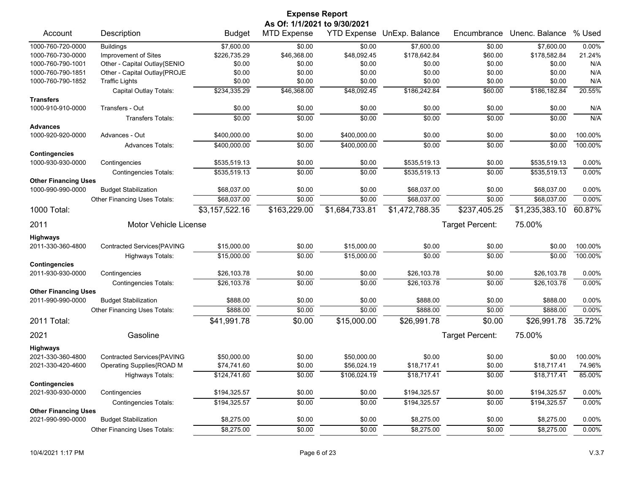|                                                  |                              |                | <b>Expense Report</b>                              |                    |                |                 |                |         |
|--------------------------------------------------|------------------------------|----------------|----------------------------------------------------|--------------------|----------------|-----------------|----------------|---------|
| Account                                          | Description                  | <b>Budget</b>  | As Of: 1/1/2021 to 9/30/2021<br><b>MTD Expense</b> | <b>YTD Expense</b> | UnExp. Balance | Encumbrance     | Unenc. Balance | % Used  |
| 1000-760-720-0000                                | <b>Buildings</b>             | \$7,600.00     | \$0.00                                             | \$0.00             | \$7,600.00     | \$0.00          | \$7,600.00     | 0.00%   |
| 1000-760-730-0000                                | Improvement of Sites         | \$226,735.29   | \$46,368.00                                        | \$48,092.45        | \$178,642.84   | \$60.00         | \$178,582.84   | 21.24%  |
| 1000-760-790-1001                                | Other - Capital Outlay{SENIO | \$0.00         | \$0.00                                             | \$0.00             | \$0.00         | \$0.00          | \$0.00         | N/A     |
| 1000-760-790-1851                                | Other - Capital Outlay{PROJE | \$0.00         | \$0.00                                             | \$0.00             | \$0.00         | \$0.00          | \$0.00         | N/A     |
| 1000-760-790-1852                                | <b>Traffic Lights</b>        | \$0.00         | \$0.00                                             | \$0.00             | \$0.00         | \$0.00          | \$0.00         | N/A     |
|                                                  | Capital Outlay Totals:       | \$234,335.29   | \$46,368.00                                        | \$48,092.45        | \$186,242.84   | \$60.00         | \$186,182.84   | 20.55%  |
| <b>Transfers</b>                                 |                              |                |                                                    |                    |                |                 |                |         |
| 1000-910-910-0000                                | Transfers - Out              | \$0.00         | \$0.00                                             | \$0.00             | \$0.00         | \$0.00          | \$0.00         | N/A     |
|                                                  | <b>Transfers Totals:</b>     | \$0.00         | \$0.00                                             | \$0.00             | \$0.00         | \$0.00          | \$0.00         | N/A     |
| Advances                                         |                              |                |                                                    |                    |                |                 |                |         |
| 1000-920-920-0000                                | Advances - Out               | \$400,000.00   | \$0.00                                             | \$400,000.00       | \$0.00         | \$0.00          | \$0.00         | 100.00% |
|                                                  | <b>Advances Totals:</b>      | \$400,000.00   | \$0.00                                             | \$400,000.00       | \$0.00         | \$0.00          | \$0.00         | 100.00% |
| <b>Contingencies</b>                             |                              |                |                                                    |                    |                |                 |                |         |
| 1000-930-930-0000                                | Contingencies                | \$535,519.13   | \$0.00                                             | \$0.00             | \$535,519.13   | \$0.00          | \$535,519.13   | 0.00%   |
|                                                  | <b>Contingencies Totals:</b> | \$535,519.13   | \$0.00                                             | \$0.00             | \$535,519.13   | \$0.00          | \$535,519.13   | 0.00%   |
| <b>Other Financing Uses</b><br>1000-990-990-0000 | <b>Budget Stabilization</b>  | \$68,037.00    | \$0.00                                             | \$0.00             | \$68,037.00    | \$0.00          | \$68,037.00    | 0.00%   |
|                                                  | Other Financing Uses Totals: | \$68,037.00    | \$0.00                                             | \$0.00             | \$68,037.00    | \$0.00          | \$68,037.00    | 0.00%   |
| 1000 Total:                                      |                              | \$3,157,522.16 | \$163,229.00                                       | \$1,684,733.81     | \$1,472,788.35 | \$237,405.25    | \$1,235,383.10 | 60.87%  |
| 2011                                             | <b>Motor Vehicle License</b> |                |                                                    |                    |                | Target Percent: | 75.00%         |         |
|                                                  |                              |                |                                                    |                    |                |                 |                |         |
| Highways<br>2011-330-360-4800                    | Contracted Services{PAVING   | \$15,000.00    | \$0.00                                             | \$15,000.00        | \$0.00         | \$0.00          | \$0.00         | 100.00% |
|                                                  | <b>Highways Totals:</b>      | \$15,000.00    | \$0.00                                             | \$15,000.00        | \$0.00         | \$0.00          | \$0.00         | 100.00% |
| <b>Contingencies</b>                             |                              |                |                                                    |                    |                |                 |                |         |
| 2011-930-930-0000                                | Contingencies                | \$26,103.78    | \$0.00                                             | \$0.00             | \$26,103.78    | \$0.00          | \$26,103.78    | 0.00%   |
|                                                  | <b>Contingencies Totals:</b> | \$26,103.78    | \$0.00                                             | \$0.00             | \$26,103.78    | \$0.00          | \$26,103.78    | 0.00%   |
| <b>Other Financing Uses</b>                      |                              |                |                                                    |                    |                |                 |                |         |
| 2011-990-990-0000                                | <b>Budget Stabilization</b>  | \$888.00       | \$0.00                                             | \$0.00             | \$888.00       | \$0.00          | \$888.00       | 0.00%   |
|                                                  | Other Financing Uses Totals: | \$888.00       | \$0.00                                             | \$0.00             | \$888.00       | \$0.00          | \$888.00       | 0.00%   |
| 2011 Total:                                      |                              | \$41,991.78    | \$0.00                                             | \$15,000.00        | \$26,991.78    | \$0.00          | \$26,991.78    | 35.72%  |
| 2021                                             | Gasoline                     |                |                                                    |                    |                | Target Percent: | 75.00%         |         |
| <b>Highways</b>                                  |                              |                |                                                    |                    |                |                 |                |         |
| 2021-330-360-4800                                | Contracted Services{PAVING   | \$50,000.00    | \$0.00                                             | \$50,000.00        | \$0.00         | \$0.00          | \$0.00         | 100.00% |
| 2021-330-420-4600                                | Operating Supplies{ROAD M    | \$74,741.60    | \$0.00                                             | \$56,024.19        | \$18,717.41    | \$0.00          | \$18,717.41    | 74.96%  |
|                                                  | Highways Totals:             | \$124,741.60   | \$0.00                                             | \$106,024.19       | \$18,717.41    | \$0.00          | \$18,717.41    | 85.00%  |
| <b>Contingencies</b>                             |                              |                |                                                    |                    |                |                 |                |         |
| 2021-930-930-0000                                | Contingencies                | \$194,325.57   | \$0.00                                             | \$0.00             | \$194,325.57   | \$0.00          | \$194,325.57   | 0.00%   |
|                                                  | <b>Contingencies Totals:</b> | \$194,325.57   | \$0.00                                             | \$0.00             | \$194,325.57   | \$0.00          | \$194,325.57   | 0.00%   |
| <b>Other Financing Uses</b>                      |                              |                |                                                    |                    |                |                 |                |         |
| 2021-990-990-0000                                | <b>Budget Stabilization</b>  | \$8,275.00     | \$0.00                                             | \$0.00             | \$8,275.00     | \$0.00          | \$8,275.00     | 0.00%   |
|                                                  | Other Financing Uses Totals: | \$8,275.00     | \$0.00                                             | \$0.00             | \$8,275.00     | \$0.00          | \$8,275.00     | 0.00%   |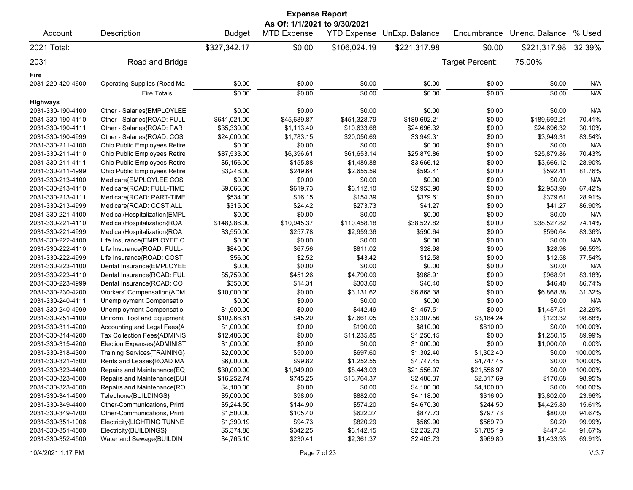| <b>Expense Report</b><br>As Of: 1/1/2021 to 9/30/2021 |                              |               |                    |              |                            |                 |                |         |
|-------------------------------------------------------|------------------------------|---------------|--------------------|--------------|----------------------------|-----------------|----------------|---------|
| Account                                               | Description                  | <b>Budget</b> | <b>MTD Expense</b> |              | YTD Expense UnExp. Balance | Encumbrance     | Unenc. Balance | % Used  |
| 2021 Total:                                           |                              | \$327,342.17  | \$0.00             | \$106,024.19 | \$221,317.98               | \$0.00          | \$221,317.98   | 32.39%  |
| 2031                                                  | Road and Bridge              |               |                    |              |                            | Target Percent: | 75.00%         |         |
| Fire                                                  |                              |               |                    |              |                            |                 |                |         |
| 2031-220-420-4600                                     | Operating Supplies (Road Ma  | \$0.00        | \$0.00             | \$0.00       | \$0.00                     | \$0.00          | \$0.00         | N/A     |
|                                                       | Fire Totals:                 | \$0.00        | \$0.00             | \$0.00       | \$0.00                     | \$0.00          | \$0.00         | N/A     |
| <b>Highways</b>                                       |                              |               |                    |              |                            |                 |                |         |
| 2031-330-190-4100                                     | Other - Salaries{EMPLOYLEE   | \$0.00        | \$0.00             | \$0.00       | \$0.00                     | \$0.00          | \$0.00         | N/A     |
| 2031-330-190-4110                                     | Other - Salaries{ROAD: FULL  | \$641,021.00  | \$45,689.87        | \$451,328.79 | \$189,692.21               | \$0.00          | \$189,692.21   | 70.41%  |
| 2031-330-190-4111                                     | Other - Salaries{ROAD: PAR   | \$35,330.00   | \$1,113.40         | \$10,633.68  | \$24,696.32                | \$0.00          | \$24,696.32    | 30.10%  |
| 2031-330-190-4999                                     | Other - Salaries{ROAD: COS   | \$24,000.00   | \$1,783.15         | \$20,050.69  | \$3,949.31                 | \$0.00          | \$3,949.31     | 83.54%  |
| 2031-330-211-4100                                     | Ohio Public Employees Retire | \$0.00        | \$0.00             | \$0.00       | \$0.00                     | \$0.00          | \$0.00         | N/A     |
| 2031-330-211-4110                                     | Ohio Public Employees Retire | \$87,533.00   | \$6,396.61         | \$61,653.14  | \$25,879.86                | \$0.00          | \$25,879.86    | 70.43%  |
| 2031-330-211-4111                                     | Ohio Public Employees Retire | \$5,156.00    | \$155.88           | \$1,489.88   | \$3,666.12                 | \$0.00          | \$3,666.12     | 28.90%  |
| 2031-330-211-4999                                     | Ohio Public Employees Retire | \$3,248.00    | \$249.64           | \$2,655.59   | \$592.41                   | \$0.00          | \$592.41       | 81.76%  |
| 2031-330-213-4100                                     | Medicare{EMPLOYLEE COS       | \$0.00        | \$0.00             | \$0.00       | \$0.00                     | \$0.00          | \$0.00         | N/A     |
| 2031-330-213-4110                                     | Medicare{ROAD: FULL-TIME     | \$9,066.00    | \$619.73           | \$6,112.10   | \$2,953.90                 | \$0.00          | \$2,953.90     | 67.42%  |
| 2031-330-213-4111                                     | Medicare{ROAD: PART-TIME     | \$534.00      | \$16.15            | \$154.39     | \$379.61                   | \$0.00          | \$379.61       | 28.91%  |
| 2031-330-213-4999                                     | Medicare{ROAD: COST ALL      | \$315.00      | \$24.42            | \$273.73     | \$41.27                    | \$0.00          | \$41.27        | 86.90%  |
| 2031-330-221-4100                                     | Medical/Hospitalization{EMPL | \$0.00        | \$0.00             | \$0.00       | \$0.00                     | \$0.00          | \$0.00         | N/A     |
| 2031-330-221-4110                                     | Medical/Hospitalization{ROA  | \$148,986.00  | \$10,945.37        | \$110,458.18 | \$38,527.82                | \$0.00          | \$38,527.82    | 74.14%  |
| 2031-330-221-4999                                     | Medical/Hospitalization{ROA  | \$3,550.00    | \$257.78           | \$2,959.36   | \$590.64                   | \$0.00          | \$590.64       | 83.36%  |
| 2031-330-222-4100                                     | Life Insurance{EMPLOYEE C    | \$0.00        | \$0.00             | \$0.00       | \$0.00                     | \$0.00          | \$0.00         | N/A     |
| 2031-330-222-4110                                     | Life Insurance{ROAD: FULL-   | \$840.00      | \$67.56            | \$811.02     | \$28.98                    | \$0.00          | \$28.98        | 96.55%  |
| 2031-330-222-4999                                     | Life Insurance{ROAD: COST    | \$56.00       | \$2.52             | \$43.42      | \$12.58                    | \$0.00          | \$12.58        | 77.54%  |
| 2031-330-223-4100                                     | Dental Insurance{EMPLOYEE    | \$0.00        | \$0.00             | \$0.00       | \$0.00                     | \$0.00          | \$0.00         | N/A     |
| 2031-330-223-4110                                     | Dental Insurance{ROAD: FUL   | \$5,759.00    | \$451.26           | \$4,790.09   | \$968.91                   | \$0.00          | \$968.91       | 83.18%  |
| 2031-330-223-4999                                     | Dental Insurance{ROAD: CO    | \$350.00      | \$14.31            | \$303.60     | \$46.40                    | \$0.00          | \$46.40        | 86.74%  |
| 2031-330-230-4200                                     | Workers' Compensation{ADM    | \$10,000.00   | \$0.00             | \$3,131.62   | \$6,868.38                 | \$0.00          | \$6,868.38     | 31.32%  |
| 2031-330-240-4111                                     | Unemployment Compensatio     | \$0.00        | \$0.00             | \$0.00       | \$0.00                     | \$0.00          | \$0.00         | N/A     |
| 2031-330-240-4999                                     | Unemployment Compensatio     | \$1,900.00    | \$0.00             | \$442.49     | \$1,457.51                 | \$0.00          | \$1,457.51     | 23.29%  |
| 2031-330-251-4100                                     | Uniform, Tool and Equipment  | \$10,968.61   | \$45.20            | \$7,661.05   | \$3,307.56                 | \$3,184.24      | \$123.32       | 98.88%  |
| 2031-330-311-4200                                     | Accounting and Legal Fees{A  | \$1,000.00    | \$0.00             | \$190.00     | \$810.00                   | \$810.00        | \$0.00         | 100.00% |
| 2031-330-314-4200                                     | Tax Collection Fees{ADMINIS  | \$12,486.00   | \$0.00             | \$11,235.85  | \$1,250.15                 | \$0.00          | \$1,250.15     | 89.99%  |
| 2031-330-315-4200                                     | Election Expenses{ADMINIST   | \$1,000.00    | \$0.00             | \$0.00       | \$1,000.00                 | \$0.00          | \$1,000.00     | 0.00%   |
| 2031-330-318-4300                                     | Training Services{TRAINING}  | \$2,000.00    | \$50.00            | \$697.60     | \$1,302.40                 | \$1,302.40      | \$0.00         | 100.00% |
| 2031-330-321-4600                                     | Rents and Leases{ROAD MA     | \$6,000.00    | \$99.82            | \$1,252.55   | \$4,747.45                 | \$4,747.45      | \$0.00         | 100.00% |
| 2031-330-323-4400                                     | Repairs and Maintenance{EQ   | \$30,000.00   | \$1,949.00         | \$8,443.03   | \$21,556.97                | \$21,556.97     | \$0.00         | 100.00% |
| 2031-330-323-4500                                     | Repairs and Maintenance{BUI  | \$16,252.74   | \$745.25           | \$13,764.37  | \$2,488.37                 | \$2,317.69      | \$170.68       | 98.95%  |
| 2031-330-323-4600                                     | Repairs and Maintenance{RO   | \$4,100.00    | \$0.00             | \$0.00       | \$4,100.00                 | \$4,100.00      | \$0.00         | 100.00% |
| 2031-330-341-4500                                     | Telephone{BUILDINGS}         | \$5,000.00    | \$98.00            | \$882.00     | \$4,118.00                 | \$316.00        | \$3,802.00     | 23.96%  |
| 2031-330-349-4400                                     | Other-Communications, Printi | \$5,244.50    | \$144.90           | \$574.20     | \$4,670.30                 | \$244.50        | \$4,425.80     | 15.61%  |
| 2031-330-349-4700                                     | Other-Communications, Printi | \$1,500.00    | \$105.40           | \$622.27     | \$877.73                   | \$797.73        | \$80.00        | 94.67%  |
| 2031-330-351-1006                                     | Electricity{LIGHTING TUNNE   | \$1,390.19    | \$94.73            | \$820.29     | \$569.90                   | \$569.70        | \$0.20         | 99.99%  |
| 2031-330-351-4500                                     | Electricity{BUILDINGS}       | \$5,374.88    | \$342.25           | \$3,142.15   | \$2,232.73                 | \$1,785.19      | \$447.54       | 91.67%  |
| 2031-330-352-4500                                     | Water and Sewage{BUILDIN     | \$4,765.10    | \$230.41           | \$2,361.37   | \$2,403.73                 | \$969.80        | \$1,433.93     | 69.91%  |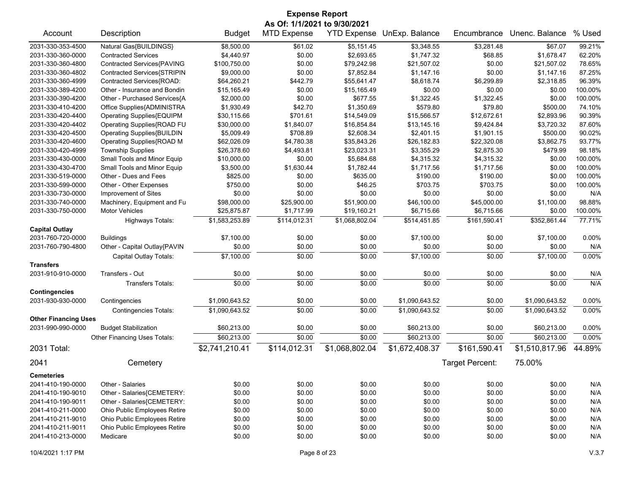| <b>Expense Report</b>                            |                              |                |                    |                            |                |                 |                |          |  |
|--------------------------------------------------|------------------------------|----------------|--------------------|----------------------------|----------------|-----------------|----------------|----------|--|
| As Of: 1/1/2021 to 9/30/2021                     |                              |                |                    |                            |                |                 |                |          |  |
| Account                                          | Description                  | <b>Budget</b>  | <b>MTD Expense</b> | <b>YTD Expense</b>         | UnExp. Balance | Encumbrance     | Unenc. Balance | % Used   |  |
| 2031-330-353-4500                                | Natural Gas{BUILDINGS}       | \$8,500.00     | \$61.02            | \$5,151.45                 | \$3,348.55     | \$3,281.48      | \$67.07        | 99.21%   |  |
| 2031-330-360-0000                                | <b>Contracted Services</b>   | \$4,440.97     | \$0.00             | \$2,693.65                 | \$1,747.32     | \$68.85         | \$1,678.47     | 62.20%   |  |
| 2031-330-360-4800                                | Contracted Services{PAVING   | \$100,750.00   | \$0.00             | \$79,242.98                | \$21,507.02    | \$0.00          | \$21,507.02    | 78.65%   |  |
| 2031-330-360-4802                                | Contracted Services{STRIPIN  | \$9,000.00     | \$0.00             | \$7,852.84                 | \$1,147.16     | \$0.00          | \$1,147.16     | 87.25%   |  |
| 2031-330-360-4999                                | Contracted Services{ROAD:    | \$64,260.21    | \$442.79           | \$55,641.47                | \$8,618.74     | \$6,299.89      | \$2,318.85     | 96.39%   |  |
| 2031-330-389-4200                                | Other - Insurance and Bondin | \$15,165.49    | \$0.00             | \$15,165.49                | \$0.00         | \$0.00          | \$0.00         | 100.00%  |  |
| 2031-330-390-4200                                | Other - Purchased Services{A | \$2,000.00     | \$0.00             | \$677.55                   | \$1,322.45     | \$1,322.45      | \$0.00         | 100.00%  |  |
| 2031-330-410-4200                                | Office Supplies{ADMINISTRA   | \$1,930.49     | \$42.70            | \$1,350.69                 | \$579.80       | \$79.80         | \$500.00       | 74.10%   |  |
| 2031-330-420-4400                                | Operating Supplies{EQUIPM    | \$30,115.66    | \$701.61           | \$14,549.09                | \$15,566.57    | \$12,672.61     | \$2,893.96     | 90.39%   |  |
| 2031-330-420-4402                                | Operating Supplies{ROAD FU   | \$30,000.00    | \$1,840.07         | \$16,854.84                | \$13,145.16    | \$9,424.84      | \$3,720.32     | 87.60%   |  |
| 2031-330-420-4500                                | Operating Supplies{BUILDIN   | \$5,009.49     | \$708.89           | \$2,608.34                 | \$2,401.15     | \$1,901.15      | \$500.00       | 90.02%   |  |
| 2031-330-420-4600                                | Operating Supplies{ROAD M    | \$62,026.09    | \$4,780.38         | \$35,843.26                | \$26,182.83    | \$22,320.08     | \$3,862.75     | 93.77%   |  |
| 2031-330-420-4999                                | <b>Township Supplies</b>     | \$26,378.60    | \$4,493.81         | \$23,023.31                | \$3,355.29     | \$2,875.30      | \$479.99       | 98.18%   |  |
| 2031-330-430-0000                                | Small Tools and Minor Equip  | \$10,000.00    | \$0.00             | \$5,684.68                 | \$4,315.32     | \$4,315.32      | \$0.00         | 100.00%  |  |
| 2031-330-430-4700                                | Small Tools and Minor Equip  | \$3,500.00     | \$1,630.44         | \$1,782.44                 | \$1,717.56     | \$1,717.56      | \$0.00         | 100.00%  |  |
| 2031-330-519-0000                                | Other - Dues and Fees        | \$825.00       | \$0.00             | \$635.00                   | \$190.00       | \$190.00        | \$0.00         | 100.00%  |  |
| 2031-330-599-0000                                | Other - Other Expenses       | \$750.00       | \$0.00             | \$46.25                    | \$703.75       | \$703.75        | \$0.00         | 100.00%  |  |
| 2031-330-730-0000                                | Improvement of Sites         | \$0.00         | \$0.00             | \$0.00                     | \$0.00         | \$0.00          | \$0.00         | N/A      |  |
| 2031-330-740-0000                                | Machinery, Equipment and Fu  | \$98,000.00    | \$25,900.00        | \$51,900.00                | \$46,100.00    | \$45,000.00     | \$1,100.00     | 98.88%   |  |
| 2031-330-750-0000                                | <b>Motor Vehicles</b>        | \$25,875.87    | \$1,717.99         | \$19,160.21                | \$6,715.66     | \$6,715.66      | \$0.00         | 100.00%  |  |
|                                                  | <b>Highways Totals:</b>      | \$1,583,253.89 | \$114,012.31       | \$1,068,802.04             | \$514,451.85   | \$161,590.41    | \$352,861.44   | 77.71%   |  |
| <b>Capital Outlay</b>                            |                              |                |                    |                            |                |                 |                |          |  |
| 2031-760-720-0000                                | <b>Buildings</b>             | \$7,100.00     | \$0.00             | \$0.00                     | \$7,100.00     | \$0.00          | \$7,100.00     | 0.00%    |  |
| 2031-760-790-4800                                | Other - Capital Outlay{PAVIN | \$0.00         | \$0.00             | \$0.00                     | \$0.00         | \$0.00          | \$0.00         | N/A      |  |
|                                                  | Capital Outlay Totals:       | \$7,100.00     | \$0.00             | \$0.00                     | \$7,100.00     | \$0.00          | \$7,100.00     | 0.00%    |  |
| <b>Transfers</b>                                 |                              |                |                    |                            |                |                 |                |          |  |
| 2031-910-910-0000                                | Transfers - Out              | \$0.00         | \$0.00             | \$0.00                     | \$0.00         | \$0.00          | \$0.00         | N/A      |  |
|                                                  | <b>Transfers Totals:</b>     | \$0.00         | \$0.00             | \$0.00                     | \$0.00         | \$0.00          | \$0.00         | N/A      |  |
| <b>Contingencies</b>                             |                              |                |                    |                            |                |                 |                |          |  |
| 2031-930-930-0000                                | Contingencies                | \$1,090,643.52 | \$0.00             | \$0.00                     | \$1,090,643.52 | \$0.00          | \$1,090,643.52 | 0.00%    |  |
|                                                  | <b>Contingencies Totals:</b> | \$1,090,643.52 | \$0.00             | \$0.00                     | \$1,090,643.52 | \$0.00          | \$1,090,643.52 | 0.00%    |  |
| <b>Other Financing Uses</b><br>2031-990-990-0000 | <b>Budget Stabilization</b>  | \$60,213.00    | \$0.00             | \$0.00                     | \$60,213.00    | \$0.00          | \$60,213.00    | 0.00%    |  |
|                                                  | Other Financing Uses Totals: | \$60,213.00    | \$0.00             | \$0.00                     | \$60,213.00    | \$0.00          | \$60,213.00    | $0.00\%$ |  |
| 2031 Total:                                      |                              | \$2,741,210.41 | \$114,012.31       | $\overline{$1,068,802.04}$ | \$1,672,408.37 | \$161,590.41    | \$1,510,817.96 | 44.89%   |  |
| 2041                                             | Cemetery                     |                |                    |                            |                | Target Percent: | 75.00%         |          |  |
|                                                  |                              |                |                    |                            |                |                 |                |          |  |
| <b>Cemeteries</b>                                |                              |                |                    |                            |                |                 |                |          |  |
| 2041-410-190-0000                                | Other - Salaries             | \$0.00         | \$0.00             | \$0.00                     | \$0.00         | \$0.00          | \$0.00         | N/A      |  |
| 2041-410-190-9010                                | Other - Salaries{CEMETERY:   | \$0.00         | \$0.00             | \$0.00                     | \$0.00         | \$0.00          | \$0.00         | N/A      |  |
| 2041-410-190-9011                                | Other - Salaries{CEMETERY:   | \$0.00         | \$0.00             | \$0.00                     | \$0.00         | \$0.00          | \$0.00         | N/A      |  |
| 2041-410-211-0000                                | Ohio Public Employees Retire | \$0.00         | \$0.00             | \$0.00                     | \$0.00         | \$0.00          | \$0.00         | N/A      |  |
| 2041-410-211-9010                                | Ohio Public Employees Retire | \$0.00         | \$0.00             | \$0.00                     | \$0.00         | \$0.00          | \$0.00         | N/A      |  |
| 2041-410-211-9011                                | Ohio Public Employees Retire | \$0.00         | \$0.00             | \$0.00                     | \$0.00         | \$0.00          | \$0.00         | N/A      |  |
| 2041-410-213-0000                                | Medicare                     | \$0.00         | \$0.00             | \$0.00                     | \$0.00         | \$0.00          | \$0.00         | N/A      |  |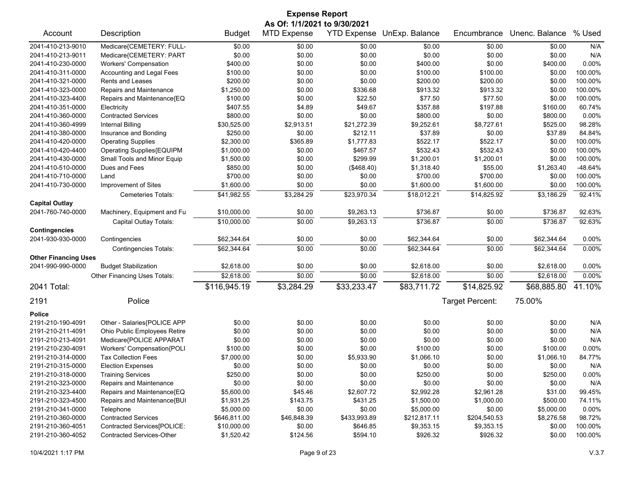|                              |                              |               | <b>Expense Report</b> |                    |                |                 |                |           |  |  |
|------------------------------|------------------------------|---------------|-----------------------|--------------------|----------------|-----------------|----------------|-----------|--|--|
| As Of: 1/1/2021 to 9/30/2021 |                              |               |                       |                    |                |                 |                |           |  |  |
| Account                      | Description                  | <b>Budget</b> | <b>MTD Expense</b>    | <b>YTD Expense</b> | UnExp. Balance | Encumbrance     | Unenc. Balance | % Used    |  |  |
| 2041-410-213-9010            | Medicare{CEMETERY: FULL-     | \$0.00        | \$0.00                | \$0.00             | \$0.00         | \$0.00          | \$0.00         | N/A       |  |  |
| 2041-410-213-9011            | Medicare{CEMETERY: PART      | \$0.00        | \$0.00                | \$0.00             | \$0.00         | \$0.00          | \$0.00         | N/A       |  |  |
| 2041-410-230-0000            | <b>Workers' Compensation</b> | \$400.00      | \$0.00                | \$0.00             | \$400.00       | \$0.00          | \$400.00       | 0.00%     |  |  |
| 2041-410-311-0000            | Accounting and Legal Fees    | \$100.00      | \$0.00                | \$0.00             | \$100.00       | \$100.00        | \$0.00         | 100.00%   |  |  |
| 2041-410-321-0000            | Rents and Leases             | \$200.00      | \$0.00                | \$0.00             | \$200.00       | \$200.00        | \$0.00         | 100.00%   |  |  |
| 2041-410-323-0000            | Repairs and Maintenance      | \$1,250.00    | \$0.00                | \$336.68           | \$913.32       | \$913.32        | \$0.00         | 100.00%   |  |  |
| 2041-410-323-4400            | Repairs and Maintenance{EQ   | \$100.00      | \$0.00                | \$22.50            | \$77.50        | \$77.50         | \$0.00         | 100.00%   |  |  |
| 2041-410-351-0000            | Electricity                  | \$407.55      | \$4.89                | \$49.67            | \$357.88       | \$197.88        | \$160.00       | 60.74%    |  |  |
| 2041-410-360-0000            | <b>Contracted Services</b>   | \$800.00      | \$0.00                | \$0.00             | \$800.00       | \$0.00          | \$800.00       | 0.00%     |  |  |
| 2041-410-360-4999            | Internal Billing             | \$30,525.00   | \$2,913.51            | \$21,272.39        | \$9,252.61     | \$8,727.61      | \$525.00       | 98.28%    |  |  |
| 2041-410-380-0000            | Insurance and Bonding        | \$250.00      | \$0.00                | \$212.11           | \$37.89        | \$0.00          | \$37.89        | 84.84%    |  |  |
| 2041-410-420-0000            | <b>Operating Supplies</b>    | \$2,300.00    | \$365.89              | \$1,777.83         | \$522.17       | \$522.17        | \$0.00         | 100.00%   |  |  |
| 2041-410-420-4400            | Operating Supplies{EQUIPM    | \$1,000.00    | \$0.00                | \$467.57           | \$532.43       | \$532.43        | \$0.00         | 100.00%   |  |  |
| 2041-410-430-0000            | Small Tools and Minor Equip  | \$1,500.00    | \$0.00                | \$299.99           | \$1,200.01     | \$1,200.01      | \$0.00         | 100.00%   |  |  |
| 2041-410-510-0000            | Dues and Fees                | \$850.00      | \$0.00                | (\$468.40)         | \$1,318.40     | \$55.00         | \$1,263.40     | $-48.64%$ |  |  |
| 2041-410-710-0000            | Land                         | \$700.00      | \$0.00                | \$0.00             | \$700.00       | \$700.00        | \$0.00         | 100.00%   |  |  |
| 2041-410-730-0000            | Improvement of Sites         | \$1,600.00    | \$0.00                | \$0.00             | \$1,600.00     | \$1,600.00      | \$0.00         | 100.00%   |  |  |
|                              | Cemeteries Totals:           | \$41,982.55   | \$3,284.29            | \$23,970.34        | \$18,012.21    | \$14,825.92     | \$3,186.29     | 92.41%    |  |  |
| <b>Capital Outlay</b>        |                              |               |                       |                    |                |                 |                |           |  |  |
| 2041-760-740-0000            | Machinery, Equipment and Fu  | \$10,000.00   | \$0.00                | \$9,263.13         | \$736.87       | \$0.00          | \$736.87       | 92.63%    |  |  |
|                              | Capital Outlay Totals:       | \$10,000.00   | \$0.00                | \$9,263.13         | \$736.87       | \$0.00          | \$736.87       | 92.63%    |  |  |
| <b>Contingencies</b>         |                              |               |                       |                    |                |                 |                |           |  |  |
| 2041-930-930-0000            | Contingencies                | \$62,344.64   | \$0.00                | \$0.00             | \$62,344.64    | \$0.00          | \$62,344.64    | 0.00%     |  |  |
|                              | Contingencies Totals:        | \$62,344.64   | \$0.00                | \$0.00             | \$62,344.64    | \$0.00          | \$62,344.64    | 0.00%     |  |  |
| <b>Other Financing Uses</b>  |                              |               |                       |                    |                |                 |                |           |  |  |
| 2041-990-990-0000            | <b>Budget Stabilization</b>  | \$2,618.00    | \$0.00                | \$0.00             | \$2,618.00     | \$0.00          | \$2,618.00     | 0.00%     |  |  |
|                              | Other Financing Uses Totals: | \$2,618.00    | \$0.00                | \$0.00             | \$2,618.00     | \$0.00          | \$2,618.00     | 0.00%     |  |  |
| 2041 Total:                  |                              | \$116,945.19  | \$3,284.29            | \$33,233.47        | \$83,711.72    | \$14,825.92     | \$68,885.80    | 41.10%    |  |  |
|                              |                              |               |                       |                    |                |                 |                |           |  |  |
| 2191                         | Police                       |               |                       |                    |                | Target Percent: | 75.00%         |           |  |  |
| Police                       |                              |               |                       |                    |                |                 |                |           |  |  |
| 2191-210-190-4091            | Other - Salaries{POLICE APP  | \$0.00        | \$0.00                | \$0.00             | \$0.00         | \$0.00          | \$0.00         | N/A       |  |  |
| 2191-210-211-4091            | Ohio Public Employees Retire | \$0.00        | \$0.00                | \$0.00             | \$0.00         | \$0.00          | \$0.00         | N/A       |  |  |
| 2191-210-213-4091            | Medicare{POLICE APPARAT      | \$0.00        | \$0.00                | \$0.00             | \$0.00         | \$0.00          | \$0.00         | N/A       |  |  |
| 2191-210-230-4091            | Workers' Compensation{POLI   | \$100.00      | \$0.00                | \$0.00             | \$100.00       | \$0.00          | \$100.00       | 0.00%     |  |  |
| 2191-210-314-0000            | <b>Tax Collection Fees</b>   | \$7,000.00    | \$0.00                | \$5,933.90         | \$1,066.10     | \$0.00          | \$1,066.10     | 84.77%    |  |  |
| 2191-210-315-0000            | <b>Election Expenses</b>     | \$0.00        | \$0.00                | \$0.00             | \$0.00         | \$0.00          | \$0.00         | N/A       |  |  |
| 2191-210-318-0000            | <b>Training Services</b>     | \$250.00      | \$0.00                | \$0.00             | \$250.00       | \$0.00          | \$250.00       | 0.00%     |  |  |
| 2191-210-323-0000            | Repairs and Maintenance      | \$0.00        | \$0.00                | \$0.00             | \$0.00         | \$0.00          | \$0.00         | N/A       |  |  |
| 2191-210-323-4400            | Repairs and Maintenance{EQ   | \$5,600.00    | \$45.46               | \$2,607.72         | \$2,992.28     | \$2,961.28      | \$31.00        | 99.45%    |  |  |
| 2191-210-323-4500            | Repairs and Maintenance{BUI  | \$1,931.25    | \$143.75              | \$431.25           | \$1,500.00     | \$1,000.00      | \$500.00       | 74.11%    |  |  |
| 2191-210-341-0000            | Telephone                    | \$5,000.00    | \$0.00                | \$0.00             | \$5,000.00     | \$0.00          | \$5,000.00     | 0.00%     |  |  |
| 2191-210-360-0000            | <b>Contracted Services</b>   | \$646,811.00  | \$46,848.39           | \$433,993.89       | \$212,817.11   | \$204,540.53    | \$8,276.58     | 98.72%    |  |  |
| 2191-210-360-4051            | Contracted Services[POLICE:  | \$10,000.00   | \$0.00                | \$646.85           | \$9,353.15     | \$9,353.15      | \$0.00         | 100.00%   |  |  |
| 2191-210-360-4052            | Contracted Services-Other    | \$1,520.42    | \$124.56              | \$594.10           | \$926.32       | \$926.32        | \$0.00         | 100.00%   |  |  |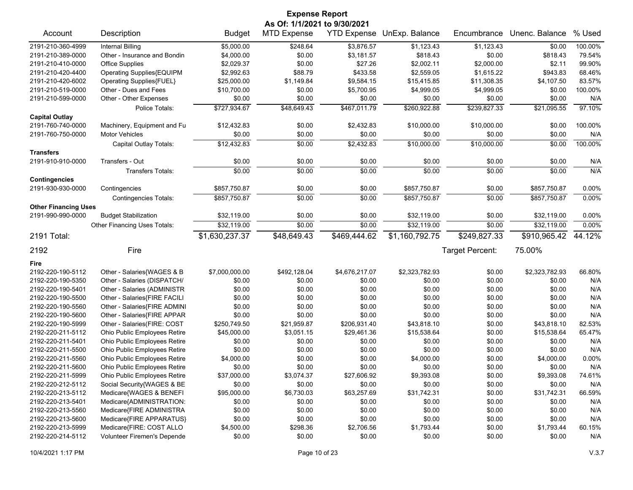| <b>Expense Report</b>                     |                                                      |                      |                    |                      |                            |                  |                      |               |  |
|-------------------------------------------|------------------------------------------------------|----------------------|--------------------|----------------------|----------------------------|------------------|----------------------|---------------|--|
| As Of: 1/1/2021 to 9/30/2021              |                                                      |                      |                    |                      |                            |                  |                      |               |  |
| Account                                   | Description                                          | <b>Budget</b>        | <b>MTD Expense</b> |                      | YTD Expense UnExp. Balance | Encumbrance      | Unenc. Balance       | % Used        |  |
| 2191-210-360-4999                         | <b>Internal Billing</b>                              | \$5,000.00           | \$248.64           | \$3,876.57           | \$1,123.43                 | \$1,123.43       | \$0.00               | 100.00%       |  |
| 2191-210-389-0000                         | Other - Insurance and Bondin                         | \$4,000.00           | \$0.00             | \$3,181.57           | \$818.43                   | \$0.00           | \$818.43             | 79.54%        |  |
| 2191-210-410-0000                         | <b>Office Supplies</b>                               | \$2,029.37           | \$0.00             | \$27.26              | \$2,002.11                 | \$2,000.00       | \$2.11               | 99.90%        |  |
| 2191-210-420-4400                         | Operating Supplies{EQUIPM                            | \$2,992.63           | \$88.79            | \$433.58             | \$2,559.05                 | \$1,615.22       | \$943.83             | 68.46%        |  |
| 2191-210-420-6002                         | <b>Operating Supplies{FUEL}</b>                      | \$25,000.00          | \$1,149.84         | \$9,584.15           | \$15,415.85                | \$11,308.35      | \$4,107.50           | 83.57%        |  |
| 2191-210-519-0000                         | Other - Dues and Fees                                | \$10,700.00          | \$0.00             | \$5,700.95           | \$4,999.05                 | \$4,999.05       | \$0.00               | 100.00%       |  |
| 2191-210-599-0000                         | Other - Other Expenses                               | \$0.00               | \$0.00             | \$0.00               | \$0.00                     | \$0.00           | \$0.00               | N/A           |  |
|                                           | Police Totals:                                       | \$727,934.67         | \$48,649.43        | \$467,011.79         | \$260,922.88               | \$239,827.33     | \$21,095.55          | 97.10%        |  |
| <b>Capital Outlay</b>                     |                                                      |                      |                    |                      |                            |                  |                      |               |  |
| 2191-760-740-0000                         | Machinery, Equipment and Fu                          | \$12,432.83          | \$0.00             | \$2,432.83           | \$10,000.00                | \$10,000.00      | \$0.00               | 100.00%       |  |
| 2191-760-750-0000                         | <b>Motor Vehicles</b>                                | \$0.00               | \$0.00             | \$0.00               | \$0.00                     | \$0.00           | \$0.00               | N/A           |  |
|                                           | Capital Outlay Totals:                               | \$12,432.83          | \$0.00             | \$2,432.83           | \$10,000.00                | \$10,000.00      | \$0.00               | 100.00%       |  |
| <b>Transfers</b>                          |                                                      |                      |                    |                      |                            |                  |                      |               |  |
| 2191-910-910-0000                         | Transfers - Out                                      | \$0.00               | \$0.00             | \$0.00               | \$0.00                     | \$0.00           | \$0.00               | N/A           |  |
|                                           | <b>Transfers Totals:</b>                             | \$0.00               | \$0.00             | \$0.00               | \$0.00                     | \$0.00           | \$0.00               | N/A           |  |
| <b>Contingencies</b><br>2191-930-930-0000 | Contingencies                                        | \$857,750.87         | \$0.00             | \$0.00               | \$857,750.87               | \$0.00           | \$857,750.87         | 0.00%         |  |
|                                           |                                                      | \$857,750.87         | \$0.00             | \$0.00               | \$857,750.87               | \$0.00           | \$857,750.87         | 0.00%         |  |
| <b>Other Financing Uses</b>               | <b>Contingencies Totals:</b>                         |                      |                    |                      |                            |                  |                      |               |  |
| 2191-990-990-0000                         | <b>Budget Stabilization</b>                          | \$32,119.00          | \$0.00             | \$0.00               | \$32,119.00                | \$0.00           | \$32,119.00          | 0.00%         |  |
|                                           | Other Financing Uses Totals:                         | \$32,119.00          | \$0.00             | \$0.00               | \$32,119.00                | \$0.00           | \$32,119.00          | 0.00%         |  |
| 2191 Total:                               |                                                      | \$1,630,237.37       | \$48,649.43        | \$469,444.62         | \$1,160,792.75             | \$249,827.33     | \$910,965.42         | 44.12%        |  |
|                                           |                                                      |                      |                    |                      |                            |                  |                      |               |  |
| 2192                                      | Fire                                                 |                      |                    |                      |                            | Target Percent:  | 75.00%               |               |  |
| Fire                                      |                                                      |                      |                    |                      |                            |                  |                      |               |  |
| 2192-220-190-5112                         | Other - Salaries{WAGES & B                           | \$7,000,000.00       | \$492,128.04       | \$4,676,217.07       | \$2,323,782.93             | \$0.00           | \$2,323,782.93       | 66.80%        |  |
| 2192-220-190-5350                         | Other - Salaries (DISPATCH/                          | \$0.00               | \$0.00             | \$0.00               | \$0.00                     | \$0.00           | \$0.00               | N/A           |  |
| 2192-220-190-5401                         | Other - Salaries (ADMINISTR                          | \$0.00               | \$0.00             | \$0.00               | \$0.00                     | \$0.00           | \$0.00               | N/A           |  |
| 2192-220-190-5500                         | Other - Salaries{FIRE FACILI                         | \$0.00               | \$0.00             | \$0.00               | \$0.00                     | \$0.00           | \$0.00               | N/A           |  |
| 2192-220-190-5560                         | Other - Salaries{FIRE ADMINI                         | \$0.00               | \$0.00             | \$0.00               | \$0.00                     | \$0.00           | \$0.00               | N/A           |  |
| 2192-220-190-5600                         | Other - Salaries{FIRE APPAR                          | \$0.00               | \$0.00             | \$0.00               | \$0.00                     | \$0.00           | \$0.00               | N/A           |  |
| 2192-220-190-5999                         | Other - Salaries(FIRE: COST                          | \$250,749.50         | \$21,959.87        | \$206,931.40         | \$43,818.10                | \$0.00           | \$43,818.10          | 82.53%        |  |
| 2192-220-211-5112                         | Ohio Public Employees Retire                         | \$45,000.00          | \$3,051.15         | \$29,461.36          | \$15,538.64                | \$0.00           | \$15,538.64          | 65.47%        |  |
| 2192-220-211-5401                         | Ohio Public Employees Retire                         | \$0.00               | \$0.00             | \$0.00               | \$0.00                     | \$0.00           | \$0.00               | N/A           |  |
| 2192-220-211-5500                         | Ohio Public Employees Retire                         | \$0.00               | \$0.00             | \$0.00               | \$0.00                     | \$0.00           | \$0.00               | N/A           |  |
| 2192-220-211-5560                         | Ohio Public Employees Retire                         | \$4,000.00           | \$0.00             | \$0.00               | \$4,000.00                 | \$0.00           | \$4,000.00           | 0.00%         |  |
| 2192-220-211-5600                         | Ohio Public Employees Retire                         | \$0.00               | \$0.00             | \$0.00               | \$0.00                     | \$0.00           | \$0.00               | N/A           |  |
| 2192-220-211-5999                         | Ohio Public Employees Retire                         | \$37,000.00          | \$3,074.37         | \$27,606.92          | \$9,393.08                 | \$0.00           | \$9,393.08           | 74.61%        |  |
| 2192-220-212-5112                         | Social Security{WAGES & BE                           | \$0.00               | \$0.00             | \$0.00               | \$0.00                     | \$0.00           | \$0.00               | N/A           |  |
| 2192-220-213-5112                         | Medicare{WAGES & BENEFI                              | \$95,000.00          | \$6,730.03         | \$63,257.69          | \$31,742.31                | \$0.00           | \$31,742.31          | 66.59%        |  |
| 2192-220-213-5401                         |                                                      | \$0.00               | \$0.00             | \$0.00               | \$0.00                     | \$0.00           | \$0.00               | N/A           |  |
| 2192-220-213-5560                         |                                                      |                      |                    |                      |                            |                  |                      |               |  |
|                                           | Medicare{ADMINISTRATION:                             |                      |                    |                      |                            |                  |                      |               |  |
|                                           | Medicare{FIRE ADMINISTRA                             | \$0.00               | \$0.00             | \$0.00               | \$0.00                     | \$0.00           | \$0.00               | N/A           |  |
| 2192-220-213-5600<br>2192-220-213-5999    | Medicare{FIRE APPARATUS}<br>Medicare{FIRE: COST ALLO | \$0.00<br>\$4,500.00 | \$0.00<br>\$298.36 | \$0.00<br>\$2,706.56 | \$0.00<br>\$1,793.44       | \$0.00<br>\$0.00 | \$0.00<br>\$1,793.44 | N/A<br>60.15% |  |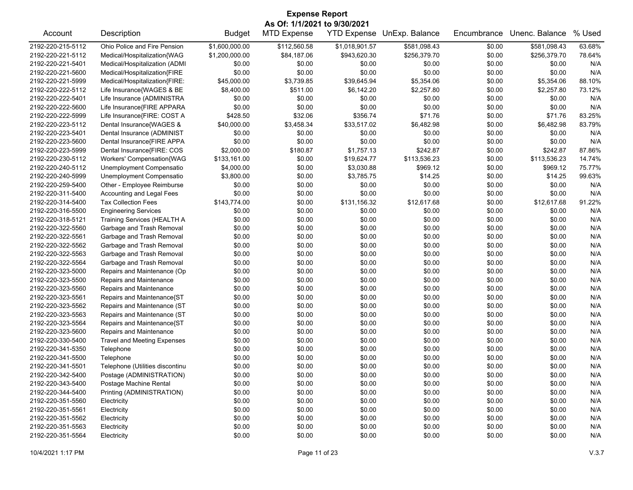| <b>Expense Report</b>        |                                    |                |                    |                    |                |             |                |        |  |
|------------------------------|------------------------------------|----------------|--------------------|--------------------|----------------|-------------|----------------|--------|--|
| As Of: 1/1/2021 to 9/30/2021 |                                    |                |                    |                    |                |             |                |        |  |
| Account                      | Description                        | <b>Budget</b>  | <b>MTD Expense</b> | <b>YTD Expense</b> | UnExp. Balance | Encumbrance | Unenc. Balance | % Used |  |
| 2192-220-215-5112            | Ohio Police and Fire Pension       | \$1,600,000.00 | \$112,560.58       | \$1,018,901.57     | \$581,098.43   | \$0.00      | \$581,098.43   | 63.68% |  |
| 2192-220-221-5112            | Medical/Hospitalization{WAG        | \$1,200,000.00 | \$84,187.06        | \$943,620.30       | \$256,379.70   | \$0.00      | \$256,379.70   | 78.64% |  |
| 2192-220-221-5401            | Medical/Hospitalization (ADMI      | \$0.00         | \$0.00             | \$0.00             | \$0.00         | \$0.00      | \$0.00         | N/A    |  |
| 2192-220-221-5600            | Medical/Hospitalization{FIRE       | \$0.00         | \$0.00             | \$0.00             | \$0.00         | \$0.00      | \$0.00         | N/A    |  |
| 2192-220-221-5999            | Medical/Hospitalization{FIRE:      | \$45,000.00    | \$3,739.85         | \$39,645.94        | \$5,354.06     | \$0.00      | \$5,354.06     | 88.10% |  |
| 2192-220-222-5112            | Life Insurance{WAGES & BE          | \$8,400.00     | \$511.00           | \$6,142.20         | \$2,257.80     | \$0.00      | \$2,257.80     | 73.12% |  |
| 2192-220-222-5401            | Life Insurance (ADMINISTRA         | \$0.00         | \$0.00             | \$0.00             | \$0.00         | \$0.00      | \$0.00         | N/A    |  |
| 2192-220-222-5600            | Life Insurance{FIRE APPARA         | \$0.00         | \$0.00             | \$0.00             | \$0.00         | \$0.00      | \$0.00         | N/A    |  |
| 2192-220-222-5999            | Life Insurance{FIRE: COST A        | \$428.50       | \$32.06            | \$356.74           | \$71.76        | \$0.00      | \$71.76        | 83.25% |  |
| 2192-220-223-5112            | Dental Insurance{WAGES &           | \$40,000.00    | \$3,458.34         | \$33,517.02        | \$6,482.98     | \$0.00      | \$6,482.98     | 83.79% |  |
| 2192-220-223-5401            | Dental Insurance (ADMINIST         | \$0.00         | \$0.00             | \$0.00             | \$0.00         | \$0.00      | \$0.00         | N/A    |  |
| 2192-220-223-5600            | Dental Insurance{FIRE APPA         | \$0.00         | \$0.00             | \$0.00             | \$0.00         | \$0.00      | \$0.00         | N/A    |  |
| 2192-220-223-5999            | Dental Insurance{FIRE: COS         | \$2,000.00     | \$180.87           | \$1,757.13         | \$242.87       | \$0.00      | \$242.87       | 87.86% |  |
| 2192-220-230-5112            | Workers' Compensation{WAG          | \$133,161.00   | \$0.00             | \$19,624.77        | \$113,536.23   | \$0.00      | \$113,536.23   | 14.74% |  |
| 2192-220-240-5112            | Unemployment Compensatio           | \$4,000.00     | \$0.00             | \$3,030.88         | \$969.12       | \$0.00      | \$969.12       | 75.77% |  |
| 2192-220-240-5999            | Unemployment Compensatio           | \$3,800.00     | \$0.00             | \$3,785.75         | \$14.25        | \$0.00      | \$14.25        | 99.63% |  |
| 2192-220-259-5400            | Other - Employee Reimburse         | \$0.00         | \$0.00             | \$0.00             | \$0.00         | \$0.00      | \$0.00         | N/A    |  |
| 2192-220-311-5400            | Accounting and Legal Fees          | \$0.00         | \$0.00             | \$0.00             | \$0.00         | \$0.00      | \$0.00         | N/A    |  |
| 2192-220-314-5400            | <b>Tax Collection Fees</b>         | \$143,774.00   | \$0.00             | \$131,156.32       | \$12,617.68    | \$0.00      | \$12,617.68    | 91.22% |  |
| 2192-220-316-5500            | <b>Engineering Services</b>        | \$0.00         | \$0.00             | \$0.00             | \$0.00         | \$0.00      | \$0.00         | N/A    |  |
| 2192-220-318-5121            | Training Services (HEALTH A        | \$0.00         | \$0.00             | \$0.00             | \$0.00         | \$0.00      | \$0.00         | N/A    |  |
| 2192-220-322-5560            | Garbage and Trash Removal          | \$0.00         | \$0.00             | \$0.00             | \$0.00         | \$0.00      | \$0.00         | N/A    |  |
| 2192-220-322-5561            | Garbage and Trash Removal          | \$0.00         | \$0.00             | \$0.00             | \$0.00         | \$0.00      | \$0.00         | N/A    |  |
| 2192-220-322-5562            | Garbage and Trash Removal          | \$0.00         | \$0.00             | \$0.00             | \$0.00         | \$0.00      | \$0.00         | N/A    |  |
| 2192-220-322-5563            | Garbage and Trash Removal          | \$0.00         | \$0.00             | \$0.00             | \$0.00         | \$0.00      | \$0.00         | N/A    |  |
| 2192-220-322-5564            | Garbage and Trash Removal          | \$0.00         | \$0.00             | \$0.00             | \$0.00         | \$0.00      | \$0.00         | N/A    |  |
| 2192-220-323-5000            | Repairs and Maintenance (Op        | \$0.00         | \$0.00             | \$0.00             | \$0.00         | \$0.00      | \$0.00         | N/A    |  |
| 2192-220-323-5500            | Repairs and Maintenance            | \$0.00         | \$0.00             | \$0.00             | \$0.00         | \$0.00      | \$0.00         | N/A    |  |
| 2192-220-323-5560            | Repairs and Maintenance            | \$0.00         | \$0.00             | \$0.00             | \$0.00         | \$0.00      | \$0.00         | N/A    |  |
| 2192-220-323-5561            | Repairs and Maintenance{ST         | \$0.00         | \$0.00             | \$0.00             | \$0.00         | \$0.00      | \$0.00         | N/A    |  |
| 2192-220-323-5562            | Repairs and Maintenance (ST        | \$0.00         | \$0.00             | \$0.00             | \$0.00         | \$0.00      | \$0.00         | N/A    |  |
| 2192-220-323-5563            | Repairs and Maintenance (ST        | \$0.00         | \$0.00             | \$0.00             | \$0.00         | \$0.00      | \$0.00         | N/A    |  |
| 2192-220-323-5564            | Repairs and Maintenance{ST         | \$0.00         | \$0.00             | \$0.00             | \$0.00         | \$0.00      | \$0.00         | N/A    |  |
| 2192-220-323-5600            | Repairs and Maintenance            | \$0.00         | \$0.00             | \$0.00             | \$0.00         | \$0.00      | \$0.00         | N/A    |  |
| 2192-220-330-5400            | <b>Travel and Meeting Expenses</b> | \$0.00         | \$0.00             | \$0.00             | \$0.00         | \$0.00      | \$0.00         | N/A    |  |
| 2192-220-341-5350            | Telephone                          | \$0.00         | \$0.00             | \$0.00             | \$0.00         | \$0.00      | \$0.00         | N/A    |  |
| 2192-220-341-5500            | Telephone                          | \$0.00         | \$0.00             | \$0.00             | \$0.00         | \$0.00      | \$0.00         | N/A    |  |
| 2192-220-341-5501            | Telephone (Utilities discontinu    | \$0.00         | \$0.00             | \$0.00             | \$0.00         | \$0.00      | \$0.00         | N/A    |  |
| 2192-220-342-5400            | Postage (ADMINISTRATION)           | \$0.00         | \$0.00             | \$0.00             | \$0.00         | \$0.00      | \$0.00         | N/A    |  |
| 2192-220-343-5400            | Postage Machine Rental             | \$0.00         | \$0.00             | \$0.00             | \$0.00         | \$0.00      | \$0.00         | N/A    |  |
| 2192-220-344-5400            | Printing (ADMINISTRATION)          | \$0.00         | \$0.00             | \$0.00             | \$0.00         | \$0.00      | \$0.00         | N/A    |  |
| 2192-220-351-5560            | Electricity                        | \$0.00         | \$0.00             | \$0.00             | \$0.00         | \$0.00      | \$0.00         | N/A    |  |
| 2192-220-351-5561            | Electricity                        | \$0.00         | \$0.00             | \$0.00             | \$0.00         | \$0.00      | \$0.00         | N/A    |  |
| 2192-220-351-5562            | Electricity                        | \$0.00         | \$0.00             | \$0.00             | \$0.00         | \$0.00      | \$0.00         | N/A    |  |
| 2192-220-351-5563            | Electricity                        | \$0.00         | \$0.00             | \$0.00             | \$0.00         | \$0.00      | \$0.00         | N/A    |  |
| 2192-220-351-5564            | Electricity                        | \$0.00         | \$0.00             | \$0.00             | \$0.00         | \$0.00      | \$0.00         | N/A    |  |
|                              |                                    |                |                    |                    |                |             |                |        |  |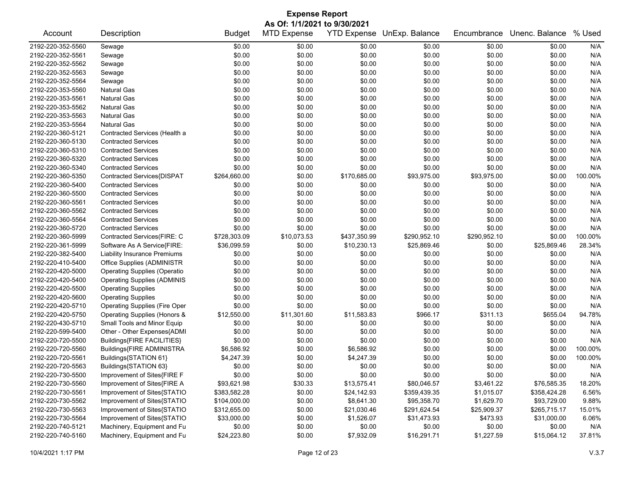|                              | <b>Expense Report</b>                |               |                    |              |                            |              |                |         |  |  |
|------------------------------|--------------------------------------|---------------|--------------------|--------------|----------------------------|--------------|----------------|---------|--|--|
| As Of: 1/1/2021 to 9/30/2021 |                                      |               |                    |              |                            |              |                |         |  |  |
| Account                      | Description                          | <b>Budget</b> | <b>MTD Expense</b> |              | YTD Expense UnExp. Balance | Encumbrance  | Unenc. Balance | % Used  |  |  |
| 2192-220-352-5560            | Sewage                               | \$0.00        | \$0.00             | \$0.00       | \$0.00                     | \$0.00       | \$0.00         | N/A     |  |  |
| 2192-220-352-5561            | Sewage                               | \$0.00        | \$0.00             | \$0.00       | \$0.00                     | \$0.00       | \$0.00         | N/A     |  |  |
| 2192-220-352-5562            | Sewage                               | \$0.00        | \$0.00             | \$0.00       | \$0.00                     | \$0.00       | \$0.00         | N/A     |  |  |
| 2192-220-352-5563            | Sewage                               | \$0.00        | \$0.00             | \$0.00       | \$0.00                     | \$0.00       | \$0.00         | N/A     |  |  |
| 2192-220-352-5564            | Sewage                               | \$0.00        | \$0.00             | \$0.00       | \$0.00                     | \$0.00       | \$0.00         | N/A     |  |  |
| 2192-220-353-5560            | <b>Natural Gas</b>                   | \$0.00        | \$0.00             | \$0.00       | \$0.00                     | \$0.00       | \$0.00         | N/A     |  |  |
| 2192-220-353-5561            | <b>Natural Gas</b>                   | \$0.00        | \$0.00             | \$0.00       | \$0.00                     | \$0.00       | \$0.00         | N/A     |  |  |
| 2192-220-353-5562            | <b>Natural Gas</b>                   | \$0.00        | \$0.00             | \$0.00       | \$0.00                     | \$0.00       | \$0.00         | N/A     |  |  |
| 2192-220-353-5563            | <b>Natural Gas</b>                   | \$0.00        | \$0.00             | \$0.00       | \$0.00                     | \$0.00       | \$0.00         | N/A     |  |  |
| 2192-220-353-5564            | <b>Natural Gas</b>                   | \$0.00        | \$0.00             | \$0.00       | \$0.00                     | \$0.00       | \$0.00         | N/A     |  |  |
| 2192-220-360-5121            | Contracted Services (Health a        | \$0.00        | \$0.00             | \$0.00       | \$0.00                     | \$0.00       | \$0.00         | N/A     |  |  |
| 2192-220-360-5130            | <b>Contracted Services</b>           | \$0.00        | \$0.00             | \$0.00       | \$0.00                     | \$0.00       | \$0.00         | N/A     |  |  |
| 2192-220-360-5310            | <b>Contracted Services</b>           | \$0.00        | \$0.00             | \$0.00       | \$0.00                     | \$0.00       | \$0.00         | N/A     |  |  |
| 2192-220-360-5320            | <b>Contracted Services</b>           | \$0.00        | \$0.00             | \$0.00       | \$0.00                     | \$0.00       | \$0.00         | N/A     |  |  |
| 2192-220-360-5340            | <b>Contracted Services</b>           | \$0.00        | \$0.00             | \$0.00       | \$0.00                     | \$0.00       | \$0.00         | N/A     |  |  |
| 2192-220-360-5350            | Contracted Services{DISPAT           | \$264,660.00  | \$0.00             | \$170,685.00 | \$93,975.00                | \$93,975.00  | \$0.00         | 100.00% |  |  |
| 2192-220-360-5400            | <b>Contracted Services</b>           | \$0.00        | \$0.00             | \$0.00       | \$0.00                     | \$0.00       | \$0.00         | N/A     |  |  |
| 2192-220-360-5500            | <b>Contracted Services</b>           | \$0.00        | \$0.00             | \$0.00       | \$0.00                     | \$0.00       | \$0.00         | N/A     |  |  |
| 2192-220-360-5561            | <b>Contracted Services</b>           | \$0.00        | \$0.00             | \$0.00       | \$0.00                     | \$0.00       | \$0.00         | N/A     |  |  |
| 2192-220-360-5562            | <b>Contracted Services</b>           | \$0.00        | \$0.00             | \$0.00       | \$0.00                     | \$0.00       | \$0.00         | N/A     |  |  |
| 2192-220-360-5564            | <b>Contracted Services</b>           | \$0.00        | \$0.00             | \$0.00       | \$0.00                     | \$0.00       | \$0.00         | N/A     |  |  |
| 2192-220-360-5720            | <b>Contracted Services</b>           | \$0.00        | \$0.00             | \$0.00       | \$0.00                     | \$0.00       | \$0.00         | N/A     |  |  |
| 2192-220-360-5999            | Contracted Services(FIRE: C          | \$728,303.09  | \$10,073.53        | \$437,350.99 | \$290,952.10               | \$290,952.10 | \$0.00         | 100.00% |  |  |
| 2192-220-361-5999            | Software As A Service{FIRE:          | \$36,099.59   | \$0.00             | \$10,230.13  | \$25,869.46                | \$0.00       | \$25,869.46    | 28.34%  |  |  |
| 2192-220-382-5400            | <b>Liability Insurance Premiums</b>  | \$0.00        | \$0.00             | \$0.00       | \$0.00                     | \$0.00       | \$0.00         | N/A     |  |  |
| 2192-220-410-5400            | Office Supplies (ADMINISTR           | \$0.00        | \$0.00             | \$0.00       | \$0.00                     | \$0.00       | \$0.00         | N/A     |  |  |
| 2192-220-420-5000            | <b>Operating Supplies (Operatio</b>  | \$0.00        | \$0.00             | \$0.00       | \$0.00                     | \$0.00       | \$0.00         | N/A     |  |  |
| 2192-220-420-5400            | <b>Operating Supplies (ADMINIS</b>   | \$0.00        | \$0.00             | \$0.00       | \$0.00                     | \$0.00       | \$0.00         | N/A     |  |  |
| 2192-220-420-5500            | <b>Operating Supplies</b>            | \$0.00        | \$0.00             | \$0.00       | \$0.00                     | \$0.00       | \$0.00         | N/A     |  |  |
| 2192-220-420-5600            | <b>Operating Supplies</b>            | \$0.00        | \$0.00             | \$0.00       | \$0.00                     | \$0.00       | \$0.00         | N/A     |  |  |
| 2192-220-420-5710            | <b>Operating Supplies (Fire Oper</b> | \$0.00        | \$0.00             | \$0.00       | \$0.00                     | \$0.00       | \$0.00         | N/A     |  |  |
| 2192-220-420-5750            | Operating Supplies (Honors &         | \$12,550.00   | \$11,301.60        | \$11,583.83  | \$966.17                   | \$311.13     | \$655.04       | 94.78%  |  |  |
| 2192-220-430-5710            | Small Tools and Minor Equip          | \$0.00        | \$0.00             | \$0.00       | \$0.00                     | \$0.00       | \$0.00         | N/A     |  |  |
| 2192-220-599-5400            | Other - Other Expenses{ADMI          | \$0.00        | \$0.00             | \$0.00       | \$0.00                     | \$0.00       | \$0.00         | N/A     |  |  |
| 2192-220-720-5500            | Buildings{FIRE FACILITIES}           | \$0.00        | \$0.00             | \$0.00       | \$0.00                     | \$0.00       | \$0.00         | N/A     |  |  |
| 2192-220-720-5560            | Buildings{FIRE ADMINISTRA            | \$6,586.92    | \$0.00             | \$6,586.92   | \$0.00                     | \$0.00       | \$0.00         | 100.00% |  |  |
| 2192-220-720-5561            | Buildings{STATION 61}                | \$4,247.39    | \$0.00             | \$4,247.39   | \$0.00                     | \$0.00       | \$0.00         | 100.00% |  |  |
| 2192-220-720-5563            | Buildings{STATION 63}                | \$0.00        | \$0.00             | \$0.00       | \$0.00                     | \$0.00       | \$0.00         | N/A     |  |  |
| 2192-220-730-5500            | Improvement of Sites{FIRE F          | \$0.00        | \$0.00             | \$0.00       | \$0.00                     | \$0.00       | \$0.00         | N/A     |  |  |
| 2192-220-730-5560            | Improvement of Sites{FIRE A          | \$93,621.98   | \$30.33            | \$13,575.41  | \$80,046.57                | \$3,461.22   | \$76,585.35    | 18.20%  |  |  |
| 2192-220-730-5561            | Improvement of Sites{STATIO          | \$383,582.28  | \$0.00             | \$24,142.93  | \$359,439.35               | \$1,015.07   | \$358,424.28   | 6.56%   |  |  |
| 2192-220-730-5562            | Improvement of Sites{STATIO          | \$104,000.00  | \$0.00             | \$8,641.30   | \$95,358.70                | \$1,629.70   | \$93,729.00    | 9.88%   |  |  |
| 2192-220-730-5563            | Improvement of Sites{STATIO          | \$312,655.00  | \$0.00             | \$21,030.46  | \$291,624.54               | \$25,909.37  | \$265,715.17   | 15.01%  |  |  |
| 2192-220-730-5564            | Improvement of Sites{STATIO          | \$33,000.00   | \$0.00             | \$1,526.07   | \$31,473.93                | \$473.93     | \$31,000.00    | 6.06%   |  |  |
| 2192-220-740-5121            | Machinery, Equipment and Fu          | \$0.00        | \$0.00             | \$0.00       | \$0.00                     | \$0.00       | \$0.00         | N/A     |  |  |
| 2192-220-740-5160            | Machinery, Equipment and Fu          | \$24,223.80   | \$0.00             | \$7,932.09   | \$16,291.71                | \$1,227.59   | \$15,064.12    | 37.81%  |  |  |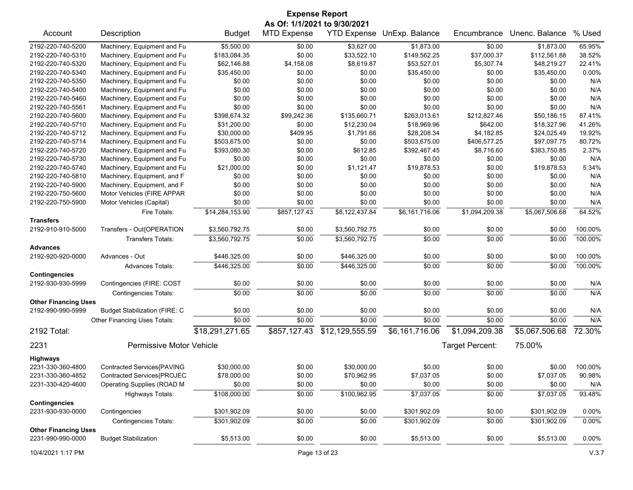|                                           |                                      |                 |                    | <b>Expense Report</b><br>As Of: 1/1/2021 to 9/30/2021 |                            |                 |                |                |
|-------------------------------------------|--------------------------------------|-----------------|--------------------|-------------------------------------------------------|----------------------------|-----------------|----------------|----------------|
| Account                                   | Description                          | <b>Budget</b>   | <b>MTD Expense</b> |                                                       | YTD Expense UnExp. Balance | Encumbrance     | Unenc. Balance | % Used         |
| 2192-220-740-5200                         | Machinery, Equipment and Fu          | \$5,500.00      | \$0.00             | \$3,627.00                                            | \$1,873.00                 | \$0.00          | \$1,873.00     | 65.95%         |
| 2192-220-740-5310                         | Machinery, Equipment and Fu          | \$183,084.35    | \$0.00             | \$33,522.10                                           | \$149,562.25               | \$37,000.37     | \$112,561.88   | 38.52%         |
| 2192-220-740-5320                         | Machinery, Equipment and Fu          | \$62,146.88     | \$4,158.08         | \$8,619.87                                            | \$53,527.01                | \$5,307.74      | \$48,219.27    | 22.41%         |
| 2192-220-740-5340                         | Machinery, Equipment and Fu          | \$35,450.00     | \$0.00             | \$0.00                                                | \$35,450.00                | \$0.00          | \$35,450.00    | 0.00%          |
| 2192-220-740-5350                         | Machinery, Equipment and Fu          | \$0.00          | \$0.00             | \$0.00                                                | \$0.00                     | \$0.00          | \$0.00         | N/A            |
| 2192-220-740-5400                         | Machinery, Equipment and Fu          | \$0.00          | \$0.00             | \$0.00                                                | \$0.00                     | \$0.00          | \$0.00         | N/A            |
| 2192-220-740-5460                         | Machinery, Equipment and Fu          | \$0.00          | \$0.00             | \$0.00                                                | \$0.00                     | \$0.00          | \$0.00         | N/A            |
| 2192-220-740-5561                         | Machinery, Equipment and Fu          | \$0.00          | \$0.00             | \$0.00                                                | \$0.00                     | \$0.00          | \$0.00         | N/A            |
| 2192-220-740-5600                         | Machinery, Equipment and Fu          | \$398,674.32    | \$99,242.36        | \$135,660.71                                          | \$263,013.61               | \$212,827.46    | \$50,186.15    | 87.41%         |
| 2192-220-740-5710                         | Machinery, Equipment and Fu          | \$31,200.00     | \$0.00             | \$12,230.04                                           | \$18,969.96                | \$642.00        | \$18,327.96    | 41.26%         |
| 2192-220-740-5712                         | Machinery, Equipment and Fu          | \$30,000.00     | \$409.95           | \$1,791.66                                            | \$28,208.34                | \$4,182.85      | \$24,025.49    | 19.92%         |
| 2192-220-740-5714                         | Machinery, Equipment and Fu          | \$503,675.00    | \$0.00             | \$0.00                                                | \$503,675.00               | \$406,577.25    | \$97,097.75    | 80.72%         |
| 2192-220-740-5720                         | Machinery, Equipment and Fu          | \$393,080.30    | \$0.00             | \$612.85                                              | \$392,467.45               | \$8,716.60      | \$383,750.85   | 2.37%          |
| 2192-220-740-5730                         | Machinery, Equipment and Fu          | \$0.00          | \$0.00             | \$0.00                                                | \$0.00                     | \$0.00          | \$0.00         | N/A            |
| 2192-220-740-5740                         | Machinery, Equipment and Fu          | \$21,000.00     | \$0.00             | \$1,121.47                                            | \$19,878.53                | \$0.00          | \$19,878.53    | 5.34%          |
| 2192-220-740-5810                         | Machinery, Equipment, and F          | \$0.00          | \$0.00             | \$0.00                                                | \$0.00                     | \$0.00          | \$0.00         | N/A            |
| 2192-220-740-5900                         | Machinery, Equipment, and F          | \$0.00          | \$0.00             | \$0.00                                                | \$0.00                     | \$0.00          | \$0.00         | N/A            |
| 2192-220-750-5600                         | Motor Vehicles (FIRE APPAR           | \$0.00          | \$0.00             | \$0.00                                                | \$0.00                     | \$0.00          | \$0.00         | N/A            |
| 2192-220-750-5900                         | Motor Vehicles (Capital)             | \$0.00          | \$0.00             | \$0.00                                                | \$0.00                     | \$0.00          | \$0.00         | N/A            |
|                                           | Fire Totals:                         | \$14,284,153.90 | \$857,127.43       | \$8,122,437.84                                        | \$6,161,716.06             | \$1,094,209.38  | \$5,067,506.68 | 64.52%         |
| <b>Transfers</b>                          |                                      |                 |                    |                                                       |                            |                 |                |                |
| 2192-910-910-5000                         | Transfers - Out{OPERATION            |                 |                    |                                                       |                            |                 |                |                |
|                                           |                                      | \$3,560,792.75  | \$0.00             | \$3,560,792.75                                        | \$0.00                     | \$0.00          | \$0.00         | 100.00%        |
| <b>Advances</b>                           | <b>Transfers Totals:</b>             | \$3,560,792.75  | \$0.00             | \$3,560,792.75                                        | \$0.00                     | \$0.00          | \$0.00         | 100.00%        |
| 2192-920-920-0000                         | Advances - Out                       | \$446,325.00    | \$0.00             | \$446,325.00                                          | \$0.00                     | \$0.00          | \$0.00         | 100.00%        |
|                                           | <b>Advances Totals:</b>              | \$446,325.00    | 50.00              | \$446,325.00                                          | \$0.00                     | \$0.00          | \$0.00         | 100.00%        |
| <b>Contingencies</b><br>2192-930-930-5999 | Contingencies (FIRE: COST            | \$0.00          | \$0.00             | \$0.00                                                | \$0.00                     | \$0.00          | \$0.00         | N/A            |
|                                           | <b>Contingencies Totals:</b>         | \$0.00          | \$0.00             | \$0.00                                                | \$0.00                     | \$0.00          | \$0.00         | N/A            |
| <b>Other Financing Uses</b>               |                                      |                 |                    |                                                       |                            |                 |                |                |
| 2192-990-990-5999                         | <b>Budget Stabilization (FIRE: C</b> | \$0.00          | \$0.00             | \$0.00                                                | \$0.00                     | \$0.00          | \$0.00         | N/A            |
|                                           | Other Financing Uses Totals:         | \$0.00          | \$0.00             | \$0.00                                                | \$0.00                     | \$0.00          | \$0.00         | N/A            |
| 2192 Total:                               |                                      | \$18,291,271.65 | \$857,127.43       | \$12,129,555.59                                       | \$6,161,716.06             | \$1,094,209.38  | \$5,067,506.68 | 72.30%         |
| 2231                                      | Permissive Motor Vehicle             |                 |                    |                                                       |                            | Target Percent: | 75.00%         |                |
| Highways                                  |                                      |                 |                    |                                                       |                            |                 |                |                |
| 2231-330-360-4800                         | Contracted Services{PAVING           | \$30,000.00     | \$0.00             | \$30,000.00                                           | \$0.00                     | \$0.00          |                | \$0.00 100.00% |
| 2231-330-360-4852                         | Contracted Services{PROJEC           | \$78,000.00     | \$0.00             | \$70,962.95                                           | \$7,037.05                 | \$0.00          | \$7,037.05     | 90.98%         |
| 2231-330-420-4600                         | Operating Supplies (ROAD M           | \$0.00          | \$0.00             | \$0.00                                                | \$0.00                     | \$0.00          | \$0.00         | N/A            |
|                                           | <b>Highways Totals:</b>              | \$108,000.00    | \$0.00             | \$100,962.95                                          | \$7,037.05                 | \$0.00          | \$7,037.05     | 93.48%         |
| <b>Contingencies</b>                      |                                      |                 |                    |                                                       |                            |                 |                |                |
| 2231-930-930-0000                         | Contingencies                        | \$301,902.09    | \$0.00             | \$0.00                                                | \$301,902.09               | \$0.00          | \$301,902.09   | 0.00%          |
|                                           | <b>Contingencies Totals:</b>         | \$301,902.09    | \$0.00             | \$0.00                                                | \$301,902.09               | \$0.00          | \$301,902.09   | $0.00\%$       |
| <b>Other Financing Uses</b>               |                                      |                 |                    |                                                       |                            |                 |                |                |
| 2231-990-990-0000                         | <b>Budget Stabilization</b>          | \$5,513.00      | \$0.00             | \$0.00                                                | \$5,513.00                 | \$0.00          | \$5,513.00     | 0.00%          |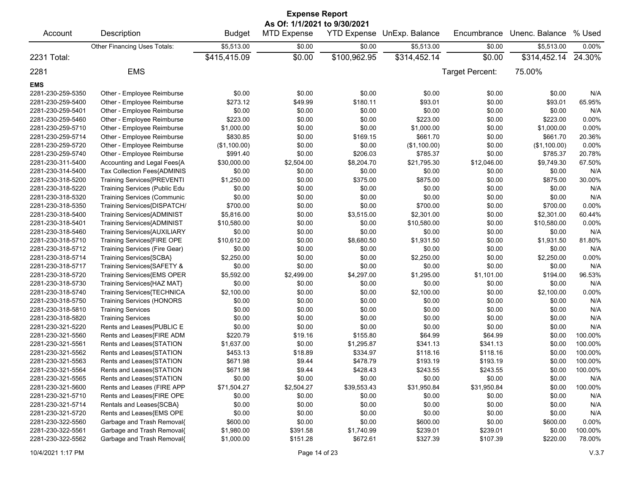| <b>Expense Report</b><br>As Of: 1/1/2021 to 9/30/2021 |                                    |               |                    |                    |                |                 |                |          |  |
|-------------------------------------------------------|------------------------------------|---------------|--------------------|--------------------|----------------|-----------------|----------------|----------|--|
| Account                                               | Description                        | <b>Budget</b> | <b>MTD Expense</b> | <b>YTD Expense</b> | UnExp. Balance | Encumbrance     | Unenc. Balance | % Used   |  |
|                                                       | Other Financing Uses Totals:       | \$5,513.00    | \$0.00             | \$0.00             | \$5,513.00     | \$0.00          | \$5,513.00     | 0.00%    |  |
| 2231 Total:                                           |                                    | \$415,415.09  | \$0.00             | \$100,962.95       | \$314,452.14   | \$0.00          | \$314,452.14   | 24.30%   |  |
| 2281                                                  | <b>EMS</b>                         |               |                    |                    |                | Target Percent: | 75.00%         |          |  |
| <b>EMS</b>                                            |                                    |               |                    |                    |                |                 |                |          |  |
| 2281-230-259-5350                                     | Other - Employee Reimburse         | \$0.00        | \$0.00             | \$0.00             | \$0.00         | \$0.00          | \$0.00         | N/A      |  |
| 2281-230-259-5400                                     | Other - Employee Reimburse         | \$273.12      | \$49.99            | \$180.11           | \$93.01        | \$0.00          | \$93.01        | 65.95%   |  |
| 2281-230-259-5401                                     | Other - Employee Reimburse         | \$0.00        | \$0.00             | \$0.00             | \$0.00         | \$0.00          | \$0.00         | N/A      |  |
| 2281-230-259-5460                                     | Other - Employee Reimburse         | \$223.00      | \$0.00             | \$0.00             | \$223.00       | \$0.00          | \$223.00       | 0.00%    |  |
| 2281-230-259-5710                                     | Other - Employee Reimburse         | \$1,000.00    | \$0.00             | \$0.00             | \$1,000.00     | \$0.00          | \$1,000.00     | 0.00%    |  |
| 2281-230-259-5714                                     | Other - Employee Reimburse         | \$830.85      | \$0.00             | \$169.15           | \$661.70       | \$0.00          | \$661.70       | 20.36%   |  |
| 2281-230-259-5720                                     | Other - Employee Reimburse         | (\$1,100.00)  | \$0.00             | \$0.00             | (\$1,100.00)   | \$0.00          | (\$1,100.00)   | 0.00%    |  |
| 2281-230-259-5740                                     | Other - Employee Reimburse         | \$991.40      | \$0.00             | \$206.03           | \$785.37       | \$0.00          | \$785.37       | 20.78%   |  |
| 2281-230-311-5400                                     | Accounting and Legal Fees{A        | \$30,000.00   | \$2,504.00         | \$8,204.70         | \$21,795.30    | \$12,046.00     | \$9,749.30     | 67.50%   |  |
| 2281-230-314-5400                                     | Tax Collection Fees{ADMINIS        | \$0.00        | \$0.00             | \$0.00             | \$0.00         | \$0.00          | \$0.00         | N/A      |  |
| 2281-230-318-5200                                     | Training Services{PREVENTI         | \$1,250.00    | \$0.00             | \$375.00           | \$875.00       | \$0.00          | \$875.00       | 30.00%   |  |
| 2281-230-318-5220                                     | Training Services (Public Edu      | \$0.00        | \$0.00             | \$0.00             | \$0.00         | \$0.00          | \$0.00         | N/A      |  |
| 2281-230-318-5320                                     | <b>Training Services (Communic</b> | \$0.00        | \$0.00             | \$0.00             | \$0.00         | \$0.00          | \$0.00         | N/A      |  |
| 2281-230-318-5350                                     | Training Services{DISPATCH/        | \$700.00      | \$0.00             | \$0.00             | \$700.00       | \$0.00          | \$700.00       | 0.00%    |  |
| 2281-230-318-5400                                     | <b>Training Services{ADMINIST</b>  | \$5,816.00    | \$0.00             | \$3,515.00         | \$2,301.00     | \$0.00          | \$2,301.00     | 60.44%   |  |
| 2281-230-318-5401                                     | Training Services{ADMINIST         | \$10,580.00   | \$0.00             | \$0.00             | \$10,580.00    | \$0.00          | \$10,580.00    | $0.00\%$ |  |
| 2281-230-318-5460                                     | Training Services{AUXILIARY        | \$0.00        | \$0.00             | \$0.00             | \$0.00         | \$0.00          | \$0.00         | N/A      |  |
| 2281-230-318-5710                                     | Training Services{FIRE OPE         | \$10,612.00   | \$0.00             | \$8,680.50         | \$1,931.50     | \$0.00          | \$1,931.50     | 81.80%   |  |
| 2281-230-318-5712                                     | Training Services (Fire Gear)      | \$0.00        | \$0.00             | \$0.00             | \$0.00         | \$0.00          | \$0.00         | N/A      |  |
| 2281-230-318-5714                                     | Training Services{SCBA}            | \$2,250.00    | \$0.00             | \$0.00             | \$2,250.00     | \$0.00          | \$2,250.00     | 0.00%    |  |
| 2281-230-318-5717                                     | Training Services{SAFETY &         | \$0.00        | \$0.00             | \$0.00             | \$0.00         | \$0.00          | \$0.00         | N/A      |  |
| 2281-230-318-5720                                     | Training Services{EMS OPER         | \$5,592.00    | \$2,499.00         | \$4,297.00         | \$1,295.00     | \$1,101.00      | \$194.00       | 96.53%   |  |
| 2281-230-318-5730                                     | Training Services{HAZ MAT}         | \$0.00        | \$0.00             | \$0.00             | \$0.00         | \$0.00          | \$0.00         | N/A      |  |
| 2281-230-318-5740                                     | Training Services{TECHNICA         | \$2,100.00    | \$0.00             | \$0.00             | \$2,100.00     | \$0.00          | \$2,100.00     | 0.00%    |  |
| 2281-230-318-5750                                     | <b>Training Services (HONORS</b>   | \$0.00        | \$0.00             | \$0.00             | \$0.00         | \$0.00          | \$0.00         | N/A      |  |
| 2281-230-318-5810                                     | <b>Training Services</b>           | \$0.00        | \$0.00             | \$0.00             | \$0.00         | \$0.00          | \$0.00         | N/A      |  |
| 2281-230-318-5820                                     | <b>Training Services</b>           | \$0.00        | \$0.00             | \$0.00             | \$0.00         | \$0.00          | \$0.00         | N/A      |  |
| 2281-230-321-5220                                     | Rents and Leases{PUBLIC E          | \$0.00        | \$0.00             | \$0.00             | \$0.00         | \$0.00          | \$0.00         | N/A      |  |
| 2281-230-321-5560                                     | Rents and Leases{FIRE ADM          | \$220.79      | \$19.16            | \$155.80           | \$64.99        | \$64.99         | \$0.00         | 100.00%  |  |
| 2281-230-321-5561                                     | Rents and Leases{STATION           | \$1,637.00    | \$0.00             | \$1,295.87         | \$341.13       | \$341.13        | \$0.00         | 100.00%  |  |
| 2281-230-321-5562                                     | Rents and Leases{STATION           | \$453.13      | \$18.89            | \$334.97           | \$118.16       | \$118.16        | \$0.00         | 100.00%  |  |
| 2281-230-321-5563                                     | Rents and Leases{STATION           | \$671.98      | \$9.44             | \$478.79           | \$193.19       | \$193.19        | \$0.00         | 100.00%  |  |
| 2281-230-321-5564                                     | Rents and Leases{STATION           | \$671.98      | \$9.44             | \$428.43           | \$243.55       | \$243.55        | \$0.00         | 100.00%  |  |
| 2281-230-321-5565                                     | Rents and Leases(STATION           | \$0.00        | \$0.00             | \$0.00             | \$0.00         | \$0.00          | \$0.00         | N/A      |  |
| 2281-230-321-5600                                     | Rents and Leases (FIRE APP         | \$71,504.27   | \$2,504.27         | \$39,553.43        | \$31,950.84    | \$31,950.84     | \$0.00         | 100.00%  |  |
| 2281-230-321-5710                                     | Rents and Leases{FIRE OPE          | \$0.00        | \$0.00             | \$0.00             | \$0.00         | \$0.00          | \$0.00         | N/A      |  |
| 2281-230-321-5714                                     | Rentals and Leases{SCBA}           | \$0.00        | \$0.00             | \$0.00             | \$0.00         | \$0.00          | \$0.00         | N/A      |  |
| 2281-230-321-5720                                     | Rents and Leases{EMS OPE           | \$0.00        | \$0.00             | \$0.00             | \$0.00         | \$0.00          | \$0.00         | N/A      |  |
| 2281-230-322-5560                                     | Garbage and Trash Removal{         | \$600.00      | \$0.00             | \$0.00             | \$600.00       | \$0.00          | \$600.00       | $0.00\%$ |  |
| 2281-230-322-5561                                     | Garbage and Trash Removal{         | \$1,980.00    | \$391.58           | \$1,740.99         | \$239.01       | \$239.01        | \$0.00         | 100.00%  |  |
| 2281-230-322-5562                                     | Garbage and Trash Removal{         | \$1,000.00    | \$151.28           | \$672.61           | \$327.39       | \$107.39        | \$220.00       | 78.00%   |  |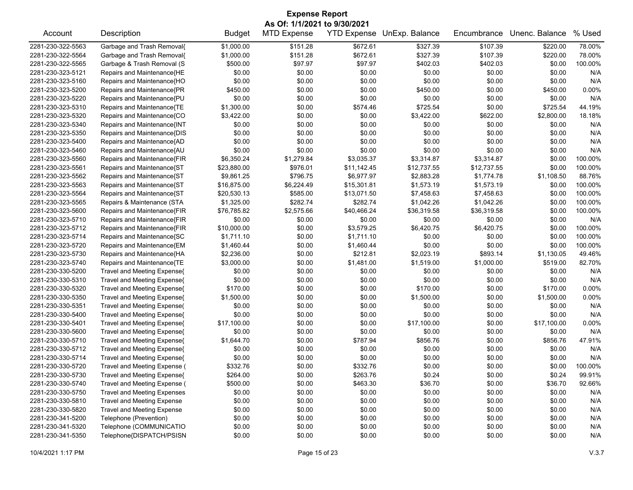| <b>Expense Report</b><br>As Of: 1/1/2021 to 9/30/2021 |                                    |               |                    |             |                            |             |                |                  |  |
|-------------------------------------------------------|------------------------------------|---------------|--------------------|-------------|----------------------------|-------------|----------------|------------------|--|
| Account                                               | Description                        | <b>Budget</b> | <b>MTD Expense</b> |             | YTD Expense UnExp. Balance | Encumbrance | Unenc. Balance | % Used           |  |
| 2281-230-322-5563                                     | Garbage and Trash Removal{         | \$1,000.00    | \$151.28           | \$672.61    | \$327.39                   | \$107.39    | \$220.00       | 78.00%           |  |
| 2281-230-322-5564                                     | Garbage and Trash Removal{         | \$1,000.00    | \$151.28           | \$672.61    | \$327.39                   | \$107.39    | \$220.00       | 78.00%           |  |
| 2281-230-322-5565                                     | Garbage & Trash Removal (S         | \$500.00      | \$97.97            | \$97.97     | \$402.03                   | \$402.03    | \$0.00         | 100.00%          |  |
| 2281-230-323-5121                                     | Repairs and Maintenance{HE         | \$0.00        | \$0.00             | \$0.00      | \$0.00                     | \$0.00      | \$0.00         | N/A              |  |
| 2281-230-323-5160                                     | Repairs and Maintenance{HO         | \$0.00        | \$0.00             | \$0.00      | \$0.00                     | \$0.00      | \$0.00         | N/A              |  |
| 2281-230-323-5200                                     | Repairs and Maintenance{PR         | \$450.00      | \$0.00             | \$0.00      | \$450.00                   | \$0.00      | \$450.00       | 0.00%            |  |
| 2281-230-323-5220                                     | Repairs and Maintenance{PU         | \$0.00        | \$0.00             | \$0.00      | \$0.00                     | \$0.00      | \$0.00         | N/A              |  |
| 2281-230-323-5310                                     | Repairs and Maintenance{TE         | \$1,300.00    | \$0.00             | \$574.46    | \$725.54                   | \$0.00      | \$725.54       | 44.19%           |  |
| 2281-230-323-5320                                     | Repairs and Maintenance{CO         | \$3,422.00    | \$0.00             | \$0.00      | \$3,422.00                 | \$622.00    | \$2,800.00     | 18.18%           |  |
| 2281-230-323-5340                                     | Repairs and Maintenance{INT        | \$0.00        | \$0.00             | \$0.00      | \$0.00                     | \$0.00      | \$0.00         | N/A              |  |
| 2281-230-323-5350                                     | Repairs and Maintenance{DIS        | \$0.00        | \$0.00             | \$0.00      | \$0.00                     | \$0.00      | \$0.00         | N/A              |  |
| 2281-230-323-5400                                     | Repairs and Maintenance{AD         | \$0.00        | \$0.00             | \$0.00      | \$0.00                     | \$0.00      | \$0.00         | N/A              |  |
| 2281-230-323-5460                                     | Repairs and Maintenance{AU         | \$0.00        | \$0.00             | \$0.00      | \$0.00                     | \$0.00      | \$0.00         | N/A              |  |
| 2281-230-323-5560                                     | Repairs and Maintenance{FIR        | \$6,350.24    | \$1,279.84         | \$3,035.37  | \$3,314.87                 | \$3,314.87  | \$0.00         | 100.00%          |  |
| 2281-230-323-5561                                     | Repairs and Maintenance{ST         | \$23,880.00   | \$976.01           | \$11,142.45 | \$12,737.55                | \$12,737.55 | \$0.00         | 100.00%          |  |
| 2281-230-323-5562                                     | Repairs and Maintenance{ST         | \$9,861.25    | \$796.75           | \$6,977.97  | \$2,883.28                 | \$1,774.78  | \$1,108.50     | 88.76%           |  |
| 2281-230-323-5563                                     | Repairs and Maintenance{ST         | \$16,875.00   | \$6,224.49         | \$15,301.81 | \$1,573.19                 | \$1,573.19  | \$0.00         | 100.00%          |  |
| 2281-230-323-5564                                     | Repairs and Maintenance{ST         | \$20,530.13   | \$585.00           | \$13,071.50 | \$7,458.63                 | \$7,458.63  | \$0.00         | 100.00%          |  |
| 2281-230-323-5565                                     | Repairs & Maintenance (STA         | \$1,325.00    | \$282.74           | \$282.74    | \$1,042.26                 | \$1,042.26  | \$0.00         | 100.00%          |  |
| 2281-230-323-5600                                     | Repairs and Maintenance{FIR        | \$76,785.82   | \$2,575.66         | \$40,466.24 | \$36,319.58                | \$36,319.58 | \$0.00         | 100.00%          |  |
| 2281-230-323-5710                                     | Repairs and Maintenance{FIR        | \$0.00        | \$0.00             | \$0.00      | \$0.00                     | \$0.00      | \$0.00         | N/A              |  |
| 2281-230-323-5712                                     | Repairs and Maintenance{FIR        | \$10,000.00   | \$0.00             | \$3,579.25  | \$6,420.75                 | \$6,420.75  | \$0.00         | 100.00%          |  |
| 2281-230-323-5714                                     | Repairs and Maintenance{SC         | \$1,711.10    | \$0.00             | \$1,711.10  | \$0.00                     | \$0.00      | \$0.00         | 100.00%          |  |
| 2281-230-323-5720                                     | Repairs and Maintenance{EM         | \$1,460.44    | \$0.00             | \$1,460.44  | \$0.00                     | \$0.00      | \$0.00         | 100.00%          |  |
| 2281-230-323-5730                                     | Repairs and Maintenance{HA         | \$2,236.00    | \$0.00             | \$212.81    | \$2,023.19                 | \$893.14    | \$1,130.05     | 49.46%           |  |
| 2281-230-323-5740                                     | Repairs and Maintenance{TE         | \$3,000.00    | \$0.00             | \$1,481.00  | \$1,519.00                 | \$1,000.00  | \$519.00       | 82.70%           |  |
| 2281-230-330-5200                                     | Travel and Meeting Expense{        | \$0.00        | \$0.00             | \$0.00      | \$0.00                     | \$0.00      | \$0.00         | N/A              |  |
| 2281-230-330-5310                                     | Travel and Meeting Expense{        | \$0.00        | \$0.00             | \$0.00      | \$0.00                     | \$0.00      | \$0.00         | N/A              |  |
| 2281-230-330-5320                                     | Travel and Meeting Expense{        | \$170.00      | \$0.00             | \$0.00      | \$170.00                   | \$0.00      | \$170.00       | 0.00%            |  |
| 2281-230-330-5350                                     | Travel and Meeting Expense{        | \$1,500.00    | \$0.00             | \$0.00      | \$1,500.00                 | \$0.00      | \$1,500.00     | 0.00%            |  |
| 2281-230-330-5351                                     | Travel and Meeting Expense(        | \$0.00        | \$0.00             | \$0.00      | \$0.00                     | \$0.00      | \$0.00         | N/A              |  |
| 2281-230-330-5400                                     | Travel and Meeting Expense{        | \$0.00        | \$0.00             | \$0.00      | \$0.00                     | \$0.00      | \$0.00         | N/A              |  |
| 2281-230-330-5401                                     | Travel and Meeting Expense{        | \$17,100.00   | \$0.00             | \$0.00      | \$17,100.00                | \$0.00      | \$17,100.00    | 0.00%            |  |
| 2281-230-330-5600                                     | Travel and Meeting Expense{        | \$0.00        | \$0.00             | \$0.00      | \$0.00                     | \$0.00      | \$0.00         | N/A              |  |
| 2281-230-330-5710                                     | Travel and Meeting Expense{        | \$1,644.70    | \$0.00             | \$787.94    | \$856.76                   | \$0.00      | \$856.76       | 47.91%           |  |
| 2281-230-330-5712                                     | Travel and Meeting Expense{        | \$0.00        | \$0.00             | \$0.00      | \$0.00                     | \$0.00      | \$0.00         | N/A              |  |
| 2281-230-330-5714                                     | Travel and Meeting Expense{        | \$0.00        | \$0.00             | \$0.00      | \$0.00                     | \$0.00      | \$0.00         | N/A              |  |
| 2281-230-330-5720                                     | Travel and Meeting Expense (       | \$332.76      | \$0.00             | \$332.76    | \$0.00                     | \$0.00      | \$0.00         | 100.00%          |  |
|                                                       |                                    |               | \$0.00             |             |                            |             | \$0.24         |                  |  |
| 2281-230-330-5730<br>2281-230-330-5740                | Travel and Meeting Expense{        | \$264.00      |                    | \$263.76    | \$0.24                     | \$0.00      |                | 99.91%<br>92.66% |  |
| 2281-230-330-5750                                     | Travel and Meeting Expense (       | \$500.00      | \$0.00             | \$463.30    | \$36.70                    | \$0.00      | \$36.70        |                  |  |
|                                                       | <b>Travel and Meeting Expenses</b> | \$0.00        | \$0.00             | \$0.00      | \$0.00                     | \$0.00      | \$0.00         | N/A              |  |
| 2281-230-330-5810                                     | <b>Travel and Meeting Expense</b>  | \$0.00        | \$0.00             | \$0.00      | \$0.00                     | \$0.00      | \$0.00         | N/A              |  |
| 2281-230-330-5820                                     | <b>Travel and Meeting Expense</b>  | \$0.00        | \$0.00             | \$0.00      | \$0.00                     | \$0.00      | \$0.00         | N/A              |  |
| 2281-230-341-5200                                     | Telephone (Prevention)             | \$0.00        | \$0.00             | \$0.00      | \$0.00                     | \$0.00      | \$0.00         | N/A              |  |
| 2281-230-341-5320                                     | Telephone (COMMUNICATIO            | \$0.00        | \$0.00             | \$0.00      | \$0.00                     | \$0.00      | \$0.00         | N/A              |  |
| 2281-230-341-5350                                     | Telephone{DISPATCH/PSISN           | \$0.00        | \$0.00             | \$0.00      | \$0.00                     | \$0.00      | \$0.00         | N/A              |  |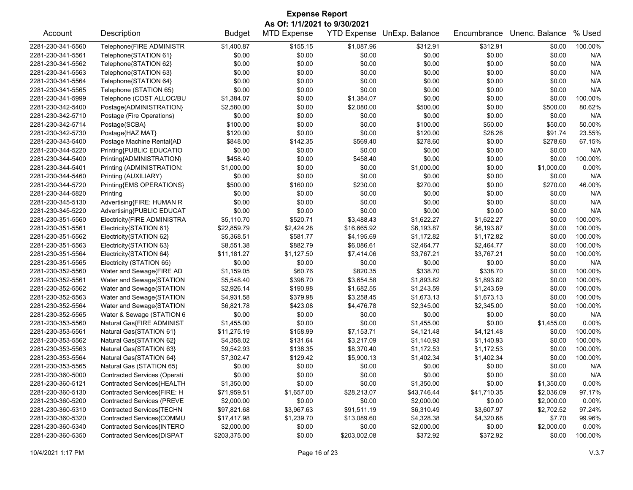## Account Description **Budget MTD Expense YTD Expense UnExp. Balance** Encumbrance Unenc. Balance % Used 2281-230-341-5560 Telephone{FIRE ADMINISTR \$1,400.87 \$155.15 \$1,087.96 \$312.91 \$312.91 \$0.00 100.00% 2281-230-341-5561 Telephone{STATION 61} \$0.00 \$0.00 \$0.00 \$0.00 \$0.00 \$0.00 N/A 2281-230-341-5562 Telephone{STATION 62} \$0.00 \$0.00 \$0.00 \$0.00 \$0.00 \$0.00 N/A 2281-230-341-5563 Telephone{STATION 63} \$0.00 \$0.00 \$0.00 \$0.00 \$0.00 \$0.00 N/A 2281-230-341-5564 Telephone{STATION 64} \$0.00 \$0.00 \$0.00 \$0.00 \$0.00 \$0.00 N/A 2281-230-341-5565 Telephone (STATION 65) \$0.00 \$0.00 \$0.00 \$0.00 \$0.00 \$0.00 N/A 2281-230-341-5999 Telephone (COST ALLOC/BU \$1,384.07 \$0.00 \$1,384.07 \$0.00 \$0.00 \$0.00 100.00% 2281-230-342-5400 Postage{ADMINISTRATION} \$2,580.00 \$0.00 \$2,080.00 \$500.00 \$0.00 \$500.00 80.62% 2281-230-342-5710 Postage (Fire Operations) \$0.00 \$0.00 \$0.00 \$0.00 \$0.00 \$0.00 N/A 2281-230-342-5714 Postage{SCBA} \$100.00 \$0.00 \$0.00 \$50.00 \$50.00 50.00% 2281-230-342-5730 Postage{HAZ MAT} \$120.00 \$0.00 \$120.00 \$28.26 \$91.74 23.55% 2281-230-343-5400 Postage Machine Rental{AD \$848.00 \$142.35 \$569.40 \$278.60 \$0.00 \$278.60 \$278.60 \$278.60 \$278 2281-230-344-5220 Printing{PUBLIC EDUCATIO \$0.00 \$0.00 \$0.00 \$0.00 \$0.00 \$0.00 N/A 2281-230-344-5400 Printing{ADMINISTRATION} \$458.40 \$0.00 \$458.40 \$0.00 \$0.00 \$0.00 100.00% 2281-230-344-5401 Printing (ADMINISTRATION: \$1,000.00 \$0.00 \$0.00 \$1,000.00 \$0.00 \$1,000.00 0.00% 2281-230-344-5460 Printing (AUXILIARY) \$0.00 \$0.00 \$0.00 \$0.00 \$0.00 \$0.00 N/A 2281-230-344-5720 Printing{EMS OPERATIONS} \$500.00 \$160.00 \$230.00 \$270.00 \$0.00 \$270.00 46.00% 2281-230-344-5820 Printing \$0.00 \$0.00 \$0.00 \$0.00 \$0.00 \$0.00 N/A 2281-230-345-5130 Advertising{FIRE: HUMAN R \$0.00 \$0.00 \$0.00 \$0.00 \$0.00 \$0.00 N/A 2281-230-345-5220 Advertising{PUBLIC EDUCAT \$0.00 \$0.00 \$0.00 \$0.00 \$0.00 \$0.00 N/A 2281-230-351-5560 Electricity{FIRE ADMINISTRA \$5,110.70 \$520.71 \$3,488.43 \$1,622.27 \$1,622.27 \$0.00 100.00% 2281-230-351-5561 Electricity{STATION 61} \$22,859.79 \$2,424.28 \$16,665.92 \$6,193.87 \$6,193.87 \$0.00 100.00% 2281-230-351-5562 Electricity{STATION 62} \$5,368.51 \$581.77 \$4,195.69 \$1,172.82 \$1,172.82 \$0.00 100.00% 2281-230-351-5563 Electricity{STATION 63} \$8,551.38 \$882.79 \$6,086.61 \$2,464.77 \$2,464.77 \$0.00 100.00% 2281-230-351-5564 Electricity{STATION 64} \$11,181.27 \$1,127.50 \$7,414.06 \$3,767.21 \$3,767.21 \$0.00 100.00% 2281-230-351-5565 Electricity (STATION 65) \$0.00 \$0.00 \$0.00 \$0.00 \$0.00 \$0.00 N/A 2281-230-352-5560 Water and Sewage{FIRE AD \$1,159.05 \$60.76 \$820.35 \$338.70 \$338.70 \$0.00 100.00% 2281-230-352-5561 Water and Sewage{STATION \$5,548.40 \$398.70 \$3,654.58 \$1,893.82 \$1,893.82 \$0.00 100.00% 2281-230-352-5562 Water and Sewage{STATION \$2,926.14 \$190.98 \$1,682.55 \$1,243.59 \$1,243.59 \$0.00 100.00% 2281-230-352-5563 Water and Sewage{STATION \$4,931.58 \$379.98 \$3,258.45 \$1,673.13 \$1,673.13 \$0.00 100.00% 2281-230-352-5564 Water and Sewage{STATION \$6,821.78 \$423.08 \$4,476.78 \$2,345.00 \$2,345.00 \$0.00 100.00% 2281-230-352-5565 Water & Sewage (STATION 6 \$0.00 \$0.00 \$0.00 \$0.00 \$0.00 \$0.00 N/A 2281-230-353-5560 Natural Gas{FIRE ADMINIST \$1,455.00 \$0.00 \$0.00 \$1,455.00 \$0.00 \$1,455.00 0.00% 2281-230-353-5561 Natural Gas{STATION 61} \$11,275.19 \$158.99 \$7,153.71 \$4,121.48 \$4,121.48 \$0.00 100.00% 2281-230-353-5562 Natural Gas{STATION 62} \$4,358.02 \$131.64 \$3,217.09 \$1,140.93 \$1,140.93 \$0.00 100.00% 2281-230-353-5563 Natural Gas{STATION 63} \$9,542.93 \$138.35 \$8,370.40 \$1,172.53 \$1,172.53 \$0.00 100.00% 2281-230-353-5564 Natural Gas{STATION 64} \$7,302.47 \$129.42 \$5,900.13 \$1,402.34 \$1,402.34 \$0.00 100.00% 2281-230-353-5565 Natural Gas (STATION 65) \$0.00 \$0.00 \$0.00 \$0.00 \$0.00 \$0.00 N/A 2281-230-360-5000 Contracted Services (Operati \$0.00 \$0.00 \$0.00 \$0.00 \$0.00 \$0.00 N/A 2281-230-360-5121 Contracted Services{HEALTH \$1,350.00 \$0.00 \$0.00 \$1,350.00 \$0.00 \$1,350.00 0.00% 2281-230-360-5130 Contracted Services{FIRE: H \$71,959.51 \$1,657.00 \$28,213.07 \$43,746.44 \$41,710.35 \$2,036.09 97.17% 2281-230-360-5200 Contracted Services (PREVE \$2,000.00 \$0.00 \$0.00 \$2,000.00 \$0.00 \$2,000.00 0.00% 2281-230-360-5310 Contracted Services{TECHN \$97,821.68 \$3,967.63 \$91,511.19 \$6,310.49 \$3,607.97 \$2,702.52 97.24% 2281-230-360-5320 Contracted Services{COMMU \$17,417.98 \$1,239.70 \$13,089.60 \$4,328.38 \$4,320.68 \$7.70 99.96% 2281-230-360-5340 Contracted Services{INTERO \$2,000.00 \$0.00 \$0.00 \$2,000.00 \$0.00 \$2,000.00 0.00% 2281-230-360-5350 Contracted Services{DISPAT \$203,375.00 \$0.00 \$203,002.08 \$372.92 \$372.92 \$0.00 100.00% **Expense Report As Of: 1/1/2021 to 9/30/2021**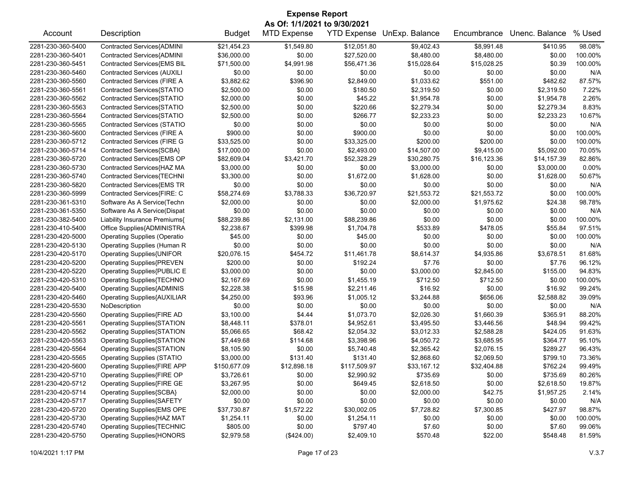|                   | <b>Expense Report</b><br>As Of: 1/1/2021 to 9/30/2021         |               |                    |              |                            |             |                |         |  |  |
|-------------------|---------------------------------------------------------------|---------------|--------------------|--------------|----------------------------|-------------|----------------|---------|--|--|
| Account           | Description                                                   | <b>Budget</b> | <b>MTD Expense</b> |              | YTD Expense UnExp. Balance | Encumbrance | Unenc. Balance | % Used  |  |  |
| 2281-230-360-5400 | Contracted Services{ADMINI                                    | \$21,454.23   | \$1,549.80         | \$12,051.80  | \$9,402.43                 | \$8,991.48  | \$410.95       | 98.08%  |  |  |
| 2281-230-360-5401 | Contracted Services{ADMINI                                    | \$36,000.00   | \$0.00             | \$27,520.00  | \$8,480.00                 | \$8,480.00  | \$0.00         | 100.00% |  |  |
| 2281-230-360-5451 | Contracted Services{EMS BIL                                   | \$71,500.00   | \$4,991.98         | \$56,471.36  | \$15,028.64                | \$15,028.25 | \$0.39         | 100.00% |  |  |
| 2281-230-360-5460 | <b>Contracted Services (AUXILI</b>                            | \$0.00        | \$0.00             | \$0.00       | \$0.00                     | \$0.00      | \$0.00         | N/A     |  |  |
| 2281-230-360-5560 | Contracted Services (FIRE A                                   | \$3,882.62    | \$396.90           | \$2,849.00   | \$1,033.62                 | \$551.00    | \$482.62       | 87.57%  |  |  |
| 2281-230-360-5561 | Contracted Services{STATIO                                    | \$2,500.00    | \$0.00             | \$180.50     | \$2,319.50                 | \$0.00      | \$2,319.50     | 7.22%   |  |  |
| 2281-230-360-5562 | Contracted Services{STATIO                                    | \$2,000.00    | \$0.00             | \$45.22      | \$1,954.78                 | \$0.00      | \$1,954.78     | 2.26%   |  |  |
| 2281-230-360-5563 | Contracted Services{STATIO                                    | \$2,500.00    | \$0.00             | \$220.66     | \$2,279.34                 | \$0.00      | \$2,279.34     | 8.83%   |  |  |
| 2281-230-360-5564 | Contracted Services{STATIO                                    | \$2,500.00    | \$0.00             | \$266.77     | \$2,233.23                 | \$0.00      | \$2,233.23     | 10.67%  |  |  |
| 2281-230-360-5565 | Contracted Services (STATIO                                   | \$0.00        | \$0.00             | \$0.00       | \$0.00                     | \$0.00      | \$0.00         | N/A     |  |  |
| 2281-230-360-5600 | Contracted Services (FIRE A                                   | \$900.00      | \$0.00             | \$900.00     | \$0.00                     | \$0.00      | \$0.00         | 100.00% |  |  |
| 2281-230-360-5712 | <b>Contracted Services (FIRE G</b>                            | \$33,525.00   | \$0.00             | \$33,325.00  | \$200.00                   | \$200.00    | \$0.00         | 100.00% |  |  |
| 2281-230-360-5714 | Contracted Services{SCBA}                                     | \$17,000.00   | \$0.00             | \$2,493.00   | \$14,507.00                | \$9,415.00  | \$5,092.00     | 70.05%  |  |  |
| 2281-230-360-5720 | Contracted Services{EMS OP                                    | \$82,609.04   | \$3,421.70         | \$52,328.29  | \$30,280.75                | \$16,123.36 | \$14,157.39    | 82.86%  |  |  |
| 2281-230-360-5730 | Contracted Services{HAZ MA                                    | \$3,000.00    | \$0.00             | \$0.00       | \$3,000.00                 | \$0.00      | \$3,000.00     | 0.00%   |  |  |
| 2281-230-360-5740 | Contracted Services{TECHNI                                    | \$3,300.00    | \$0.00             | \$1,672.00   | \$1,628.00                 | \$0.00      | \$1,628.00     | 50.67%  |  |  |
| 2281-230-360-5820 | Contracted Services{EMS TR                                    | \$0.00        | \$0.00             | \$0.00       | \$0.00                     | \$0.00      | \$0.00         | N/A     |  |  |
| 2281-230-360-5999 | Contracted Services{FIRE: C                                   | \$58,274.69   | \$3,788.33         | \$36,720.97  | \$21,553.72                | \$21,553.72 | \$0.00         | 100.00% |  |  |
| 2281-230-361-5310 | Software As A Service(Techn                                   | \$2,000.00    | \$0.00             | \$0.00       | \$2,000.00                 | \$1,975.62  | \$24.38        | 98.78%  |  |  |
| 2281-230-361-5350 | Software As A Service(Dispat                                  | \$0.00        | \$0.00             | \$0.00       | \$0.00                     | \$0.00      | \$0.00         | N/A     |  |  |
| 2281-230-382-5400 | Liability Insurance Premiums{                                 | \$88,239.86   | \$2,131.00         | \$88,239.86  | \$0.00                     | \$0.00      | \$0.00         | 100.00% |  |  |
| 2281-230-410-5400 | Office Supplies{ADMINISTRA                                    | \$2,238.67    | \$399.98           | \$1,704.78   | \$533.89                   | \$478.05    | \$55.84        | 97.51%  |  |  |
| 2281-230-420-5000 | <b>Operating Supplies (Operatio</b>                           | \$45.00       | \$0.00             | \$45.00      | \$0.00                     | \$0.00      | \$0.00         | 100.00% |  |  |
| 2281-230-420-5130 | Operating Supplies (Human R                                   | \$0.00        | \$0.00             | \$0.00       | \$0.00                     | \$0.00      | \$0.00         | N/A     |  |  |
| 2281-230-420-5170 |                                                               | \$20,076.15   | \$454.72           | \$11,461.78  | \$8,614.37                 | \$4,935.86  | \$3,678.51     | 81.68%  |  |  |
| 2281-230-420-5200 | Operating Supplies{UNIFOR<br><b>Operating Supplies{PREVEN</b> | \$200.00      | \$0.00             | \$192.24     | \$7.76                     | \$0.00      | \$7.76         | 96.12%  |  |  |
| 2281-230-420-5220 |                                                               | \$3,000.00    | \$0.00             | \$0.00       | \$3,000.00                 | \$2,845.00  | \$155.00       | 94.83%  |  |  |
|                   | Operating Supplies{PUBLIC E                                   |               |                    |              |                            |             |                | 100.00% |  |  |
| 2281-230-420-5310 | Operating Supplies{TECHNO                                     | \$2,167.69    | \$0.00             | \$1,455.19   | \$712.50                   | \$712.50    | \$0.00         |         |  |  |
| 2281-230-420-5400 | <b>Operating Supplies{ADMINIS</b>                             | \$2,228.38    | \$15.98            | \$2,211.46   | \$16.92                    | \$0.00      | \$16.92        | 99.24%  |  |  |
| 2281-230-420-5460 | Operating Supplies{AUXILIAR                                   | \$4,250.00    | \$93.96            | \$1,005.12   | \$3,244.88                 | \$656.06    | \$2,588.82     | 39.09%  |  |  |
| 2281-230-420-5530 | NoDescription                                                 | \$0.00        | \$0.00             | \$0.00       | \$0.00                     | \$0.00      | \$0.00         | N/A     |  |  |
| 2281-230-420-5560 | Operating Supplies{FIRE AD                                    | \$3,100.00    | \$4.44             | \$1,073.70   | \$2,026.30                 | \$1,660.39  | \$365.91       | 88.20%  |  |  |
| 2281-230-420-5561 | Operating Supplies{STATION                                    | \$8,448.11    | \$378.01           | \$4,952.61   | \$3,495.50                 | \$3,446.56  | \$48.94        | 99.42%  |  |  |
| 2281-230-420-5562 | Operating Supplies{STATION                                    | \$5,066.65    | \$68.42            | \$2,054.32   | \$3,012.33                 | \$2,588.28  | \$424.05       | 91.63%  |  |  |
| 2281-230-420-5563 | Operating Supplies{STATION                                    | \$7,449.68    | \$114.68           | \$3,398.96   | \$4,050.72                 | \$3,685.95  | \$364.77       | 95.10%  |  |  |
| 2281-230-420-5564 | Operating Supplies{STATION                                    | \$8,105.90    | \$0.00             | \$5,740.48   | \$2,365.42                 | \$2,076.15  | \$289.27       | 96.43%  |  |  |
| 2281-230-420-5565 | <b>Operating Supplies (STATIO</b>                             | \$3,000.00    | \$131.40           | \$131.40     | \$2,868.60                 | \$2,069.50  | \$799.10       | 73.36%  |  |  |
| 2281-230-420-5600 | Operating Supplies{FIRE APP                                   | \$150,677.09  | \$12,898.18        | \$117,509.97 | \$33,167.12                | \$32,404.88 | \$762.24       | 99.49%  |  |  |
| 2281-230-420-5710 | Operating Supplies{FIRE OP                                    | \$3,726.61    | \$0.00             | \$2,990.92   | \$735.69                   | \$0.00      | \$735.69       | 80.26%  |  |  |
| 2281-230-420-5712 | Operating Supplies{FIRE GE                                    | \$3,267.95    | \$0.00             | \$649.45     | \$2,618.50                 | \$0.00      | \$2,618.50     | 19.87%  |  |  |
| 2281-230-420-5714 | Operating Supplies{SCBA}                                      | \$2,000.00    | \$0.00             | \$0.00       | \$2,000.00                 | \$42.75     | \$1,957.25     | 2.14%   |  |  |
| 2281-230-420-5717 | <b>Operating Supplies{SAFETY</b>                              | \$0.00        | \$0.00             | \$0.00       | \$0.00                     | \$0.00      | \$0.00         | N/A     |  |  |
| 2281-230-420-5720 | Operating Supplies{EMS OPE                                    | \$37,730.87   | \$1,572.22         | \$30,002.05  | \$7,728.82                 | \$7,300.85  | \$427.97       | 98.87%  |  |  |
| 2281-230-420-5730 | Operating Supplies{HAZ MAT                                    | \$1,254.11    | \$0.00             | \$1,254.11   | \$0.00                     | \$0.00      | \$0.00         | 100.00% |  |  |
| 2281-230-420-5740 | <b>Operating Supplies{TECHNIC</b>                             | \$805.00      | \$0.00             | \$797.40     | \$7.60                     | \$0.00      | \$7.60         | 99.06%  |  |  |
| 2281-230-420-5750 | <b>Operating Supplies{HONORS</b>                              | \$2,979.58    | $(\$424.00)$       | \$2,409.10   | \$570.48                   | \$22.00     | \$548.48       | 81.59%  |  |  |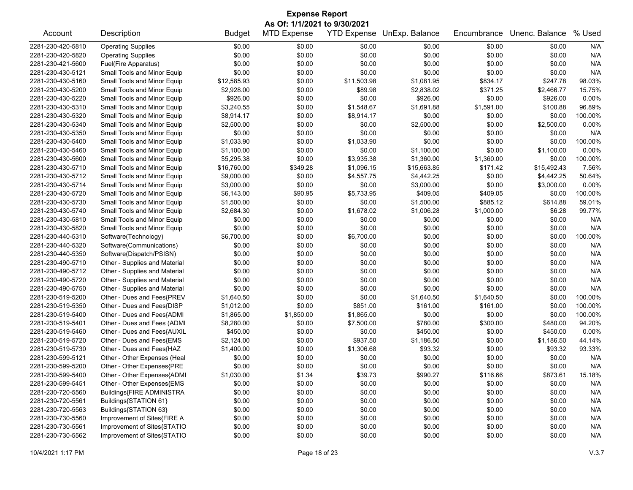| <b>Expense Report</b> |                               |               |                              |                    |                |             |                |          |  |
|-----------------------|-------------------------------|---------------|------------------------------|--------------------|----------------|-------------|----------------|----------|--|
|                       |                               |               | As Of: 1/1/2021 to 9/30/2021 |                    |                |             |                |          |  |
| Account               | Description                   | <b>Budget</b> | <b>MTD Expense</b>           | <b>YTD Expense</b> | UnExp. Balance | Encumbrance | Unenc. Balance | % Used   |  |
| 2281-230-420-5810     | <b>Operating Supplies</b>     | \$0.00        | \$0.00                       | \$0.00             | \$0.00         | \$0.00      | \$0.00         | N/A      |  |
| 2281-230-420-5820     | <b>Operating Supplies</b>     | \$0.00        | \$0.00                       | \$0.00             | \$0.00         | \$0.00      | \$0.00         | N/A      |  |
| 2281-230-421-5600     | Fuel(Fire Apparatus)          | \$0.00        | \$0.00                       | \$0.00             | \$0.00         | \$0.00      | \$0.00         | N/A      |  |
| 2281-230-430-5121     | Small Tools and Minor Equip   | \$0.00        | \$0.00                       | \$0.00             | \$0.00         | \$0.00      | \$0.00         | N/A      |  |
| 2281-230-430-5160     | Small Tools and Minor Equip   | \$12,585.93   | \$0.00                       | \$11,503.98        | \$1,081.95     | \$834.17    | \$247.78       | 98.03%   |  |
| 2281-230-430-5200     | Small Tools and Minor Equip   | \$2,928.00    | \$0.00                       | \$89.98            | \$2,838.02     | \$371.25    | \$2,466.77     | 15.75%   |  |
| 2281-230-430-5220     | Small Tools and Minor Equip   | \$926.00      | \$0.00                       | \$0.00             | \$926.00       | \$0.00      | \$926.00       | 0.00%    |  |
| 2281-230-430-5310     | Small Tools and Minor Equip   | \$3,240.55    | \$0.00                       | \$1,548.67         | \$1,691.88     | \$1,591.00  | \$100.88       | 96.89%   |  |
| 2281-230-430-5320     | Small Tools and Minor Equip   | \$8,914.17    | \$0.00                       | \$8,914.17         | \$0.00         | \$0.00      | \$0.00         | 100.00%  |  |
| 2281-230-430-5340     | Small Tools and Minor Equip   | \$2,500.00    | \$0.00                       | \$0.00             | \$2,500.00     | \$0.00      | \$2,500.00     | 0.00%    |  |
| 2281-230-430-5350     | Small Tools and Minor Equip   | \$0.00        | \$0.00                       | \$0.00             | \$0.00         | \$0.00      | \$0.00         | N/A      |  |
| 2281-230-430-5400     | Small Tools and Minor Equip   | \$1,033.90    | \$0.00                       | \$1,033.90         | \$0.00         | \$0.00      | \$0.00         | 100.00%  |  |
| 2281-230-430-5460     | Small Tools and Minor Equip   | \$1,100.00    | \$0.00                       | \$0.00             | \$1,100.00     | \$0.00      | \$1,100.00     | 0.00%    |  |
| 2281-230-430-5600     | Small Tools and Minor Equip   | \$5,295.38    | \$0.00                       | \$3,935.38         | \$1,360.00     | \$1,360.00  | \$0.00         | 100.00%  |  |
| 2281-230-430-5710     | Small Tools and Minor Equip   | \$16,760.00   | \$349.28                     | \$1,096.15         | \$15,663.85    | \$171.42    | \$15,492.43    | 7.56%    |  |
| 2281-230-430-5712     | Small Tools and Minor Equip   | \$9,000.00    | \$0.00                       | \$4,557.75         | \$4,442.25     | \$0.00      | \$4,442.25     | 50.64%   |  |
| 2281-230-430-5714     | Small Tools and Minor Equip   | \$3,000.00    | \$0.00                       | \$0.00             | \$3,000.00     | \$0.00      | \$3,000.00     | $0.00\%$ |  |
| 2281-230-430-5720     | Small Tools and Minor Equip   | \$6,143.00    | \$90.95                      | \$5,733.95         | \$409.05       | \$409.05    | \$0.00         | 100.00%  |  |
| 2281-230-430-5730     | Small Tools and Minor Equip   | \$1,500.00    | \$0.00                       | \$0.00             | \$1,500.00     | \$885.12    | \$614.88       | 59.01%   |  |
| 2281-230-430-5740     | Small Tools and Minor Equip   | \$2,684.30    | \$0.00                       | \$1,678.02         | \$1,006.28     | \$1,000.00  | \$6.28         | 99.77%   |  |
| 2281-230-430-5810     | Small Tools and Minor Equip   | \$0.00        | \$0.00                       | \$0.00             | \$0.00         | \$0.00      | \$0.00         | N/A      |  |
| 2281-230-430-5820     | Small Tools and Minor Equip   | \$0.00        | \$0.00                       | \$0.00             | \$0.00         | \$0.00      | \$0.00         | N/A      |  |
| 2281-230-440-5310     | Software(Technology)          | \$6,700.00    | \$0.00                       | \$6,700.00         | \$0.00         | \$0.00      | \$0.00         | 100.00%  |  |
| 2281-230-440-5320     | Software(Communications)      | \$0.00        | \$0.00                       | \$0.00             | \$0.00         | \$0.00      | \$0.00         | N/A      |  |
| 2281-230-440-5350     | Software(Dispatch/PSISN)      | \$0.00        | \$0.00                       | \$0.00             | \$0.00         | \$0.00      | \$0.00         | N/A      |  |
| 2281-230-490-5710     | Other - Supplies and Material | \$0.00        | \$0.00                       | \$0.00             | \$0.00         | \$0.00      | \$0.00         | N/A      |  |
| 2281-230-490-5712     | Other - Supplies and Material | \$0.00        | \$0.00                       | \$0.00             | \$0.00         | \$0.00      | \$0.00         | N/A      |  |
| 2281-230-490-5720     | Other - Supplies and Material | \$0.00        | \$0.00                       | \$0.00             | \$0.00         | \$0.00      | \$0.00         | N/A      |  |
| 2281-230-490-5750     | Other - Supplies and Material | \$0.00        | \$0.00                       | \$0.00             | \$0.00         | \$0.00      | \$0.00         | N/A      |  |
| 2281-230-519-5200     | Other - Dues and Fees{PREV    | \$1,640.50    | \$0.00                       | \$0.00             | \$1,640.50     | \$1,640.50  | \$0.00         | 100.00%  |  |
| 2281-230-519-5350     | Other - Dues and Fees{DISP    | \$1,012.00    | \$0.00                       | \$851.00           | \$161.00       | \$161.00    | \$0.00         | 100.00%  |  |
| 2281-230-519-5400     | Other - Dues and Fees{ADMI    | \$1,865.00    | \$1,850.00                   | \$1,865.00         | \$0.00         | \$0.00      | \$0.00         | 100.00%  |  |
| 2281-230-519-5401     | Other - Dues and Fees (ADMI   | \$8,280.00    | \$0.00                       | \$7,500.00         | \$780.00       | \$300.00    | \$480.00       | 94.20%   |  |
| 2281-230-519-5460     | Other - Dues and Fees{AUXIL   | \$450.00      | \$0.00                       | \$0.00             | \$450.00       | \$0.00      | \$450.00       | 0.00%    |  |
| 2281-230-519-5720     | Other - Dues and Fees{EMS     | \$2,124.00    | \$0.00                       | \$937.50           | \$1,186.50     | \$0.00      | \$1,186.50     | 44.14%   |  |
| 2281-230-519-5730     | Other - Dues and Fees{HAZ     | \$1,400.00    | \$0.00                       | \$1,306.68         | \$93.32        | \$0.00      | \$93.32        | 93.33%   |  |
| 2281-230-599-5121     | Other - Other Expenses (Heal  | \$0.00        | \$0.00                       | \$0.00             | \$0.00         | \$0.00      | \$0.00         | N/A      |  |
| 2281-230-599-5200     | Other - Other Expenses{PRE    | \$0.00        | \$0.00                       | \$0.00             | \$0.00         | \$0.00      | \$0.00         | N/A      |  |
| 2281-230-599-5400     | Other - Other Expenses{ADMI   | \$1,030.00    | \$1.34                       | \$39.73            | \$990.27       | \$116.66    | \$873.61       | 15.18%   |  |
| 2281-230-599-5451     | Other - Other Expenses{EMS    | \$0.00        | \$0.00                       | \$0.00             | \$0.00         | \$0.00      | \$0.00         | N/A      |  |
| 2281-230-720-5560     | Buildings{FIRE ADMINISTRA     | \$0.00        | \$0.00                       | \$0.00             | \$0.00         | \$0.00      | \$0.00         | N/A      |  |
| 2281-230-720-5561     | Buildings{STATION 61}         | \$0.00        | \$0.00                       | \$0.00             | \$0.00         | \$0.00      | \$0.00         | N/A      |  |
| 2281-230-720-5563     | Buildings{STATION 63}         | \$0.00        | \$0.00                       | \$0.00             | \$0.00         | \$0.00      | \$0.00         | N/A      |  |
| 2281-230-730-5560     | Improvement of Sites{FIRE A   | \$0.00        | \$0.00                       | \$0.00             | \$0.00         | \$0.00      | \$0.00         | N/A      |  |
| 2281-230-730-5561     | Improvement of Sites{STATIO   | \$0.00        | \$0.00                       | \$0.00             | \$0.00         | \$0.00      | \$0.00         | N/A      |  |
| 2281-230-730-5562     | Improvement of Sites{STATIO   | \$0.00        | \$0.00                       | \$0.00             | \$0.00         | \$0.00      | \$0.00         | N/A      |  |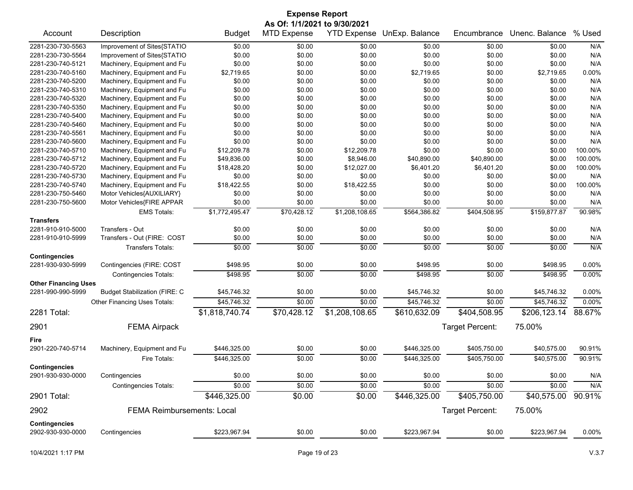| <b>Expense Report</b>       |                                      |                |                              |                    |                |                 |                |          |  |
|-----------------------------|--------------------------------------|----------------|------------------------------|--------------------|----------------|-----------------|----------------|----------|--|
|                             |                                      |                | As Of: 1/1/2021 to 9/30/2021 |                    |                |                 |                |          |  |
| Account                     | Description                          | <b>Budget</b>  | <b>MTD Expense</b>           | <b>YTD Expense</b> | UnExp. Balance | Encumbrance     | Unenc. Balance | % Used   |  |
| 2281-230-730-5563           | Improvement of Sites{STATIO          | \$0.00         | \$0.00                       | \$0.00             | \$0.00         | \$0.00          | \$0.00         | N/A      |  |
| 2281-230-730-5564           | Improvement of Sites{STATIO          | \$0.00         | \$0.00                       | \$0.00             | \$0.00         | \$0.00          | \$0.00         | N/A      |  |
| 2281-230-740-5121           | Machinery, Equipment and Fu          | \$0.00         | \$0.00                       | \$0.00             | \$0.00         | \$0.00          | \$0.00         | N/A      |  |
| 2281-230-740-5160           | Machinery, Equipment and Fu          | \$2,719.65     | \$0.00                       | \$0.00             | \$2,719.65     | \$0.00          | \$2,719.65     | $0.00\%$ |  |
| 2281-230-740-5200           | Machinery, Equipment and Fu          | \$0.00         | \$0.00                       | \$0.00             | \$0.00         | \$0.00          | \$0.00         | N/A      |  |
| 2281-230-740-5310           | Machinery, Equipment and Fu          | \$0.00         | \$0.00                       | \$0.00             | \$0.00         | \$0.00          | \$0.00         | N/A      |  |
| 2281-230-740-5320           | Machinery, Equipment and Fu          | \$0.00         | \$0.00                       | \$0.00             | \$0.00         | \$0.00          | \$0.00         | N/A      |  |
| 2281-230-740-5350           | Machinery, Equipment and Fu          | \$0.00         | \$0.00                       | \$0.00             | \$0.00         | \$0.00          | \$0.00         | N/A      |  |
| 2281-230-740-5400           | Machinery, Equipment and Fu          | \$0.00         | \$0.00                       | \$0.00             | \$0.00         | \$0.00          | \$0.00         | N/A      |  |
| 2281-230-740-5460           | Machinery, Equipment and Fu          | \$0.00         | \$0.00                       | \$0.00             | \$0.00         | \$0.00          | \$0.00         | N/A      |  |
| 2281-230-740-5561           | Machinery, Equipment and Fu          | \$0.00         | \$0.00                       | \$0.00             | \$0.00         | \$0.00          | \$0.00         | N/A      |  |
| 2281-230-740-5600           | Machinery, Equipment and Fu          | \$0.00         | \$0.00                       | \$0.00             | \$0.00         | \$0.00          | \$0.00         | N/A      |  |
| 2281-230-740-5710           | Machinery, Equipment and Fu          | \$12,209.78    | \$0.00                       | \$12,209.78        | \$0.00         | \$0.00          | \$0.00         | 100.00%  |  |
| 2281-230-740-5712           | Machinery, Equipment and Fu          | \$49,836.00    | \$0.00                       | \$8,946.00         | \$40,890.00    | \$40,890.00     | \$0.00         | 100.00%  |  |
| 2281-230-740-5720           | Machinery, Equipment and Fu          | \$18,428.20    | \$0.00                       | \$12,027.00        | \$6,401.20     | \$6,401.20      | \$0.00         | 100.00%  |  |
| 2281-230-740-5730           | Machinery, Equipment and Fu          | \$0.00         | \$0.00                       | \$0.00             | \$0.00         | \$0.00          | \$0.00         | N/A      |  |
| 2281-230-740-5740           | Machinery, Equipment and Fu          | \$18,422.55    | \$0.00                       | \$18,422.55        | \$0.00         | \$0.00          | \$0.00         | 100.00%  |  |
| 2281-230-750-5460           | Motor Vehicles{AUXILIARY}            | \$0.00         | \$0.00                       | \$0.00             | \$0.00         | \$0.00          | \$0.00         | N/A      |  |
| 2281-230-750-5600           | Motor Vehicles{FIRE APPAR            | \$0.00         | \$0.00                       | \$0.00             | \$0.00         | \$0.00          | \$0.00         | N/A      |  |
|                             | <b>EMS Totals:</b>                   | \$1,772,495.47 | \$70,428.12                  | \$1,208,108.65     | \$564,386.82   | \$404,508.95    | \$159,877.87   | 90.98%   |  |
| <b>Transfers</b>            |                                      |                |                              |                    |                |                 |                |          |  |
| 2281-910-910-5000           | Transfers - Out                      | \$0.00         | \$0.00                       | \$0.00             | \$0.00         | \$0.00          | \$0.00         | N/A      |  |
| 2281-910-910-5999           | Transfers - Out (FIRE: COST          | \$0.00         | \$0.00                       | \$0.00             | \$0.00         | \$0.00          | \$0.00         | N/A      |  |
|                             | Transfers Totals:                    | \$0.00         | \$0.00                       | \$0.00             | \$0.00         | \$0.00          | \$0.00         | N/A      |  |
| <b>Contingencies</b>        |                                      |                |                              |                    |                |                 |                |          |  |
| 2281-930-930-5999           | Contingencies (FIRE: COST            | \$498.95       | \$0.00                       | \$0.00             | \$498.95       | \$0.00          | \$498.95       | 0.00%    |  |
|                             | <b>Contingencies Totals:</b>         | \$498.95       | \$0.00                       | \$0.00             | \$498.95       | \$0.00          | \$498.95       | 0.00%    |  |
| <b>Other Financing Uses</b> |                                      |                |                              |                    |                |                 |                |          |  |
| 2281-990-990-5999           | <b>Budget Stabilization (FIRE: C</b> | \$45,746.32    | \$0.00                       | \$0.00             | \$45,746.32    | \$0.00          | \$45,746.32    | 0.00%    |  |
|                             | Other Financing Uses Totals:         | \$45,746.32    | \$0.00                       | \$0.00             | \$45,746.32    | \$0.00          | \$45,746.32    | 0.00%    |  |
| 2281 Total:                 |                                      | \$1,818,740.74 | \$70,428.12                  | \$1,208,108.65     | \$610,632.09   | \$404,508.95    | \$206,123.14   | 88.67%   |  |
| 2901                        | <b>FEMA Airpack</b>                  |                |                              |                    |                | Target Percent: | 75.00%         |          |  |
| Fire                        |                                      |                |                              |                    |                |                 |                |          |  |
| 2901-220-740-5714           | Machinery, Equipment and Fu          | \$446,325.00   | \$0.00                       | \$0.00             | \$446,325.00   | \$405,750.00    | \$40,575.00    | 90.91%   |  |
|                             | Fire Totals:                         | \$446,325.00   | \$0.00                       | \$0.00             | \$446.325.00   | \$405,750.00    | \$40,575.00    | 90.91%   |  |
| <b>Contingencies</b>        |                                      |                |                              |                    |                |                 |                |          |  |
| 2901-930-930-0000           | Contingencies                        | \$0.00         | \$0.00                       | \$0.00             | \$0.00         | \$0.00          | \$0.00         | N/A      |  |
|                             | Contingencies Totals:                | \$0.00         | \$0.00                       | \$0.00             | \$0.00         | \$0.00          | \$0.00         | N/A      |  |
| 2901 Total:                 |                                      | \$446,325.00   | \$0.00                       | \$0.00             | \$446,325.00   | \$405,750.00    | \$40,575.00    | 90.91%   |  |
| 2902                        | <b>FEMA Reimbursements: Local</b>    |                |                              |                    |                | Target Percent: | 75.00%         |          |  |
| <b>Contingencies</b>        |                                      |                |                              |                    |                |                 |                |          |  |
| 2902-930-930-0000           | Contingencies                        | \$223,967.94   | \$0.00                       | \$0.00             | \$223,967.94   | \$0.00          | \$223,967.94   | 0.00%    |  |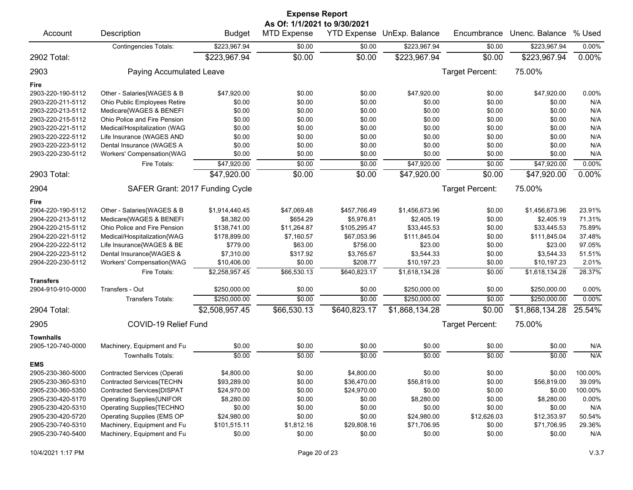|                   |                                 |                | <b>Expense Report</b>                              |                    |                |                        |                |           |
|-------------------|---------------------------------|----------------|----------------------------------------------------|--------------------|----------------|------------------------|----------------|-----------|
| Account           | Description                     | <b>Budget</b>  | As Of: 1/1/2021 to 9/30/2021<br><b>MTD Expense</b> | <b>YTD Expense</b> | UnExp. Balance | Encumbrance            | Unenc. Balance | % Used    |
|                   | <b>Contingencies Totals:</b>    | \$223,967.94   | \$0.00                                             | \$0.00             | \$223,967.94   | \$0.00                 | \$223,967.94   | 0.00%     |
| 2902 Total:       |                                 | \$223,967.94   | \$0.00                                             | \$0.00             | \$223,967.94   | \$0.00                 | \$223,967.94   | 0.00%     |
| 2903              | Paying Accumulated Leave        |                |                                                    |                    |                | Target Percent:        | 75.00%         |           |
| Fire              |                                 |                |                                                    |                    |                |                        |                |           |
| 2903-220-190-5112 | Other - Salaries{WAGES & B      | \$47,920.00    | \$0.00                                             | \$0.00             | \$47,920.00    | \$0.00                 | \$47,920.00    | 0.00%     |
| 2903-220-211-5112 | Ohio Public Employees Retire    | \$0.00         | \$0.00                                             | \$0.00             | \$0.00         | \$0.00                 | \$0.00         | N/A       |
| 2903-220-213-5112 | Medicare{WAGES & BENEFI         | \$0.00         | \$0.00                                             | \$0.00             | \$0.00         | \$0.00                 | \$0.00         | N/A       |
| 2903-220-215-5112 | Ohio Police and Fire Pension    | \$0.00         | \$0.00                                             | \$0.00             | \$0.00         | \$0.00                 | \$0.00         | N/A       |
| 2903-220-221-5112 | Medical/Hospitalization (WAG    | \$0.00         | \$0.00                                             | \$0.00             | \$0.00         | \$0.00                 | \$0.00         | N/A       |
| 2903-220-222-5112 | Life Insurance (WAGES AND       | \$0.00         | \$0.00                                             | \$0.00             | \$0.00         | \$0.00                 | \$0.00         | N/A       |
| 2903-220-223-5112 | Dental Insurance (WAGES A       | \$0.00         | \$0.00                                             | \$0.00             | \$0.00         | \$0.00                 | \$0.00         | N/A       |
| 2903-220-230-5112 | Workers' Compensation(WAG       | \$0.00         | \$0.00                                             | \$0.00             | \$0.00         | \$0.00                 | \$0.00         | N/A       |
|                   | Fire Totals:                    | \$47,920.00    | \$0.00                                             | \$0.00             | \$47,920.00    | \$0.00                 | \$47,920.00    | 0.00%     |
| 2903 Total:       |                                 | \$47,920.00    | \$0.00                                             | \$0.00             | \$47,920.00    | \$0.00                 | \$47,920.00    | 0.00%     |
| 2904              | SAFER Grant: 2017 Funding Cycle |                |                                                    |                    |                | <b>Target Percent:</b> | 75.00%         |           |
| Fire              |                                 |                |                                                    |                    |                |                        |                |           |
| 2904-220-190-5112 | Other - Salaries{WAGES & B      | \$1,914,440.45 | \$47,069.48                                        | \$457,766.49       | \$1,456,673.96 | \$0.00                 | \$1,456,673.96 | 23.91%    |
| 2904-220-213-5112 | Medicare{WAGES & BENEFI         | \$8,382.00     | \$654.29                                           | \$5,976.81         | \$2,405.19     | \$0.00                 | \$2,405.19     | 71.31%    |
| 2904-220-215-5112 | Ohio Police and Fire Pension    | \$138,741.00   | \$11,264.87                                        | \$105,295.47       | \$33,445.53    | \$0.00                 | \$33,445.53    | 75.89%    |
| 2904-220-221-5112 | Medical/Hospitalization{WAG     | \$178,899.00   | \$7,160.57                                         | \$67,053.96        | \$111,845.04   | \$0.00                 | \$111,845.04   | 37.48%    |
| 2904-220-222-5112 | Life Insurance{WAGES & BE       | \$779.00       | \$63.00                                            | \$756.00           | \$23.00        | \$0.00                 | \$23.00        | 97.05%    |
| 2904-220-223-5112 | Dental Insurance{WAGES &        | \$7,310.00     | \$317.92                                           | \$3,765.67         | \$3,544.33     | \$0.00                 | \$3,544.33     | 51.51%    |
| 2904-220-230-5112 | Workers' Compensation{WAG       | \$10,406.00    | \$0.00                                             | \$208.77           | \$10,197.23    | \$0.00                 | \$10,197.23    | 2.01%     |
|                   | Fire Totals:                    | \$2,258,957.45 | \$66,530.13                                        | \$640,823.17       | \$1,618,134.28 | \$0.00                 | \$1,618,134.28 | 28.37%    |
| <b>Transfers</b>  |                                 |                |                                                    |                    |                |                        |                |           |
| 2904-910-910-0000 | Transfers - Out                 | \$250,000.00   | \$0.00                                             | \$0.00             | \$250,000.00   | \$0.00                 | \$250,000.00   | 0.00%     |
|                   | <b>Transfers Totals:</b>        | \$250,000.00   | \$0.00                                             | \$0.00             | \$250,000.00   | \$0.00                 | \$250,000.00   | 0.00%     |
| 2904 Total:       |                                 | \$2,508,957.45 | \$66,530.13                                        | \$640,823.17       | \$1,868,134.28 | \$0.00                 | \$1,868,134.28 | $25.54\%$ |
| 2905              | COVID-19 Relief Fund            |                |                                                    |                    |                | Target Percent:        | 75.00%         |           |
| <b>Townhalls</b>  |                                 |                |                                                    |                    |                |                        |                |           |
| 2905-120-740-0000 | Machinery, Equipment and Fu     | \$0.00         | \$0.00                                             | \$0.00             | \$0.00         | \$0.00                 | \$0.00         | N/A       |
|                   | <b>Townhalls Totals:</b>        | \$0.00         | \$0.00                                             | \$0.00             | \$0.00         | \$0.00                 | \$0.00         | N/A       |
| <b>EMS</b>        |                                 |                |                                                    |                    |                |                        |                |           |
| 2905-230-360-5000 | Contracted Services (Operati    | \$4,800.00     | \$0.00                                             | \$4,800.00         | \$0.00         | \$0.00                 | \$0.00         | 100.00%   |
| 2905-230-360-5310 | Contracted Services{TECHN       | \$93,289.00    | \$0.00                                             | \$36,470.00        | \$56,819.00    | \$0.00                 | \$56,819.00    | 39.09%    |
| 2905-230-360-5350 | Contracted Services{DISPAT      | \$24,970.00    | \$0.00                                             | \$24,970.00        | \$0.00         | \$0.00                 | \$0.00         | 100.00%   |
| 2905-230-420-5170 | Operating Supplies{UNIFOR       | \$8,280.00     | \$0.00                                             | \$0.00             | \$8,280.00     | \$0.00                 | \$8,280.00     | 0.00%     |
| 2905-230-420-5310 | Operating Supplies{TECHNO       | \$0.00         | \$0.00                                             | \$0.00             | \$0.00         | \$0.00                 | \$0.00         | N/A       |
| 2905-230-420-5720 | Operating Supplies {EMS OP      | \$24,980.00    | \$0.00                                             | \$0.00             | \$24,980.00    | \$12,626.03            | \$12,353.97    | 50.54%    |
| 2905-230-740-5310 | Machinery, Equipment and Fu     | \$101,515.11   | \$1,812.16                                         | \$29,808.16        | \$71,706.95    | \$0.00                 | \$71,706.95    | 29.36%    |
| 2905-230-740-5400 | Machinery, Equipment and Fu     | \$0.00         | \$0.00                                             | \$0.00             | \$0.00         | \$0.00                 | \$0.00         | N/A       |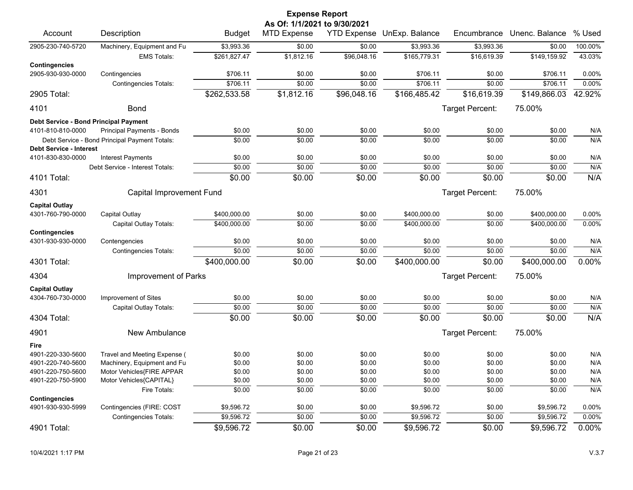|                                                     |                                                           |                          | <b>Expense Report</b><br>As Of: 1/1/2021 to 9/30/2021 |                  |                            |                  |                          |                   |
|-----------------------------------------------------|-----------------------------------------------------------|--------------------------|-------------------------------------------------------|------------------|----------------------------|------------------|--------------------------|-------------------|
| Account                                             | Description                                               | <b>Budget</b>            | <b>MTD Expense</b>                                    |                  | YTD Expense UnExp. Balance | Encumbrance      | Unenc. Balance           | % Used            |
| 2905-230-740-5720                                   | Machinery, Equipment and Fu                               | \$3,993.36               | \$0.00                                                | \$0.00           | \$3,993.36                 | \$3,993.36       | \$0.00                   | 100.00%           |
|                                                     | <b>EMS Totals:</b>                                        | \$261,827.47             | \$1,812.16                                            | \$96,048.16      | \$165,779.31               | \$16,619.39      | \$149,159.92             | 43.03%            |
| <b>Contingencies</b>                                |                                                           |                          |                                                       |                  |                            |                  |                          |                   |
| 2905-930-930-0000                                   | Contingencies                                             | \$706.11                 | \$0.00                                                | \$0.00           | \$706.11                   | \$0.00           | \$706.11                 | 0.00%             |
|                                                     | Contingencies Totals:                                     | \$706.11                 | \$0.00                                                | \$0.00           | \$706.11                   | \$0.00           | \$706.11                 | 0.00%             |
| 2905 Total:                                         |                                                           | \$262,533.58             | \$1,812.16                                            | \$96,048.16      | \$166,485.42               | \$16,619.39      | \$149,866.03             | 42.92%            |
| 4101                                                | <b>Bond</b>                                               |                          |                                                       |                  |                            | Target Percent:  | 75.00%                   |                   |
| Debt Service - Bond Principal Payment               |                                                           |                          |                                                       |                  |                            |                  |                          |                   |
| 4101-810-810-0000                                   | Principal Payments - Bonds                                | \$0.00                   | \$0.00                                                | \$0.00           | \$0.00                     | \$0.00           | \$0.00                   | N/A               |
|                                                     | Debt Service - Bond Principal Payment Totals:             | \$0.00                   | \$0.00                                                | \$0.00           | \$0.00                     | \$0.00           | \$0.00                   | N/A               |
| <b>Debt Service - Interest</b><br>4101-830-830-0000 | <b>Interest Payments</b>                                  | \$0.00                   | \$0.00                                                | \$0.00           | \$0.00                     | \$0.00           | \$0.00                   | N/A               |
|                                                     | Debt Service - Interest Totals:                           | \$0.00                   | \$0.00                                                | \$0.00           | \$0.00                     | \$0.00           | \$0.00                   | N/A               |
| 4101 Total:                                         |                                                           | \$0.00                   | \$0.00                                                | \$0.00           | \$0.00                     | \$0.00           | \$0.00                   | N/A               |
| 4301                                                | Capital Improvement Fund                                  |                          |                                                       |                  |                            | Target Percent:  | 75.00%                   |                   |
|                                                     |                                                           |                          |                                                       |                  |                            |                  |                          |                   |
| <b>Capital Outlay</b>                               |                                                           |                          |                                                       |                  |                            |                  |                          |                   |
| 4301-760-790-0000                                   | Capital Outlay                                            | \$400,000.00             | \$0.00                                                | \$0.00           | \$400,000.00               | \$0.00           | \$400.000.00             | $0.00\%$          |
|                                                     | Capital Outlay Totals:                                    | \$400,000.00             | \$0.00                                                | \$0.00           | \$400,000.00               | \$0.00           | \$400,000.00             | 0.00%             |
| <b>Contingencies</b><br>4301-930-930-0000           | Contengencies                                             | \$0.00                   | \$0.00                                                | \$0.00           | \$0.00                     | \$0.00           | \$0.00                   | N/A               |
|                                                     | <b>Contingencies Totals:</b>                              | \$0.00                   | \$0.00                                                | \$0.00           | \$0.00                     | \$0.00           | \$0.00                   | N/A               |
| 4301 Total:                                         |                                                           | \$400,000.00             | \$0.00                                                | \$0.00           | \$400,000.00               | \$0.00           | \$400,000.00             | 0.00%             |
| 4304                                                | Improvement of Parks                                      |                          |                                                       |                  |                            | Target Percent:  | 75.00%                   |                   |
| <b>Capital Outlay</b>                               |                                                           |                          |                                                       |                  |                            |                  |                          |                   |
| 4304-760-730-0000                                   | Improvement of Sites                                      | \$0.00                   | \$0.00                                                | \$0.00           | \$0.00                     | \$0.00           | \$0.00                   | N/A               |
|                                                     | Capital Outlay Totals:                                    | \$0.00                   | \$0.00                                                | \$0.00           | \$0.00                     | \$0.00           | \$0.00                   | N/A               |
| 4304 Total:                                         |                                                           | \$0.00                   | \$0.00                                                | \$0.00           | \$0.00                     | \$0.00           | \$0.00                   | N/A               |
| 4901                                                | New Ambulance                                             |                          |                                                       |                  |                            | Target Percent:  | 75.00%                   |                   |
| Fire                                                |                                                           |                          |                                                       |                  |                            |                  |                          |                   |
| 4901-220-330-5600                                   | Travel and Meeting Expense (                              | \$0.00                   | \$0.00                                                | \$0.00           | \$0.00                     | \$0.00           | \$0.00                   | N/A               |
| 4901-220-740-5600                                   | Machinery, Equipment and Fu                               | \$0.00                   | \$0.00                                                | \$0.00           | \$0.00                     | \$0.00           | \$0.00                   | N/A               |
| 4901-220-750-5600                                   | Motor Vehicles{FIRE APPAR                                 | \$0.00                   | \$0.00                                                | \$0.00           | \$0.00                     | \$0.00           | \$0.00                   | N/A               |
| 4901-220-750-5900                                   | Motor Vehicles{CAPITAL}                                   | \$0.00                   | \$0.00                                                | \$0.00           | \$0.00                     | \$0.00           | \$0.00                   | N/A               |
|                                                     | Fire Totals:                                              | \$0.00                   | \$0.00                                                | \$0.00           | \$0.00                     | \$0.00           | \$0.00                   | N/A               |
| <b>Contingencies</b>                                |                                                           |                          |                                                       |                  |                            |                  |                          |                   |
| 4901-930-930-5999                                   | Contingencies (FIRE: COST<br><b>Contingencies Totals:</b> | \$9,596.72<br>\$9,596.72 | \$0.00<br>\$0.00                                      | \$0.00<br>\$0.00 | \$9,596.72<br>\$9,596.72   | \$0.00<br>\$0.00 | \$9,596.72<br>\$9,596.72 | 0.00%<br>$0.00\%$ |
|                                                     |                                                           |                          |                                                       |                  |                            |                  |                          |                   |
| 4901 Total:                                         |                                                           | \$9,596.72               | \$0.00                                                | \$0.00           | \$9,596.72                 | \$0.00           | \$9,596.72               | 0.00%             |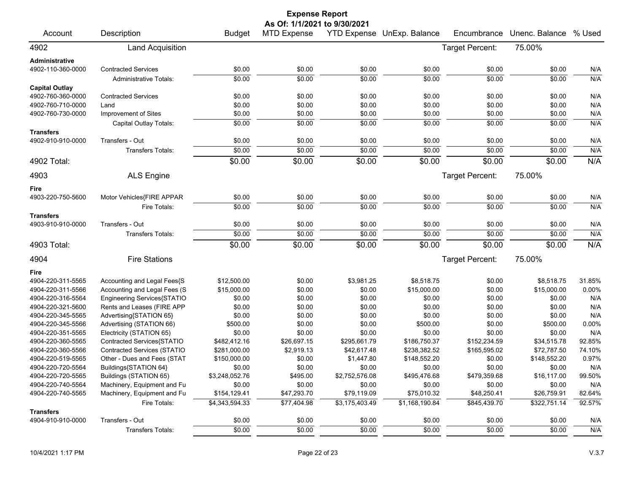|                       | <b>Expense Report</b>              |                |                              |                |                            |                 |                |        |  |  |  |
|-----------------------|------------------------------------|----------------|------------------------------|----------------|----------------------------|-----------------|----------------|--------|--|--|--|
|                       |                                    |                | As Of: 1/1/2021 to 9/30/2021 |                |                            |                 |                |        |  |  |  |
| Account               | Description                        | <b>Budget</b>  | <b>MTD Expense</b>           |                | YTD Expense UnExp. Balance | Encumbrance     | Unenc. Balance | % Used |  |  |  |
| 4902                  | <b>Land Acquisition</b>            |                |                              |                |                            | Target Percent: | 75.00%         |        |  |  |  |
| Administrative        |                                    |                |                              |                |                            |                 |                |        |  |  |  |
| 4902-110-360-0000     | <b>Contracted Services</b>         | \$0.00         | \$0.00                       | \$0.00         | \$0.00                     | \$0.00          | \$0.00         | N/A    |  |  |  |
|                       | <b>Administrative Totals:</b>      | \$0.00         | \$0.00                       | \$0.00         | \$0.00                     | \$0.00          | \$0.00         | N/A    |  |  |  |
| <b>Capital Outlay</b> |                                    |                |                              |                |                            |                 |                |        |  |  |  |
| 4902-760-360-0000     | <b>Contracted Services</b>         | \$0.00         | \$0.00                       | \$0.00         | \$0.00                     | \$0.00          | \$0.00         | N/A    |  |  |  |
| 4902-760-710-0000     | Land                               | \$0.00         | \$0.00                       | \$0.00         | \$0.00                     | \$0.00          | \$0.00         | N/A    |  |  |  |
| 4902-760-730-0000     | Improvement of Sites               | \$0.00         | \$0.00                       | \$0.00         | \$0.00                     | \$0.00          | \$0.00         | N/A    |  |  |  |
|                       | Capital Outlay Totals:             | \$0.00         | \$0.00                       | \$0.00         | \$0.00                     | \$0.00          | \$0.00         | N/A    |  |  |  |
| <b>Transfers</b>      |                                    |                |                              |                |                            |                 |                |        |  |  |  |
| 4902-910-910-0000     | Transfers - Out                    | \$0.00         | \$0.00                       | \$0.00         | \$0.00                     | \$0.00          | \$0.00         | N/A    |  |  |  |
|                       | <b>Transfers Totals:</b>           | \$0.00         | \$0.00                       | \$0.00         | \$0.00                     | \$0.00          | \$0.00         | N/A    |  |  |  |
| 4902 Total:           |                                    | \$0.00         | \$0.00                       | \$0.00         | \$0.00                     | \$0.00          | \$0.00         | N/A    |  |  |  |
| 4903                  | <b>ALS Engine</b>                  |                |                              |                |                            | Target Percent: | 75.00%         |        |  |  |  |
| Fire                  |                                    |                |                              |                |                            |                 |                |        |  |  |  |
| 4903-220-750-5600     | Motor Vehicles{FIRE APPAR          | \$0.00         | \$0.00                       | \$0.00         | \$0.00                     | \$0.00          | \$0.00         | N/A    |  |  |  |
|                       | Fire Totals:                       | \$0.00         | \$0.00                       | \$0.00         | \$0.00                     | \$0.00          | \$0.00         | N/A    |  |  |  |
| <b>Transfers</b>      |                                    |                |                              |                |                            |                 |                |        |  |  |  |
| 4903-910-910-0000     | Transfers - Out                    | \$0.00         | \$0.00                       | \$0.00         | \$0.00                     | \$0.00          | \$0.00         | N/A    |  |  |  |
|                       | <b>Transfers Totals:</b>           | \$0.00         | \$0.00                       | \$0.00         | \$0.00                     | \$0.00          | \$0.00         | N/A    |  |  |  |
| 4903 Total:           |                                    | \$0.00         | \$0.00                       | \$0.00         | \$0.00                     | \$0.00          | \$0.00         | N/A    |  |  |  |
| 4904                  | <b>Fire Stations</b>               |                |                              |                |                            | Target Percent: | 75.00%         |        |  |  |  |
| Fire                  |                                    |                |                              |                |                            |                 |                |        |  |  |  |
| 4904-220-311-5565     | Accounting and Legal Fees{S        | \$12,500.00    | \$0.00                       | \$3,981.25     | \$8,518.75                 | \$0.00          | \$8,518.75     | 31.85% |  |  |  |
| 4904-220-311-5566     | Accounting and Legal Fees (S       | \$15,000.00    | \$0.00                       | \$0.00         | \$15,000.00                | \$0.00          | \$15,000.00    | 0.00%  |  |  |  |
| 4904-220-316-5564     | Engineering Services{STATIO        | \$0.00         | \$0.00                       | \$0.00         | \$0.00                     | \$0.00          | \$0.00         | N/A    |  |  |  |
| 4904-220-321-5600     | Rents and Leases (FIRE APP         | \$0.00         | \$0.00                       | \$0.00         | \$0.00                     | \$0.00          | \$0.00         | N/A    |  |  |  |
| 4904-220-345-5565     | Advertising{STATION 65}            | \$0.00         | \$0.00                       | \$0.00         | \$0.00                     | \$0.00          | \$0.00         | N/A    |  |  |  |
| 4904-220-345-5566     | Advertising (STATION 66)           | \$500.00       | \$0.00                       | \$0.00         | \$500.00                   | \$0.00          | \$500.00       | 0.00%  |  |  |  |
| 4904-220-351-5565     | Electricity (STATION 65)           | \$0.00         | \$0.00                       | \$0.00         | \$0.00                     | \$0.00          | \$0.00         | N/A    |  |  |  |
| 4904-220-360-5565     | Contracted Services{STATIO         | \$482,412.16   | \$26,697.15                  | \$295,661.79   | \$186,750.37               | \$152,234.59    | \$34,515.78    | 92.85% |  |  |  |
| 4904-220-360-5566     | <b>Contracted Services (STATIO</b> | \$281,000.00   | \$2,919.13                   | \$42,617.48    | \$238,382.52               | \$165,595.02    | \$72,787.50    | 74.10% |  |  |  |
| 4904-220-519-5565     | Other - Dues and Fees (STAT        | \$150,000.00   | \$0.00                       | \$1,447.80     | \$148,552.20               | \$0.00          | \$148,552.20   | 0.97%  |  |  |  |
| 4904-220-720-5564     | Buildings{STATION 64}              | \$0.00         | \$0.00                       | \$0.00         | \$0.00                     | \$0.00          | \$0.00         | N/A    |  |  |  |
| 4904-220-720-5565     | Buildings (STATION 65)             | \$3,248,052.76 | \$495.00                     | \$2,752,576.08 | \$495,476.68               | \$479,359.68    | \$16,117.00    | 99.50% |  |  |  |
| 4904-220-740-5564     | Machinery, Equipment and Fu        | \$0.00         | \$0.00                       | \$0.00         | \$0.00                     | \$0.00          | \$0.00         | N/A    |  |  |  |
| 4904-220-740-5565     | Machinery, Equipment and Fu        | \$154,129.41   | \$47,293.70                  | \$79,119.09    | \$75,010.32                | \$48,250.41     | \$26,759.91    | 82.64% |  |  |  |
|                       | Fire Totals:                       | \$4,343,594.33 | \$77,404.98                  | \$3,175,403.49 | \$1,168,190.84             | \$845,439.70    | \$322,751.14   | 92.57% |  |  |  |
| <b>Transfers</b>      |                                    |                |                              |                |                            |                 |                |        |  |  |  |
| 4904-910-910-0000     | Transfers - Out                    | \$0.00         | \$0.00                       | \$0.00         | \$0.00                     | \$0.00          | \$0.00         | N/A    |  |  |  |
|                       | Transfers Totals:                  | \$0.00         | \$0.00                       | \$0.00         | \$0.00                     | \$0.00          | \$0.00         | N/A    |  |  |  |